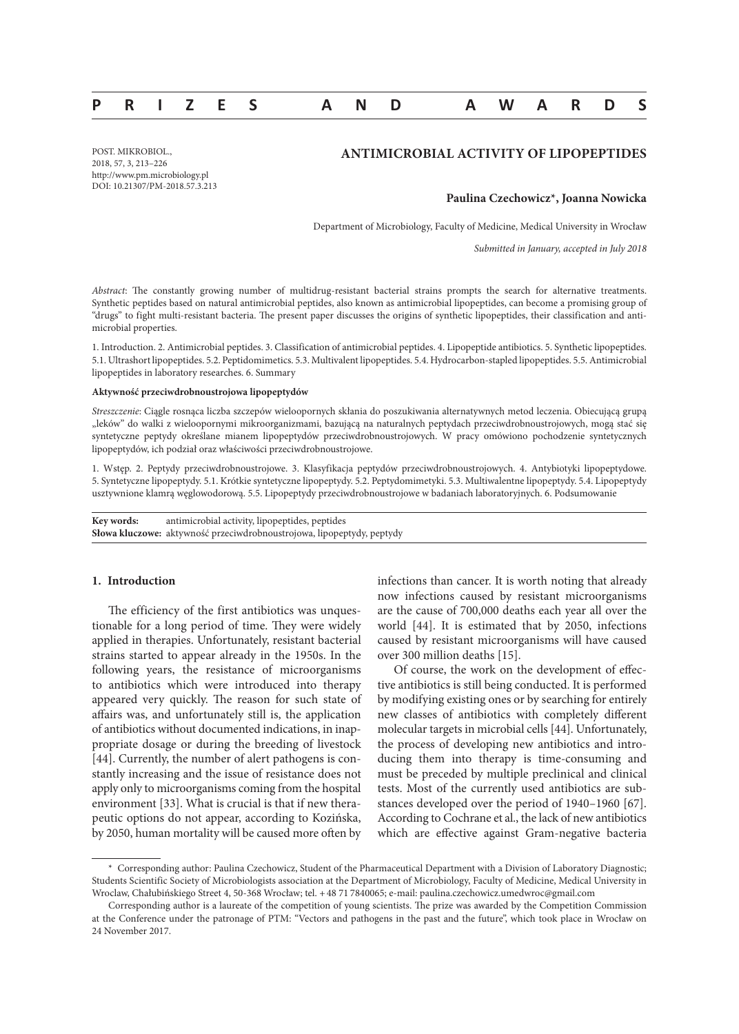# **PRIZES AND AWARDS**

POST. MIKROBIOL., 2018, 57, 3, 213–226 http://www.pm.microbiology.pl DOI: 10.21307/PM-2018.57.3.213

## **ANTIMICROBIAL ACTIVITY OF LIPOPEPTIDES**

### **Paulina Czechowicz\*, Joanna Nowicka**

Department of Microbiology, Faculty of Medicine, Medical University in Wrocław

*Submitted in January, accepted in July 2018*

*Abstract*: The constantly growing number of multidrug-resistant bacterial strains prompts the search for alternative treatments. Synthetic peptides based on natural antimicrobial peptides, also known as antimicrobial lipopeptides, can become a promising group of "drugs" to fight multi-resistant bacteria. The present paper discusses the origins of synthetic lipopeptides, their classification and antimicrobial properties.

1. Introduction. 2. Antimicrobial peptides. 3. Classification of antimicrobial peptides. 4. Lipopeptide antibiotics. 5. Synthetic lipopeptides. 5.1. Ultrashort lipopeptides. 5.2. Peptidomimetics. 5.3. Multivalent lipopeptides. 5.4. Hydrocarbon-stapled lipopeptides. 5.5. Antimicrobial lipopeptides in laboratory researches. 6. Summary

#### **Aktywność przeciwdrobnoustrojowa lipopeptydów**

*Streszczenie*: Ciągle rosnąca liczba szczepów wieloopornych skłania do poszukiwania alternatywnych metod leczenia. Obiecującą grupą "leków" do walki z wieloopornymi mikroorganizmami, bazującą na naturalnych peptydach przeciwdrobnoustrojowych, mogą stać się syntetyczne peptydy określane mianem lipopeptydów przeciwdrobnoustrojowych. W pracy omówiono pochodzenie syntetycznych lipopeptydów, ich podział oraz właściwości przeciwdrobnoustrojowe.

1. Wstęp. 2. Peptydy przeciwdrobnoustrojowe. 3. Klasyfikacja peptydów przeciwdrobnoustrojowych. 4. Antybiotyki lipopeptydowe. 5. Syntetyczne lipopeptydy. 5.1. Krótkie syntetyczne lipopeptydy. 5.2. Peptydomimetyki. 5.3. Multiwalentne lipopeptydy. 5.4. Lipopeptydy usztywnione klamrą węglowodorową. 5.5. Lipopeptydy przeciwdrobnoustrojowe w badaniach laboratoryjnych. 6. Podsumowanie

**Key words:** antimicrobial activity, lipopeptides, peptides **Słowa kluczowe:** aktywność przeciwdrobnoustrojowa, lipopeptydy, peptydy

## **1. Introduction**

The efficiency of the first antibiotics was unquestionable for a long period of time. They were widely applied in therapies. Unfortunately, resistant bacterial strains started to appear already in the 1950s. In the following years, the resistance of microorganisms to antibiotics which were introduced into therapy appeared very quickly. The reason for such state of affairs was, and unfortunately still is, the application of antibiotics without documented indications, in inappropriate dosage or during the breeding of livestock [44]. Currently, the number of alert pathogens is constantly increasing and the issue of resistance does not apply only to microorganisms coming from the hospital environment [33]. What is crucial is that if new therapeutic options do not appear, according to Kozińska, by 2050, human mortality will be caused more often by

infections than cancer. It is worth noting that already now infections caused by resistant microorganisms are the cause of 700,000 deaths each year all over the world [44]. It is estimated that by 2050, infections caused by resistant microorganisms will have caused over 300 million deaths [15].

Of course, the work on the development of effective antibiotics is still being conducted. It is performed by modifying existing ones or by searching for entirely new classes of antibiotics with completely different molecular targets in microbial cells [44]. Unfortunately, the process of developing new antibiotics and introducing them into therapy is time-consuming and must be preceded by multiple preclinical and clinical tests. Most of the currently used antibiotics are substances developed over the period of 1940–1960 [67]. According to Cochrane et al., the lack of new antibiotics which are effective against Gram-negative bacteria

<sup>\*</sup> Corresponding author: Paulina Czechowicz, Student of the Pharmaceutical Department with a Division of Laboratory Diagnostic; Students Scientific Society of Microbiologists association at the Department of Microbiology, Faculty of Medicine, Medical University in Wroclaw, Chałubińskiego Street 4, 50-368 Wrocław; tel. +48 71 7840065; e-mail: paulina.czechowicz.umedwroc@gmail.com

Corresponding author is a laureate of the competition of young scientists. The prize was awarded by the Competition Commission at the Conference under the patronage of PTM: "Vectors and pathogens in the past and the future", which took place in Wrocław on 24 November 2017.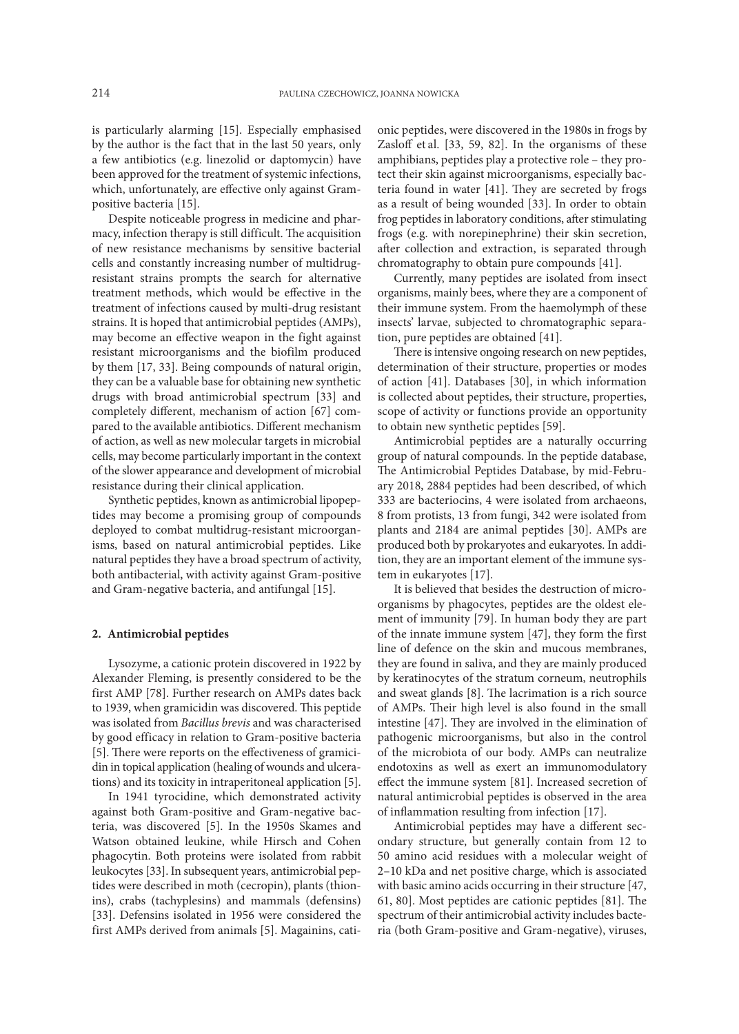is particularly alarming [15]. Especially emphasised by the author is the fact that in the last 50 years, only a few antibiotics (e.g. linezolid or daptomycin) have been approved for the treatment of systemic infections, which, unfortunately, are effective only against Grampositive bacteria [15].

Despite noticeable progress in medicine and pharmacy, infection therapy is still difficult. The acquisition of new resistance mechanisms by sensitive bacterial cells and constantly increasing number of multidrugresistant strains prompts the search for alternative treatment methods, which would be effective in the treatment of infections caused by multi-drug resistant strains. It is hoped that antimicrobial peptides (AMPs), may become an effective weapon in the fight against resistant microorganisms and the biofilm produced by them [17, 33]. Being compounds of natural origin, they can be a valuable base for obtaining new synthetic drugs with broad antimicrobial spectrum [33] and completely different, mechanism of action [67] compared to the available antibiotics. Different mechanism of action, as well as new molecular targets in microbial cells, may become particularly important in the context of the slower appearance and development of microbial resistance during their clinical application.

Synthetic peptides, known as antimicrobial lipopeptides may become a promising group of compounds deployed to combat multidrug-resistant microorganisms, based on natural antimicrobial peptides. Like natural peptides they have a broad spectrum of activity, both antibacterial, with activity against Gram-positive and Gram-negative bacteria, and antifungal [15].

## **2. Antimicrobial peptides**

Lysozyme, a cationic protein discovered in 1922 by Alexander Fleming, is presently considered to be the first AMP [78]. Further research on AMPs dates back to 1939, when gramicidin was discovered. This peptide was isolated from *Bacillus brevis* and was characterised by good efficacy in relation to Gram-positive bacteria [5]. There were reports on the effectiveness of gramicidin in topical application (healing of wounds and ulcerations) and its toxicity in intraperitoneal application [5].

In 1941 tyrocidine, which demonstrated activity against both Gram-positive and Gram-negative bacteria, was discovered [5]. In the 1950s Skames and Watson obtained leukine, while Hirsch and Cohen phagocytin. Both proteins were isolated from rabbit leukocytes [33].In subsequent years, antimicrobial peptides were described in moth (cecropin), plants (thionins), crabs (tachyplesins) and mammals (defensins) [33]. Defensins isolated in 1956 were considered the first AMPs derived from animals [5]. Magainins, cationic peptides, were discovered in the 1980s in frogs by Zasloff et al. [33, 59, 82]. In the organisms of these amphibians, peptides play a protective role – they protect their skin against microorganisms, especially bacteria found in water [41]. They are secreted by frogs as a result of being wounded [33]. In order to obtain frog peptides in laboratory conditions, after stimulating frogs (e.g. with norepinephrine) their skin secretion, after collection and extraction, is separated through chromatography to obtain pure compounds [41].

Currently, many peptides are isolated from insect organisms, mainly bees, where they are a component of their immune system. From the haemolymph of these insects' larvae, subjected to chromatographic separation, pure peptides are obtained [41].

There is intensive ongoing research on new peptides, determination of their structure, properties or modes of action [41]. Databases [30], in which information is collected about peptides, their structure, properties, scope of activity or functions provide an opportunity to obtain new synthetic peptides [59].

Antimicrobial peptides are a naturally occurring group of natural compounds. In the peptide database, The Antimicrobial Peptides Database, by mid-February 2018, 2884 peptides had been described, of which 333 are bacteriocins, 4 were isolated from archaeons, 8 from protists, 13 from fungi, 342 were isolated from plants and 2184 are animal peptides [30]. AMPs are produced both by prokaryotes and eukaryotes. In addition, they are an important element of the immune system in eukaryotes [17].

It is believed that besides the destruction of microorganisms by phagocytes, peptides are the oldest element of immunity [79]. In human body they are part of the innate immune system [47], they form the first line of defence on the skin and mucous membranes, they are found in saliva, and they are mainly produced by keratinocytes of the stratum corneum, neutrophils and sweat glands [8]. The lacrimation is a rich source of AMPs. Their high level is also found in the small intestine [47]. They are involved in the elimination of pathogenic microorganisms, but also in the control of the microbiota of our body. AMPs can neutralize endotoxins as well as exert an immunomodulatory effect the immune system [81]. Increased secretion of natural antimicrobial peptides is observed in the area of inflammation resulting from infection [17].

Antimicrobial peptides may have a different secondary structure, but generally contain from 12 to 50 amino acid residues with a molecular weight of 2–10 kDa and net positive charge, which is associated with basic amino acids occurring in their structure [47, 61, 80]. Most peptides are cationic peptides [81]. The spectrum of their antimicrobial activity includes bacteria (both Gram-positive and Gram-negative), viruses,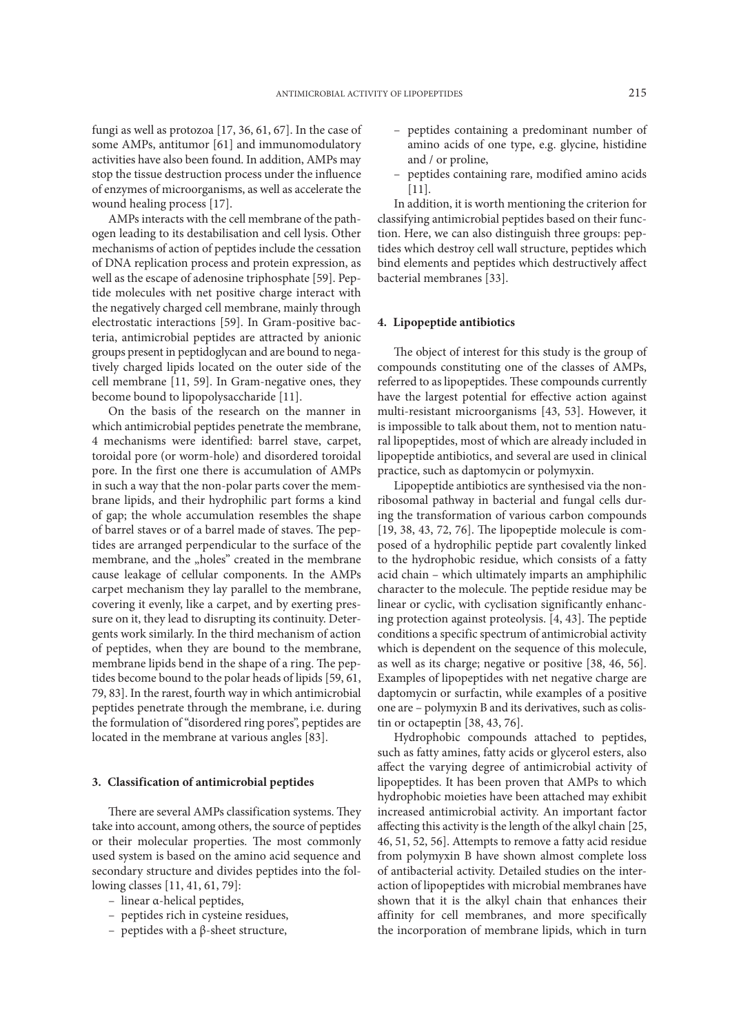fungi as well as protozoa [17, 36, 61, 67]. In the case of some AMPs, antitumor [61] and immunomodulatory activities have also been found. In addition, AMPs may stop the tissue destruction process under the influence of enzymes of microorganisms, as well as accelerate the wound healing process [17].

AMPs interacts with the cell membrane of the pathogen leading to its destabilisation and cell lysis. Other mechanisms of action of peptides include the cessation of DNA replication process and protein expression, as well as the escape of adenosine triphosphate [59]. Peptide molecules with net positive charge interact with the negatively charged cell membrane, mainly through electrostatic interactions [59]. In Gram-positive bacteria, antimicrobial peptides are attracted by anionic groups present in peptidoglycan and are bound to negatively charged lipids located on the outer side of the cell membrane [11, 59]. In Gram-negative ones, they become bound to lipopolysaccharide [11].

On the basis of the research on the manner in which antimicrobial peptides penetrate the membrane, 4 mechanisms were identified: barrel stave, carpet, toroidal pore (or worm-hole) and disordered toroidal pore. In the first one there is accumulation of AMPs in such a way that the non-polar parts cover the membrane lipids, and their hydrophilic part forms a kind of gap; the whole accumulation resembles the shape of barrel staves or of a barrel made of staves. The peptides are arranged perpendicular to the surface of the membrane, and the "holes" created in the membrane cause leakage of cellular components. In the AMPs carpet mechanism they lay parallel to the membrane, covering it evenly, like a carpet, and by exerting pressure on it, they lead to disrupting its continuity. Detergents work similarly. In the third mechanism of action of peptides, when they are bound to the membrane, membrane lipids bend in the shape of a ring. The peptides become bound to the polar heads of lipids [59, 61, 79, 83]. In the rarest, fourth way in which antimicrobial peptides penetrate through the membrane, i.e. during the formulation of "disordered ring pores", peptides are located in the membrane at various angles [83].

### **3. Classification of antimicrobial peptides**

There are several AMPs classification systems. They take into account, among others, the source of peptides or their molecular properties. The most commonly used system is based on the amino acid sequence and secondary structure and divides peptides into the following classes [11, 41, 61, 79]:

- linear α-helical peptides,
- peptides rich in cysteine residues,
- peptides with a β-sheet structure,
- peptides containing a predominant number of amino acids of one type, e.g. glycine, histidine and / or proline,
- peptides containing rare, modified amino acids [11].

In addition, it is worth mentioning the criterion for classifying antimicrobial peptides based on their function. Here, we can also distinguish three groups: peptides which destroy cell wall structure, peptides which bind elements and peptides which destructively affect bacterial membranes [33].

### **4. Lipopeptide antibiotics**

The object of interest for this study is the group of compounds constituting one of the classes of AMPs, referred to as lipopeptides. These compounds currently have the largest potential for effective action against multi-resistant microorganisms [43, 53]. However, it is impossible to talk about them, not to mention natural lipopeptides, most of which are already included in lipopeptide antibiotics, and several are used in clinical practice, such as daptomycin or polymyxin.

Lipopeptide antibiotics are synthesised via the nonribosomal pathway in bacterial and fungal cells during the transformation of various carbon compounds [19, 38, 43, 72, 76]. The lipopeptide molecule is composed of a hydrophilic peptide part covalently linked to the hydrophobic residue, which consists of a fatty acid chain – which ultimately imparts an amphiphilic character to the molecule. The peptide residue may be linear or cyclic, with cyclisation significantly enhancing protection against proteolysis. [4, 43]. The peptide conditions a specific spectrum of antimicrobial activity which is dependent on the sequence of this molecule, as well as its charge; negative or positive [38, 46, 56]. Examples of lipopeptides with net negative charge are daptomycin or surfactin, while examples of a positive one are – polymyxin B and its derivatives, such as colistin or octapeptin [38, 43, 76].

Hydrophobic compounds attached to peptides, such as fatty amines, fatty acids or glycerol esters, also affect the varying degree of antimicrobial activity of lipopeptides. It has been proven that AMPs to which hydrophobic moieties have been attached may exhibit increased antimicrobial activity. An important factor affecting this activity is the length of the alkyl chain [25, 46, 51, 52, 56]. Attempts to remove a fatty acid residue from polymyxin B have shown almost complete loss of antibacterial activity. Detailed studies on the interaction of lipopeptides with microbial membranes have shown that it is the alkyl chain that enhances their affinity for cell membranes, and more specifically the incorporation of membrane lipids, which in turn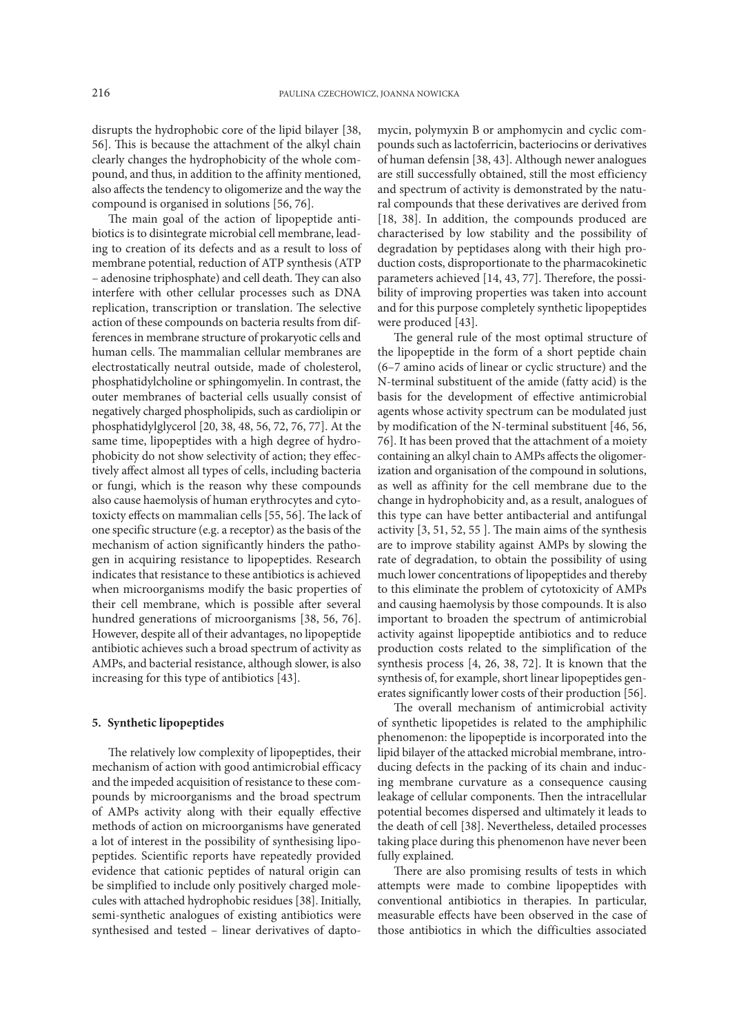disrupts the hydrophobic core of the lipid bilayer [38, 56]. This is because the attachment of the alkyl chain clearly changes the hydrophobicity of the whole compound, and thus, in addition to the affinity mentioned, also affects the tendency to oligomerize and the way the compound is organised in solutions [56, 76].

The main goal of the action of lipopeptide antibiotics is to disintegrate microbial cell membrane, leading to creation of its defects and as a result to loss of membrane potential, reduction of ATP synthesis (ATP – adenosine triphosphate) and cell death. They can also interfere with other cellular processes such as DNA replication, transcription or translation. The selective action of these compounds on bacteria results from differences in membrane structure of prokaryotic cells and human cells. The mammalian cellular membranes are electrostatically neutral outside, made of cholesterol, phosphatidylcholine or sphingomyelin. In contrast, the outer membranes of bacterial cells usually consist of negatively charged phospholipids, such as cardiolipin or phosphatidylglycerol [20, 38, 48, 56, 72, 76, 77]. At the same time, lipopeptides with a high degree of hydrophobicity do not show selectivity of action; they effectively affect almost all types of cells, including bacteria or fungi, which is the reason why these compounds also cause haemolysis of human erythrocytes and cytotoxicty effects on mammalian cells [55, 56]. The lack of one specific structure (e.g. a receptor) as the basis of the mechanism of action significantly hinders the pathogen in acquiring resistance to lipopeptides. Research indicates that resistance to these antibiotics is achieved when microorganisms modify the basic properties of their cell membrane, which is possible after several hundred generations of microorganisms [38, 56, 76]. However, despite all of their advantages, no lipopeptide antibiotic achieves such a broad spectrum of activity as AMPs, and bacterial resistance, although slower, is also increasing for this type of antibiotics [43].

## **5. Synthetic lipopeptides**

The relatively low complexity of lipopeptides, their mechanism of action with good antimicrobial efficacy and the impeded acquisition of resistance to these compounds by microorganisms and the broad spectrum of AMPs activity along with their equally effective methods of action on microorganisms have generated a lot of interest in the possibility of synthesising lipopeptides. Scientific reports have repeatedly provided evidence that cationic peptides of natural origin can be simplified to include only positively charged molecules with attached hydrophobic residues [38]. Initially, semi-synthetic analogues of existing antibiotics were synthesised and tested – linear derivatives of dapto-

mycin, polymyxin B or amphomycin and cyclic compounds such as lactoferricin, bacteriocins or derivatives of human defensin [38, 43]. Although newer analogues are still successfully obtained, still the most efficiency and spectrum of activity is demonstrated by the natural compounds that these derivatives are derived from [18, 38]. In addition, the compounds produced are characterised by low stability and the possibility of degradation by peptidases along with their high production costs, disproportionate to the pharmacokinetic parameters achieved [14, 43, 77]. Therefore, the possibility of improving properties was taken into account and for this purpose completely synthetic lipopeptides were produced [43].

The general rule of the most optimal structure of the lipopeptide in the form of a short peptide chain (6–7 amino acids of linear or cyclic structure) and the N-terminal substituent of the amide (fatty acid) is the basis for the development of effective antimicrobial agents whose activity spectrum can be modulated just by modification of the N-terminal substituent [46, 56, 76]. It has been proved that the attachment of a moiety containing an alkyl chain to AMPs affects the oligomerization and organisation of the compound in solutions, as well as affinity for the cell membrane due to the change in hydrophobicity and, as a result, analogues of this type can have better antibacterial and antifungal activity [3, 51, 52, 55 ]. The main aims of the synthesis are to improve stability against AMPs by slowing the rate of degradation, to obtain the possibility of using much lower concentrations of lipopeptides and thereby to this eliminate the problem of cytotoxicity of AMPs and causing haemolysis by those compounds. It is also important to broaden the spectrum of antimicrobial activity against lipopeptide antibiotics and to reduce production costs related to the simplification of the synthesis process [4, 26, 38, 72]. It is known that the synthesis of, for example, short linear lipopeptides generates significantly lower costs of their production [56].

The overall mechanism of antimicrobial activity of synthetic lipopetides is related to the amphiphilic phenomenon: the lipopeptide is incorporated into the lipid bilayer of the attacked microbial membrane, introducing defects in the packing of its chain and inducing membrane curvature as a consequence causing leakage of cellular components. Then the intracellular potential becomes dispersed and ultimately it leads to the death of cell [38]. Nevertheless, detailed processes taking place during this phenomenon have never been fully explained.

There are also promising results of tests in which attempts were made to combine lipopeptides with conventional antibiotics in therapies. In particular, measurable effects have been observed in the case of those antibiotics in which the difficulties associated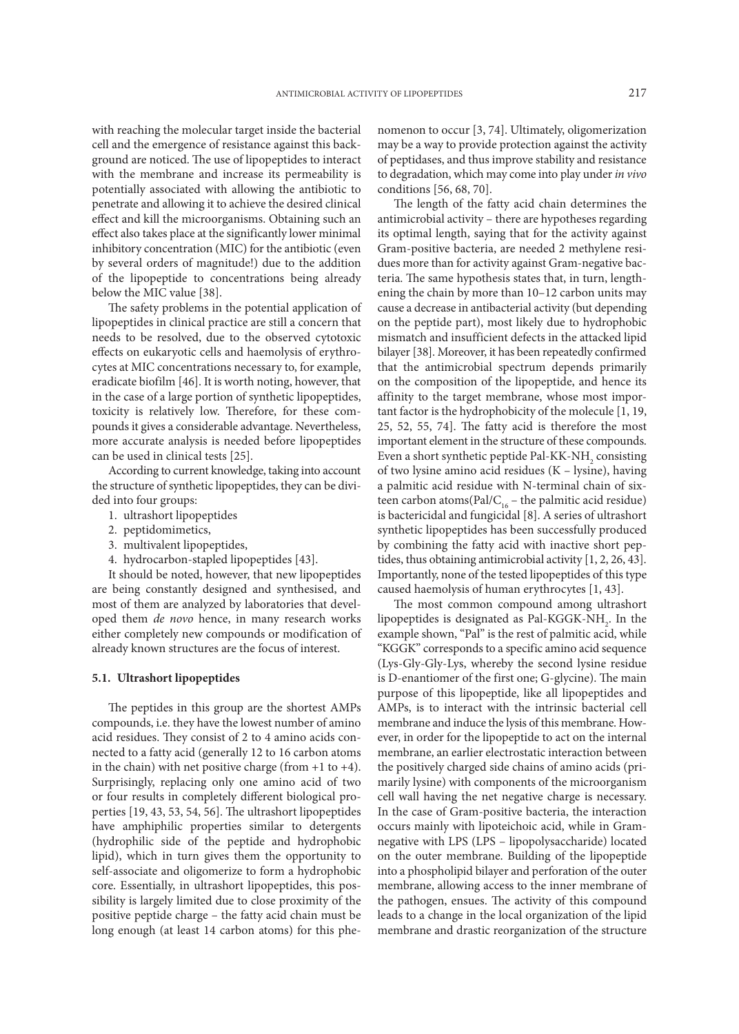with reaching the molecular target inside the bacterial cell and the emergence of resistance against this background are noticed. The use of lipopeptides to interact with the membrane and increase its permeability is potentially associated with allowing the antibiotic to penetrate and allowing it to achieve the desired clinical effect and kill the microorganisms. Obtaining such an effect also takes place at the significantly lower minimal inhibitory concentration (MIC) for the antibiotic (even by several orders of magnitude!) due to the addition of the lipopeptide to concentrations being already below the MIC value [38].

The safety problems in the potential application of lipopeptides in clinical practice are still a concern that needs to be resolved, due to the observed cytotoxic effects on eukaryotic cells and haemolysis of erythrocytes at MIC concentrations necessary to, for example, eradicate biofilm [46]. It is worth noting, however, that in the case of a large portion of synthetic lipopeptides, toxicity is relatively low. Therefore, for these compounds it gives a considerable advantage. Nevertheless, more accurate analysis is needed before lipopeptides can be used in clinical tests [25].

According to current knowledge, taking into account the structure of synthetic lipopeptides, they can be divided into four groups:

- 1. ultrashort lipopeptides
- 2. peptidomimetics,
- 3. multivalent lipopeptides,
- 4. hydrocarbon-stapled lipopeptides [43].

It should be noted, however, that new lipopeptides are being constantly designed and synthesised, and most of them are analyzed by laboratories that developed them *de novo* hence, in many research works either completely new compounds or modification of already known structures are the focus of interest.

### **5.1. Ultrashort lipopeptides**

The peptides in this group are the shortest AMPs compounds, i.e. they have the lowest number of amino acid residues. They consist of 2 to 4 amino acids connected to a fatty acid (generally 12 to 16 carbon atoms in the chain) with net positive charge (from  $+1$  to  $+4$ ). Surprisingly, replacing only one amino acid of two or four results in completely different biological properties [19, 43, 53, 54, 56]. The ultrashort lipopeptides have amphiphilic properties similar to detergents (hydrophilic side of the peptide and hydrophobic lipid), which in turn gives them the opportunity to self-associate and oligomerize to form a hydrophobic core. Essentially, in ultrashort lipopeptides, this possibility is largely limited due to close proximity of the positive peptide charge – the fatty acid chain must be long enough (at least 14 carbon atoms) for this phenomenon to occur [3, 74]. Ultimately, oligomerization may be a way to provide protection against the activity of peptidases, and thus improve stability and resistance to degradation, which may come into play under *in vivo* conditions [56, 68, 70].

The length of the fatty acid chain determines the antimicrobial activity – there are hypotheses regarding its optimal length, saying that for the activity against Gram-positive bacteria, are needed 2 methylene residues more than for activity against Gram-negative bacteria. The same hypothesis states that, in turn, lengthening the chain by more than 10–12 carbon units may cause a decrease in antibacterial activity (but depending on the peptide part), most likely due to hydrophobic mismatch and insufficient defects in the attacked lipid bilayer [38]. Moreover, it has been repeatedly confirmed that the antimicrobial spectrum depends primarily on the composition of the lipopeptide, and hence its affinity to the target membrane, whose most important factor is the hydrophobicity of the molecule [1, 19, 25, 52, 55, 74]. The fatty acid is therefore the most important element in the structure of these compounds. Even a short synthetic peptide Pal-KK-NH<sub>2</sub> consisting of two lysine amino acid residues (K – lysine), having a palmitic acid residue with N-terminal chain of sixteen carbon atoms(Pal/C<sub>16</sub> – the palmitic acid residue) is bactericidal and fungicidal [8]. A series of ultrashort synthetic lipopeptides has been successfully produced by combining the fatty acid with inactive short peptides, thus obtaining antimicrobial activity [1, 2, 26, 43]. Importantly, none of the tested lipopeptides of this type caused haemolysis of human erythrocytes [1, 43].

The most common compound among ultrashort lipopeptides is designated as Pal-KGGK-NH<sub>2</sub>. In the example shown, "Pal" is the rest of palmitic acid, while "KGGK" corresponds to a specific amino acid sequence (Lys-Gly-Gly-Lys, whereby the second lysine residue is D-enantiomer of the first one; G-glycine). The main purpose of this lipopeptide, like all lipopeptides and AMPs, is to interact with the intrinsic bacterial cell membrane and induce the lysis of this membrane. However, in order for the lipopeptide to act on the internal membrane, an earlier electrostatic interaction between the positively charged side chains of amino acids (primarily lysine) with components of the microorganism cell wall having the net negative charge is necessary. In the case of Gram-positive bacteria, the interaction occurs mainly with lipoteichoic acid, while in Gramnegative with LPS (LPS – lipopolysaccharide) located on the outer membrane. Building of the lipopeptide into a phospholipid bilayer and perforation of the outer membrane, allowing access to the inner membrane of the pathogen, ensues. The activity of this compound leads to a change in the local organization of the lipid membrane and drastic reorganization of the structure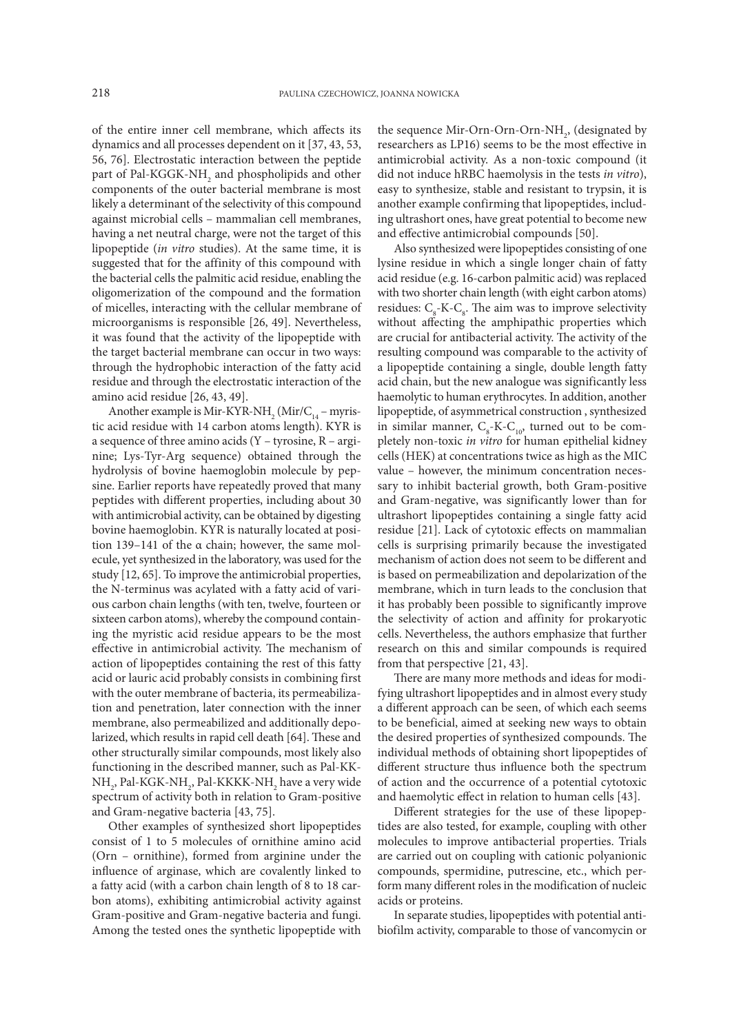of the entire inner cell membrane, which affects its dynamics and all processes dependent on it [37, 43, 53, 56, 76]. Electrostatic interaction between the peptide part of Pal-KGGK-NH<sub>2</sub> and phospholipids and other components of the outer bacterial membrane is most likely a determinant of the selectivity of this compound against microbial cells – mammalian cell membranes, having a net neutral charge, were not the target of this lipopeptide (*in vitro* studies). At the same time, it is suggested that for the affinity of this compound with the bacterial cells the palmitic acid residue, enabling the oligomerization of the compound and the formation of micelles, interacting with the cellular membrane of microorganisms is responsible [26, 49]. Nevertheless, it was found that the activity of the lipopeptide with the target bacterial membrane can occur in two ways: through the hydrophobic interaction of the fatty acid residue and through the electrostatic interaction of the amino acid residue [26, 43, 49].

Another example is Mir-KYR-NH<sub>2</sub> (Mir/C<sub>14</sub> – myristic acid residue with 14 carbon atoms length). KYR is a sequence of three amino acids (Y – tyrosine, R – arginine; Lys-Tyr-Arg sequence) obtained through the hydrolysis of bovine haemoglobin molecule by pepsine. Earlier reports have repeatedly proved that many peptides with different properties, including about 30 with antimicrobial activity, can be obtained by digesting bovine haemoglobin. KYR is naturally located at position 139–141 of the α chain; however, the same molecule, yet synthesized in the laboratory, was used for the study [12, 65]. To improve the antimicrobial properties, the N-terminus was acylated with a fatty acid of various carbon chain lengths (with ten, twelve, fourteen or sixteen carbon atoms), whereby the compound containing the myristic acid residue appears to be the most effective in antimicrobial activity. The mechanism of action of lipopeptides containing the rest of this fatty acid or lauric acid probably consists in combining first with the outer membrane of bacteria, its permeabilization and penetration, later connection with the inner membrane, also permeabilized and additionally depolarized, which results in rapid cell death [64]. These and other structurally similar compounds, most likely also functioning in the described manner, such as Pal-KK- $\mathrm{NH}_2$ , Pal-KGK-NH $_2$ Pal-KKKK-NH $_2$  have a very wide spectrum of activity both in relation to Gram-positive and Gram-negative bacteria [43, 75].

Other examples of synthesized short lipopeptides consist of 1 to 5 molecules of ornithine amino acid (Orn – ornithine), formed from arginine under the influence of arginase, which are covalently linked to a fatty acid (with a carbon chain length of 8 to 18 carbon atoms), exhibiting antimicrobial activity against Gram-positive and Gram-negative bacteria and fungi. Among the tested ones the synthetic lipopeptide with

the sequence Mir-Orn-Orn-Orn-NH<sub>2</sub>, (designated by researchers as LP16) seems to be the most effective in antimicrobial activity. As a non-toxic compound (it did not induce hRBC haemolysis in the tests *in vitro*), easy to synthesize, stable and resistant to trypsin, it is another example confirming that lipopeptides, including ultrashort ones, have great potential to become new and effective antimicrobial compounds [50].

Also synthesized were lipopeptides consisting of one lysine residue in which a single longer chain of fatty acid residue (e.g. 16-carbon palmitic acid) was replaced with two shorter chain length (with eight carbon atoms) residues:  $C_{\rm g}$ -K- $C_{\rm g}$ . The aim was to improve selectivity without affecting the amphipathic properties which are crucial for antibacterial activity. The activity of the resulting compound was comparable to the activity of a lipopeptide containing a single, double length fatty acid chain, but the new analogue was significantly less haemolytic to human erythrocytes. In addition, another lipopeptide, of asymmetrical construction , synthesized in similar manner,  $C_{\rm s}$ -K- $C_{\rm 10}$ , turned out to be completely non-toxic *in vitro* for human epithelial kidney cells (HEK) at concentrations twice as high as the MIC value – however, the minimum concentration necessary to inhibit bacterial growth, both Gram-positive and Gram-negative, was significantly lower than for ultrashort lipopeptides containing a single fatty acid residue [21]. Lack of cytotoxic effects on mammalian cells is surprising primarily because the investigated mechanism of action does not seem to be different and is based on permeabilization and depolarization of the membrane, which in turn leads to the conclusion that it has probably been possible to significantly improve the selectivity of action and affinity for prokaryotic cells. Nevertheless, the authors emphasize that further research on this and similar compounds is required from that perspective [21, 43].

There are many more methods and ideas for modifying ultrashort lipopeptides and in almost every study a different approach can be seen, of which each seems to be beneficial, aimed at seeking new ways to obtain the desired properties of synthesized compounds. The individual methods of obtaining short lipopeptides of different structure thus influence both the spectrum of action and the occurrence of a potential cytotoxic and haemolytic effect in relation to human cells [43].

Different strategies for the use of these lipopeptides are also tested, for example, coupling with other molecules to improve antibacterial properties. Trials are carried out on coupling with cationic polyanionic compounds, spermidine, putrescine, etc., which perform many different roles in the modification of nucleic acids or proteins.

In separate studies, lipopeptides with potential antibiofilm activity, comparable to those of vancomycin or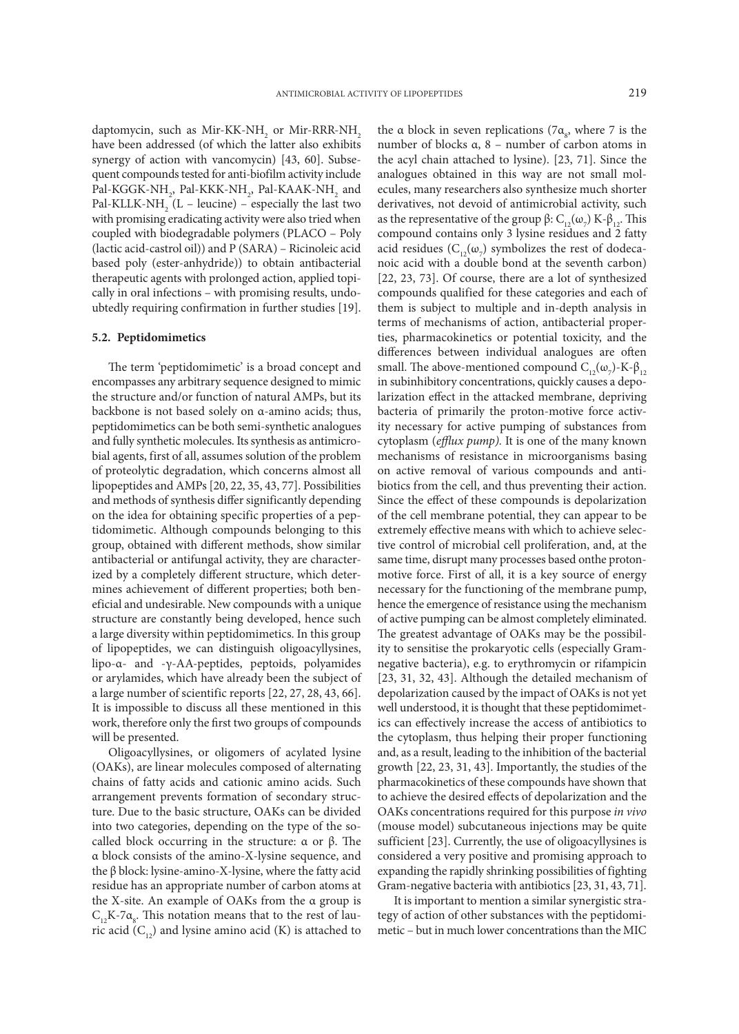daptomycin, such as Mir-KK-NH<sub>2</sub> or Mir-RRR-NH<sub>2</sub> have been addressed (of which the latter also exhibits synergy of action with vancomycin) [43, 60]. Subsequent compounds tested for anti-biofilm activity include Pal-KGGK-NH<sub>2</sub>, Pal-KKK-NH<sub>2</sub>, Pal-KAAK-NH<sub>2</sub> and Pal-KLLK-NH<sub>2</sub> (L – leucine) – especially the last two with promising eradicating activity were also tried when coupled with biodegradable polymers (PLACO – Poly (lactic acid-castrol oil)) and P (SARA) – Ricinoleic acid based poly (ester-anhydride)) to obtain antibacterial therapeutic agents with prolonged action, applied topically in oral infections – with promising results, undoubtedly requiring confirmation in further studies [19].

### **5.2. Peptidomimetics**

The term 'peptidomimetic' is a broad concept and encompasses any arbitrary sequence designed to mimic the structure and/or function of natural AMPs, but its backbone is not based solely on α-amino acids; thus, peptidomimetics can be both semi-synthetic analogues and fully synthetic molecules. Its synthesis as antimicrobial agents, first of all, assumes solution of the problem of proteolytic degradation, which concerns almost all lipopeptides and AMPs [20, 22, 35, 43, 77]. Possibilities and methods of synthesis differ significantly depending on the idea for obtaining specific properties of a peptidomimetic. Although compounds belonging to this group, obtained with different methods, show similar antibacterial or antifungal activity, they are characterized by a completely different structure, which determines achievement of different properties; both beneficial and undesirable. New compounds with a unique structure are constantly being developed, hence such a large diversity within peptidomimetics. In this group of lipopeptides, we can distinguish oligoacyllysines, lipo-α- and -γ-AA-peptides, peptoids, polyamides or arylamides, which have already been the subject of a large number of scientific reports [22, 27, 28, 43, 66]. It is impossible to discuss all these mentioned in this work, therefore only the first two groups of compounds will be presented.

Oligoacyllysines, or oligomers of acylated lysine (OAKs), are linear molecules composed of alternating chains of fatty acids and cationic amino acids. Such arrangement prevents formation of secondary structure. Due to the basic structure, OAKs can be divided into two categories, depending on the type of the socalled block occurring in the structure:  $\alpha$  or  $\beta$ . The α block consists of the amino-X-lysine sequence, and the β block: lysine-amino-X-lysine, where the fatty acid residue has an appropriate number of carbon atoms at the X-site. An example of OAKs from the α group is  $C_{12}K$ -7 $\alpha_{8}$ . This notation means that to the rest of lauric acid  $(C_{12})$  and lysine amino acid (K) is attached to

the a block in seven replications (7 $\alpha_{s}$ , where 7 is the number of blocks α, 8 – number of carbon atoms in the acyl chain attached to lysine). [23, 71]. Since the analogues obtained in this way are not small molecules, many researchers also synthesize much shorter derivatives, not devoid of antimicrobial activity, such as the representative of the group β:  $C_{12}(\omega_7)$  K-β<sub>12</sub>. This compound contains only 3 lysine residues and 2 fatty acid residues ( $\mathcal{C}_{12}(\omega_{7})$  symbolizes the rest of dodecanoic acid with a double bond at the seventh carbon) [22, 23, 73]. Of course, there are a lot of synthesized compounds qualified for these categories and each of them is subject to multiple and in-depth analysis in terms of mechanisms of action, antibacterial properties, pharmacokinetics or potential toxicity, and the differences between individual analogues are often small. The above-mentioned compound  $C_{12}(\omega_7)$ -K-β<sub>12</sub> in subinhibitory concentrations, quickly causes a depolarization effect in the attacked membrane, depriving bacteria of primarily the proton-motive force activity necessary for active pumping of substances from cytoplasm (*efflux pump).* It is one of the many known mechanisms of resistance in microorganisms basing on active removal of various compounds and antibiotics from the cell, and thus preventing their action. Since the effect of these compounds is depolarization of the cell membrane potential, they can appear to be extremely effective means with which to achieve selective control of microbial cell proliferation, and, at the same time, disrupt many processes based onthe protonmotive force. First of all, it is a key source of energy necessary for the functioning of the membrane pump, hence the emergence of resistance using the mechanism of active pumping can be almost completely eliminated. The greatest advantage of OAKs may be the possibility to sensitise the prokaryotic cells (especially Gramnegative bacteria), e.g. to erythromycin or rifampicin [23, 31, 32, 43]. Although the detailed mechanism of depolarization caused by the impact of OAKs is not yet well understood, it is thought that these peptidomimetics can effectively increase the access of antibiotics to the cytoplasm, thus helping their proper functioning and, as a result, leading to the inhibition of the bacterial growth [22, 23, 31, 43]. Importantly, the studies of the pharmacokinetics of these compounds have shown that to achieve the desired effects of depolarization and the OAKs concentrations required for this purpose *in vivo* (mouse model) subcutaneous injections may be quite sufficient [23]. Currently, the use of oligoacyllysines is considered a very positive and promising approach to expanding the rapidly shrinking possibilities of fighting Gram-negative bacteria with antibiotics [23, 31, 43, 71].

It is important to mention a similar synergistic strategy of action of other substances with the peptidomimetic – but in much lower concentrations than the MIC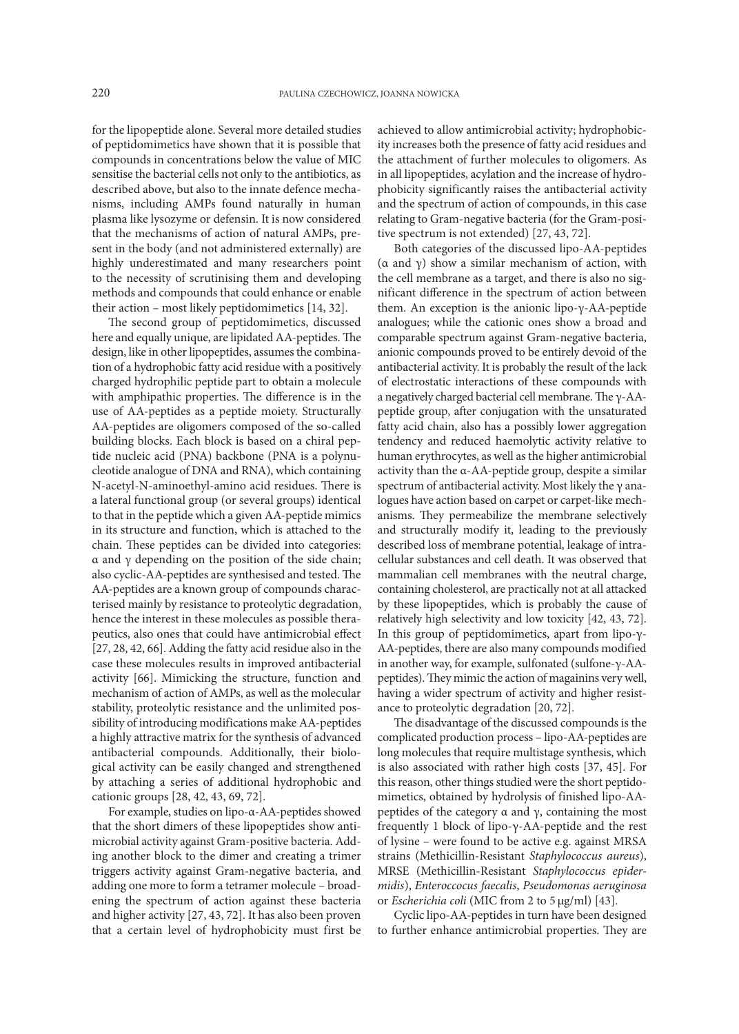for the lipopeptide alone. Several more detailed studies of peptidomimetics have shown that it is possible that compounds in concentrations below the value of MIC sensitise the bacterial cells not only to the antibiotics, as described above, but also to the innate defence mechanisms, including AMPs found naturally in human plasma like lysozyme or defensin. It is now considered that the mechanisms of action of natural AMPs, present in the body (and not administered externally) are highly underestimated and many researchers point to the necessity of scrutinising them and developing methods and compounds that could enhance or enable their action – most likely peptidomimetics [14, 32].

The second group of peptidomimetics, discussed here and equally unique, are lipidated AA-peptides. The design, like in other lipopeptides, assumes the combination of a hydrophobic fatty acid residue with a positively charged hydrophilic peptide part to obtain a molecule with amphipathic properties. The difference is in the use of AA-peptides as a peptide moiety. Structurally AA-peptides are oligomers composed of the so-called building blocks. Each block is based on a chiral peptide nucleic acid (PNA) backbone (PNA is a polynucleotide analogue of DNA and RNA), which containing N-acetyl-N-aminoethyl-amino acid residues. There is a lateral functional group (or several groups) identical to that in the peptide which a given AA-peptide mimics in its structure and function, which is attached to the chain. These peptides can be divided into categories: α and γ depending on the position of the side chain; also cyclic-AA-peptides are synthesised and tested. The AA-peptides are a known group of compounds characterised mainly by resistance to proteolytic degradation, hence the interest in these molecules as possible therapeutics, also ones that could have antimicrobial effect [27, 28, 42, 66]. Adding the fatty acid residue also in the case these molecules results in improved antibacterial activity [66]. Mimicking the structure, function and mechanism of action of AMPs, as well as the molecular stability, proteolytic resistance and the unlimited possibility of introducing modifications make AA-peptides a highly attractive matrix for the synthesis of advanced antibacterial compounds. Additionally, their biological activity can be easily changed and strengthened by attaching a series of additional hydrophobic and cationic groups [28, 42, 43, 69, 72].

For example, studies on lipo-α-AA-peptides showed that the short dimers of these lipopeptides show antimicrobial activity against Gram-positive bacteria. Adding another block to the dimer and creating a trimer triggers activity against Gram-negative bacteria, and adding one more to form a tetramer molecule – broadening the spectrum of action against these bacteria and higher activity [27, 43, 72]. It has also been proven that a certain level of hydrophobicity must first be

achieved to allow antimicrobial activity; hydrophobicity increases both the presence of fatty acid residues and the attachment of further molecules to oligomers. As in all lipopeptides, acylation and the increase of hydrophobicity significantly raises the antibacterial activity and the spectrum of action of compounds, in this case relating to Gram-negative bacteria (for the Gram-positive spectrum is not extended) [27, 43, 72].

Both categories of the discussed lipo-AA-peptides (α and γ) show a similar mechanism of action, with the cell membrane as a target, and there is also no significant difference in the spectrum of action between them. An exception is the anionic lipo-γ-AA-peptide analogues; while the cationic ones show a broad and comparable spectrum against Gram-negative bacteria, anionic compounds proved to be entirely devoid of the antibacterial activity. It is probably the result of the lack of electrostatic interactions of these compounds with a negatively charged bacterial cell membrane. The γ-AApeptide group, after conjugation with the unsaturated fatty acid chain, also has a possibly lower aggregation tendency and reduced haemolytic activity relative to human erythrocytes, as well as the higher antimicrobial activity than the α-AA-peptide group, despite a similar spectrum of antibacterial activity. Most likely the γ analogues have action based on carpet or carpet-like mechanisms. They permeabilize the membrane selectively and structurally modify it, leading to the previously described loss of membrane potential, leakage of intracellular substances and cell death. It was observed that mammalian cell membranes with the neutral charge, containing cholesterol, are practically not at all attacked by these lipopeptides, which is probably the cause of relatively high selectivity and low toxicity [42, 43, 72]. In this group of peptidomimetics, apart from lipo-γ-AA-peptides, there are also many compounds modified in another way, for example, sulfonated (sulfone-γ-AApeptides). They mimic the action of magainins very well, having a wider spectrum of activity and higher resistance to proteolytic degradation [20, 72].

The disadvantage of the discussed compounds is the complicated production process – lipo-AA-peptides are long molecules that require multistage synthesis, which is also associated with rather high costs [37, 45]. For this reason, other things studied were the short peptidomimetics, obtained by hydrolysis of finished lipo-AApeptides of the category α and γ, containing the most frequently 1 block of lipo-γ-AA-peptide and the rest of lysine – were found to be active e.g. against MRSA strains (Methicillin-Resistant *Staphylococcus aureus*), MRSE (Methicillin-Resistant *Staphylococcus epidermidis*), *Enteroccocus faecalis*, *Pseudomonas aeruginosa* or *Escherichia coli* (MIC from 2 to 5 μg/ml) [43].

Cyclic lipo-AA-peptides in turn have been designed to further enhance antimicrobial properties. They are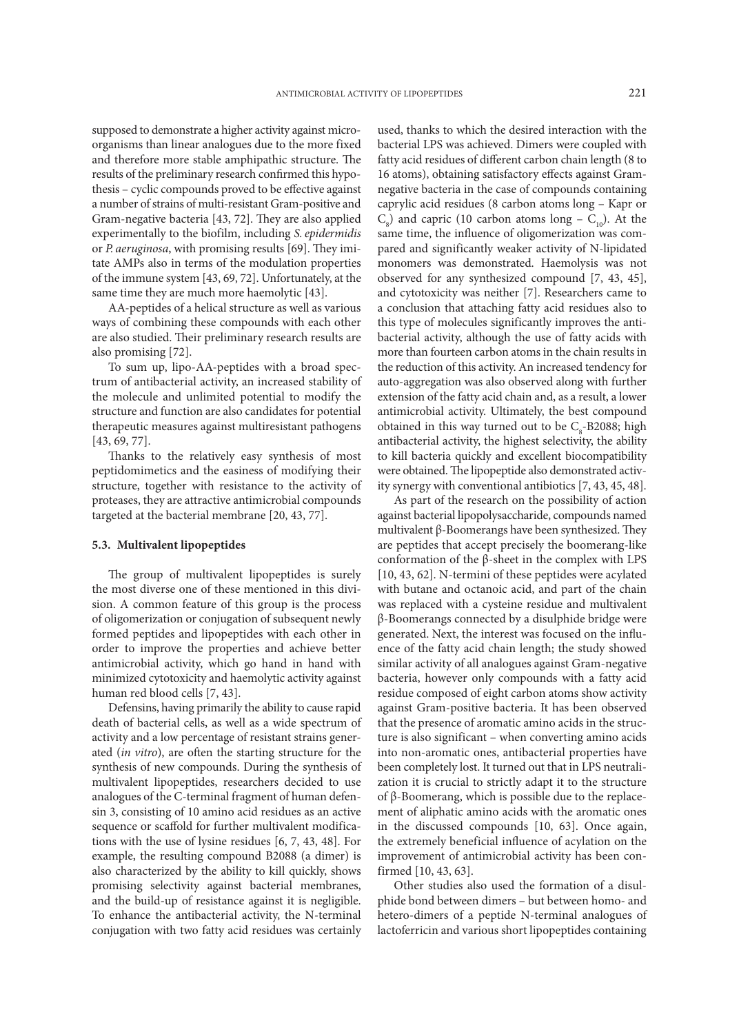supposed to demonstrate a higher activity against microorganisms than linear analogues due to the more fixed and therefore more stable amphipathic structure. The results of the preliminary research confirmed this hypothesis – cyclic compounds proved to be effective against a number of strains of multi-resistant Gram-positive and Gram-negative bacteria [43, 72]. They are also applied experimentally to the biofilm, including *S. epidermidis* or *P. aeruginosa*, with promising results [69]. They imitate AMPs also in terms of the modulation properties of the immune system [43, 69, 72]. Unfortunately, at the same time they are much more haemolytic [43].

AA-peptides of a helical structure as well as various ways of combining these compounds with each other are also studied. Their preliminary research results are also promising [72].

To sum up, lipo-AA-peptides with a broad spectrum of antibacterial activity, an increased stability of the molecule and unlimited potential to modify the structure and function are also candidates for potential therapeutic measures against multiresistant pathogens [43, 69, 77].

Thanks to the relatively easy synthesis of most peptidomimetics and the easiness of modifying their structure, together with resistance to the activity of proteases, they are attractive antimicrobial compounds targeted at the bacterial membrane [20, 43, 77].

## **5.3. Multivalent lipopeptides**

The group of multivalent lipopeptides is surely the most diverse one of these mentioned in this division. A common feature of this group is the process of oligomerization or conjugation of subsequent newly formed peptides and lipopeptides with each other in order to improve the properties and achieve better antimicrobial activity, which go hand in hand with minimized cytotoxicity and haemolytic activity against human red blood cells [7, 43].

Defensins, having primarily the ability to cause rapid death of bacterial cells, as well as a wide spectrum of activity and a low percentage of resistant strains generated (*in vitro*), are often the starting structure for the synthesis of new compounds. During the synthesis of multivalent lipopeptides, researchers decided to use analogues of the C-terminal fragment of human defensin 3, consisting of 10 amino acid residues as an active sequence or scaffold for further multivalent modifications with the use of lysine residues [6, 7, 43, 48]. For example, the resulting compound B2088 (a dimer) is also characterized by the ability to kill quickly, shows promising selectivity against bacterial membranes, and the build-up of resistance against it is negligible. To enhance the antibacterial activity, the N-terminal conjugation with two fatty acid residues was certainly

used, thanks to which the desired interaction with the bacterial LPS was achieved. Dimers were coupled with fatty acid residues of different carbon chain length (8 to 16 atoms), obtaining satisfactory effects against Gramnegative bacteria in the case of compounds containing caprylic acid residues (8 carbon atoms long – Kapr or  $C_8$ ) and capric (10 carbon atoms long –  $C_{10}$ ). At the same time, the influence of oligomerization was compared and significantly weaker activity of N-lipidated monomers was demonstrated. Haemolysis was not observed for any synthesized compound [7, 43, 45], and cytotoxicity was neither [7]. Researchers came to a conclusion that attaching fatty acid residues also to this type of molecules significantly improves the antibacterial activity, although the use of fatty acids with more than fourteen carbon atoms in the chain results in the reduction of this activity. An increased tendency for auto-aggregation was also observed along with further extension of the fatty acid chain and, as a result, a lower antimicrobial activity. Ultimately, the best compound obtained in this way turned out to be  $C_{8}$ -B2088; high antibacterial activity, the highest selectivity, the ability to kill bacteria quickly and excellent biocompatibility were obtained. The lipopeptide also demonstrated activity synergy with conventional antibiotics [7, 43, 45, 48].

As part of the research on the possibility of action against bacterial lipopolysaccharide, compounds named multivalent β-Boomerangs have been synthesized. They are peptides that accept precisely the boomerang-like conformation of the β-sheet in the complex with LPS [10, 43, 62]. N-termini of these peptides were acylated with butane and octanoic acid, and part of the chain was replaced with a cysteine residue and multivalent β-Boomerangs connected by a disulphide bridge were generated. Next, the interest was focused on the influence of the fatty acid chain length; the study showed similar activity of all analogues against Gram-negative bacteria, however only compounds with a fatty acid residue composed of eight carbon atoms show activity against Gram-positive bacteria. It has been observed that the presence of aromatic amino acids in the structure is also significant – when converting amino acids into non-aromatic ones, antibacterial properties have been completely lost. It turned out that in LPS neutralization it is crucial to strictly adapt it to the structure of β-Boomerang, which is possible due to the replacement of aliphatic amino acids with the aromatic ones in the discussed compounds [10, 63]. Once again, the extremely beneficial influence of acylation on the improvement of antimicrobial activity has been confirmed [10, 43, 63].

Other studies also used the formation of a disulphide bond between dimers – but between homo- and hetero-dimers of a peptide N-terminal analogues of lactoferricin and various short lipopeptides containing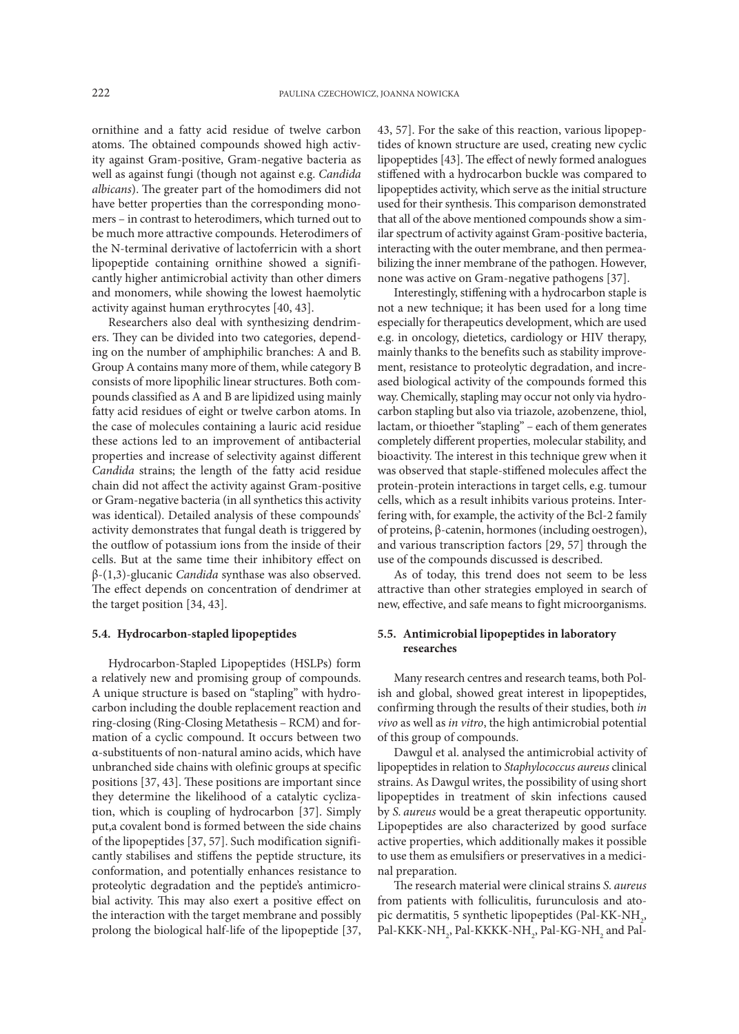ornithine and a fatty acid residue of twelve carbon atoms. The obtained compounds showed high activity against Gram-positive, Gram-negative bacteria as well as against fungi (though not against e.g. *Candida albicans*). The greater part of the homodimers did not have better properties than the corresponding monomers – in contrast to heterodimers, which turned out to be much more attractive compounds. Heterodimers of the N-terminal derivative of lactoferricin with a short lipopeptide containing ornithine showed a significantly higher antimicrobial activity than other dimers and monomers, while showing the lowest haemolytic activity against human erythrocytes [40, 43].

Researchers also deal with synthesizing dendrimers. They can be divided into two categories, depending on the number of amphiphilic branches: A and B. Group A contains many more of them, while category B consists of more lipophilic linear structures. Both compounds classified as A and B are lipidized using mainly fatty acid residues of eight or twelve carbon atoms. In the case of molecules containing a lauric acid residue these actions led to an improvement of antibacterial properties and increase of selectivity against different *Candida* strains; the length of the fatty acid residue chain did not affect the activity against Gram-positive or Gram-negative bacteria (in all synthetics this activity was identical). Detailed analysis of these compounds' activity demonstrates that fungal death is triggered by the outflow of potassium ions from the inside of their cells. But at the same time their inhibitory effect on β-(1,3)-glucanic *Candida* synthase was also observed. The effect depends on concentration of dendrimer at the target position [34, 43].

## **5.4. Hydrocarbon-stapled lipopeptides**

Hydrocarbon-Stapled Lipopeptides (HSLPs) form a relatively new and promising group of compounds. A unique structure is based on "stapling" with hydrocarbon including the double replacement reaction and ring-closing (Ring-Closing Metathesis – RCM) and formation of a cyclic compound. It occurs between two α-substituents of non-natural amino acids, which have unbranched side chains with olefinic groups at specific positions [37, 43]. These positions are important since they determine the likelihood of a catalytic cyclization, which is coupling of hydrocarbon [37]. Simply put,a covalent bond is formed between the side chains of the lipopeptides [37, 57]. Such modification significantly stabilises and stiffens the peptide structure, its conformation, and potentially enhances resistance to proteolytic degradation and the peptide's antimicrobial activity. This may also exert a positive effect on the interaction with the target membrane and possibly prolong the biological half-life of the lipopeptide [37,

43, 57]. For the sake of this reaction, various lipopeptides of known structure are used, creating new cyclic lipopeptides [43]. The effect of newly formed analogues stiffened with a hydrocarbon buckle was compared to lipopeptides activity, which serve as the initial structure used for their synthesis. This comparison demonstrated that all of the above mentioned compounds show a similar spectrum of activity against Gram-positive bacteria, interacting with the outer membrane, and then permeabilizing the inner membrane of the pathogen. However, none was active on Gram-negative pathogens [37].

Interestingly, stiffening with a hydrocarbon staple is not a new technique; it has been used for a long time especially for therapeutics development, which are used e.g. in oncology, dietetics, cardiology or HIV therapy, mainly thanks to the benefits such as stability improvement, resistance to proteolytic degradation, and increased biological activity of the compounds formed this way. Chemically, stapling may occur not only via hydrocarbon stapling but also via triazole, azobenzene, thiol, lactam, or thioether "stapling" – each of them generates completely different properties, molecular stability, and bioactivity. The interest in this technique grew when it was observed that staple-stiffened molecules affect the protein-protein interactions in target cells, e.g. tumour cells, which as a result inhibits various proteins. Interfering with, for example, the activity of the Bcl-2 family of proteins, β-catenin, hormones (including oestrogen), and various transcription factors [29, 57] through the use of the compounds discussed is described.

As of today, this trend does not seem to be less attractive than other strategies employed in search of new, effective, and safe means to fight microorganisms.

## **5.5. Antimicrobial lipopeptides in laboratory researches**

Many research centres and research teams, both Polish and global, showed great interest in lipopeptides, confirming through the results of their studies, both *in vivo* as well as *in vitro*, the high antimicrobial potential of this group of compounds.

Dawgul et al. analysed the antimicrobial activity of lipopeptides in relation to *Staphylococcus aureus* clinical strains. As Dawgul writes, the possibility of using short lipopeptides in treatment of skin infections caused by *S. aureus* would be a great therapeutic opportunity. Lipopeptides are also characterized by good surface active properties, which additionally makes it possible to use them as emulsifiers or preservatives in a medicinal preparation.

The research material were clinical strains *S. aureus*  from patients with folliculitis, furunculosis and atopic dermatitis, 5 synthetic lipopeptides (Pal-KK-NH<sub>2</sub>, Pal-KKK-NH $_{_2}$ , Pal-KKKK-NH $_{_2}$ , Pal-KG-NH $_{_2}$  and Pal-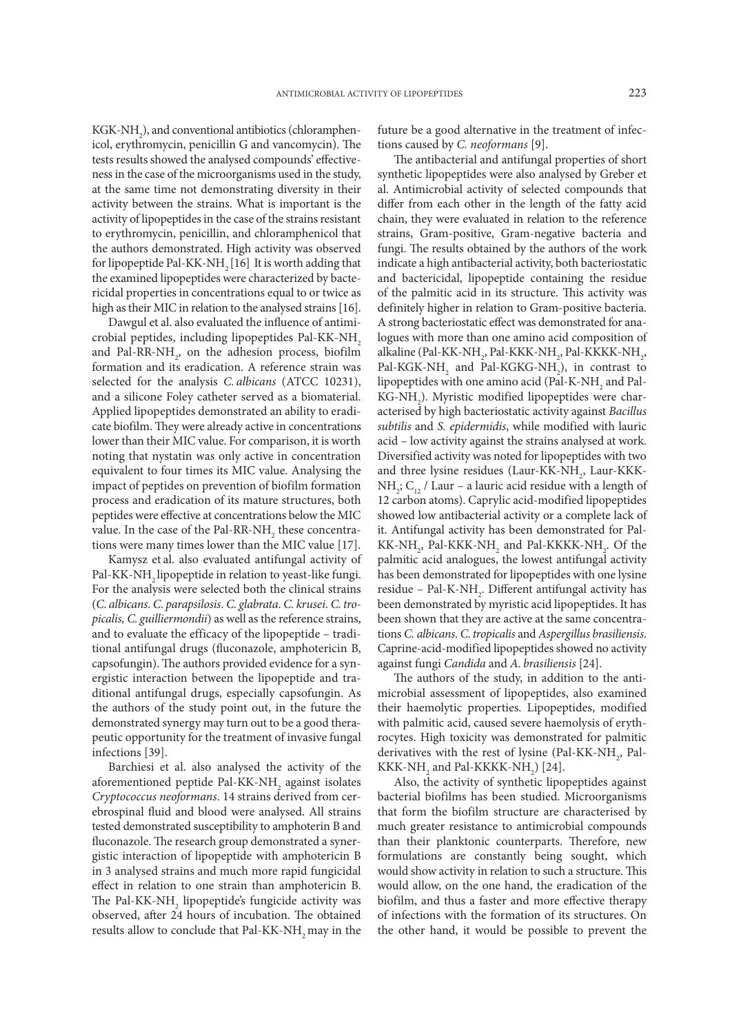$\text{KGK-NH}_2$ ), and conventional antibiotics (chloramphenicol, erythromycin, penicillin G and vancomycin). The tests results showed the analysed compounds' effectiveness in the case of the microorganisms used in the study, at the same time not demonstrating diversity in their activity between the strains. What is important is the activity of lipopeptides in the case of the strains resistant to erythromycin, penicillin, and chloramphenicol that the authors demonstrated. High activity was observed for lipopeptide Pal-KK-NH<sub>2</sub> [16] It is worth adding that the examined lipopeptides were characterized by bactericidal properties in concentrations equal to or twice as high as their MIC in relation to the analysed strains [16].

Dawgul et al. also evaluated the influence of antimicrobial peptides, including lipopeptides Pal-KK-NH<sub>2</sub> and Pal-RR-NH<sub>2</sub>, on the adhesion process, biofilm formation and its eradication. A reference strain was selected for the analysis *C. albicans* (ATCC 10231), and a silicone Foley catheter served as a biomaterial. Applied lipopeptides demonstrated an ability to eradicate biofilm. They were already active in concentrations lower than their MIC value. For comparison, it is worth noting that nystatin was only active in concentration equivalent to four times its MIC value. Analysing the impact of peptides on prevention of biofilm formation process and eradication of its mature structures, both peptides were effective at concentrations below the MIC value. In the case of the Pal-RR-NH<sub>2</sub> these concentrations were many times lower than the MIC value [17].

Kamysz et al. also evaluated antifungal activity of Pal-KK-NH<sub>2</sub> lipopeptide in relation to yeast-like fungi. For the analysis were selected both the clinical strains (*C. albicans*. *C. parapsilosis*. *C. glabrata*. *C. krusei*. *C.tropicalis, C. guilliermondii*) as well as the reference strains, and to evaluate the efficacy of the lipopeptide – traditional antifungal drugs (fluconazole, amphotericin B, capsofungin). The authors provided evidence for a synergistic interaction between the lipopeptide and traditional antifungal drugs, especially capsofungin. As the authors of the study point out, in the future the demonstrated synergy may turn out to be a good therapeutic opportunity for the treatment of invasive fungal infections [39].

Barchiesi et al. also analysed the activity of the aforementioned peptide Pal-KK-NH<sub>2</sub> against isolates *Cryptococcus neoformans*. 14 strains derived from cerebrospinal fluid and blood were analysed. All strains tested demonstrated susceptibility to amphoterin B and fluconazole. The research group demonstrated a synergistic interaction of lipopeptide with amphotericin B in 3 analysed strains and much more rapid fungicidal effect in relation to one strain than amphotericin B. The Pal-KK-NH<sub>2</sub> lipopeptide's fungicide activity was observed, after 24 hours of incubation. The obtained results allow to conclude that Pal-KK-NH<sub>2</sub> may in the

future be a good alternative in the treatment of infections caused by *C. neoformans* [9].

The antibacterial and antifungal properties of short synthetic lipopeptides were also analysed by Greber et al. Antimicrobial activity of selected compounds that differ from each other in the length of the fatty acid chain, they were evaluated in relation to the reference strains, Gram-positive, Gram-negative bacteria and fungi. The results obtained by the authors of the work indicate a high antibacterial activity, both bacteriostatic and bactericidal, lipopeptide containing the residue of the palmitic acid in its structure. This activity was definitely higher in relation to Gram-positive bacteria. A strong bacteriostatic effect was demonstrated for analogues with more than one amino acid composition of alkaline (Pal-KK-NH<sub>2</sub>, Pal-KKK-NH<sub>2</sub>, Pal-KKKK-NH<sub>2</sub>, Pal-KGK-NH<sub>2</sub> and Pal-KGKG-NH<sub>2</sub>), in contrast to lipopeptides with one amino acid (Pal-K-NH<sub>2</sub> and Pal- $\mathrm{KG\text{-}NH}_{2}$ ). Myristic modified lipopeptides were characterised by high bacteriostatic activity against *Bacillus subtilis* and *S. epidermidis*, while modified with lauric acid – low activity against the strains analysed at work. Diversified activity was noted for lipopeptides with two and three lysine residues (Laur-KK-NH<sub>2</sub>, Laur-KKK-NH<sub>2</sub>;  $C_{12}$  / Laur – a lauric acid residue with a length of 12 carbon atoms). Caprylic acid-modified lipopeptides showed low antibacterial activity or a complete lack of it. Antifungal activity has been demonstrated for Pal- $KK\text{-}NH_{_2}$ , Pal-KKK-NH<sub>2</sub> and Pal-KKKK-NH<sub>2</sub>. Of the palmitic acid analogues, the lowest antifungal activity has been demonstrated for lipopeptides with one lysine residue – Pal-K-NH<sub>2</sub>. Different antifungal activity has been demonstrated by myristic acid lipopeptides. It has been shown that they are active at the same concentrations *C. albicans*. *C.tropicalis* and *Aspergillus brasiliensis*. Caprine-acid-modified lipopeptides showed no activity against fungi *Candida* and *A. brasiliensis* [24].

The authors of the study, in addition to the antimicrobial assessment of lipopeptides, also examined their haemolytic properties. Lipopeptides, modified with palmitic acid, caused severe haemolysis of erythrocytes. High toxicity was demonstrated for palmitic derivatives with the rest of lysine (Pal-KK-NH<sub>2</sub>, Pal- $KKK\text{-}NH_{_2}$  and Pal-KKKK-NH<sub>2</sub>) [24].

Also, the activity of synthetic lipopeptides against bacterial biofilms has been studied. Microorganisms that form the biofilm structure are characterised by much greater resistance to antimicrobial compounds than their planktonic counterparts. Therefore, new formulations are constantly being sought, which would show activity in relation to such a structure. This would allow, on the one hand, the eradication of the biofilm, and thus a faster and more effective therapy of infections with the formation of its structures. On the other hand, it would be possible to prevent the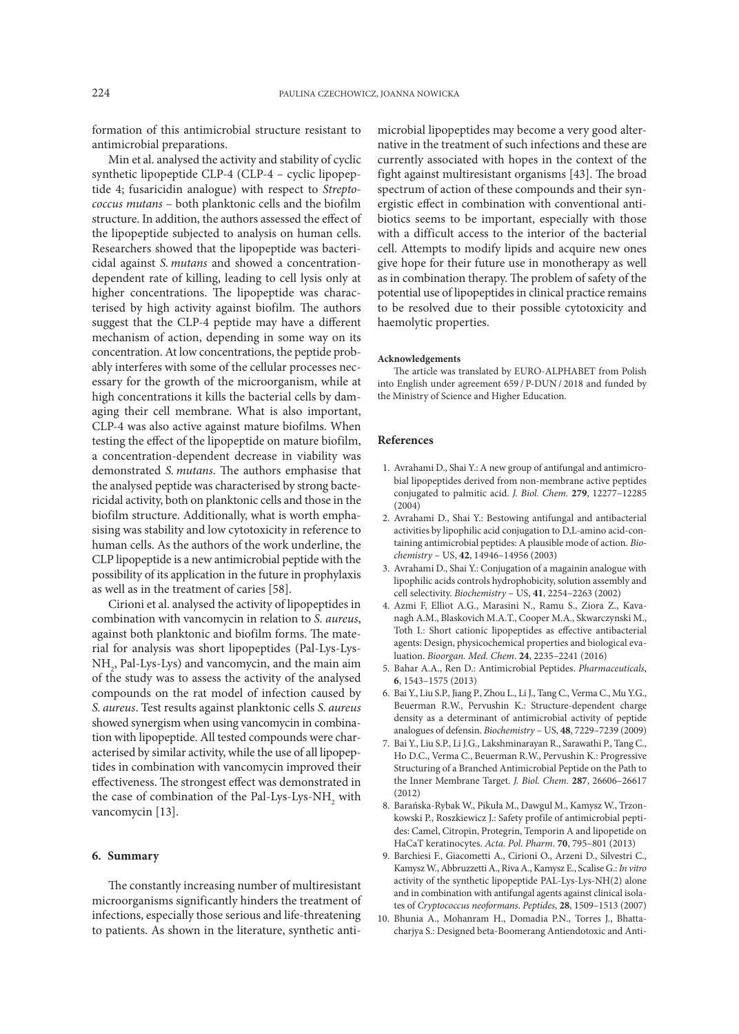formation of this antimicrobial structure resistant to antimicrobial preparations.

Min et al. analysed the activity and stability of cyclic synthetic lipopeptide CLP-4 (CLP-4 – cyclic lipopeptide 4; fusaricidin analogue) with respect to *Streptococcus mutans* – both planktonic cells and the biofilm structure. In addition, the authors assessed the effect of the lipopeptide subjected to analysis on human cells. Researchers showed that the lipopeptide was bactericidal against *S. mutans* and showed a concentrationdependent rate of killing, leading to cell lysis only at higher concentrations. The lipopeptide was characterised by high activity against biofilm. The authors suggest that the CLP-4 peptide may have a different mechanism of action, depending in some way on its concentration. At low concentrations, the peptide probably interferes with some of the cellular processes necessary for the growth of the microorganism, while at high concentrations it kills the bacterial cells by damaging their cell membrane. What is also important, CLP-4 was also active against mature biofilms. When testing the effect of the lipopeptide on mature biofilm, a concentration-dependent decrease in viability was demonstrated *S. mutans*. The authors emphasise that the analysed peptide was characterised by strong bactericidal activity, both on planktonic cells and those in the biofilm structure. Additionally, what is worth emphasising was stability and low cytotoxicity in reference to human cells. As the authors of the work underline, the CLP lipopeptide is a new antimicrobial peptide with the possibility of its application in the future in prophylaxis as well as in the treatment of caries [58].

Cirioni et al. analysed the activity of lipopeptides in combination with vancomycin in relation to *S. aureus*, against both planktonic and biofilm forms. The material for analysis was short lipopeptides (Pal-Lys-Lys-NH<sub>2</sub>, Pal-Lys-Lys) and vancomycin, and the main aim of the study was to assess the activity of the analysed compounds on the rat model of infection caused by *S. aureus*. Test results against planktonic cells *S. aureus* showed synergism when using vancomycin in combination with lipopeptide. All tested compounds were characterised by similar activity, while the use of all lipopeptides in combination with vancomycin improved their effectiveness. The strongest effect was demonstrated in the case of combination of the Pal-Lys-Lys-NH<sub>2</sub> with vancomycin [13].

### **6. Summary**

The constantly increasing number of multiresistant microorganisms significantly hinders the treatment of infections, especially those serious and life-threatening to patients. As shown in the literature, synthetic antimicrobial lipopeptides may become a very good alternative in the treatment of such infections and these are currently associated with hopes in the context of the fight against multiresistant organisms [43]. The broad spectrum of action of these compounds and their synergistic effect in combination with conventional antibiotics seems to be important, especially with those with a difficult access to the interior of the bacterial cell. Attempts to modify lipids and acquire new ones give hope for their future use in monotherapy as well as in combination therapy. The problem of safety of the potential use of lipopeptides in clinical practice remains to be resolved due to their possible cytotoxicity and haemolytic properties.

### **Acknowledgements**

The article was translated by EURO-ALPHABET from Polish into English under agreement 659 / P-DUN / 2018 and funded by the Ministry of Science and Higher Education.

### **References**

- 1. Avrahami D., Shai Y.: A new group of antifungal and antimicrobial lipopeptides derived from non-membrane active peptides conjugated to palmitic acid. *J. Biol. Chem.* **279**, 12277–12285 (2004)
- 2. Avrahami D., Shai Y.: Bestowing antifungal and antibacterial activities by lipophilic acid conjugation to D,L-amino acid-containing antimicrobial peptides: A plausible mode of action. *Biochemistry* – US, **42**, 14946–14956 (2003)
- 3. Avrahami D., Shai Y.: Conjugation of a magainin analogue with lipophilic acids controls hydrophobicity, solution assembly and cell selectivity. *Biochemistry* – US, **41**, 2254–2263 (2002)
- 4. Azmi F, Elliot A.G., Marasini N., Ramu S., Ziora Z., Kavanagh A.M., Blaskovich M.A.T., Cooper M.A., Skwarczynski M., Toth I.: Short cationic lipopeptides as effective antibacterial agents: Design, physicochemical properties and biological evaluation. *Bioorgan. Med. Chem*. **24**, 2235–2241 (2016)
- 5. Bahar A.A., Ren D.: Antimicrobial Peptides. *Pharmaceuticals*, **6**, 1543–1575 (2013)
- 6. Bai Y., Liu S.P., Jiang P., Zhou L., Li J., Tang C., Verma C., Mu Y.G., Beuerman R.W., Pervushin K.: Structure-dependent charge density as a determinant of antimicrobial activity of peptide analogues of defensin. *Biochemistry* – US, **48**, 7229–7239 (2009)
- 7. Bai Y., Liu S.P., Li J.G., Lakshminarayan R., Sarawathi P., Tang C., Ho D.C., Verma C., Beuerman R.W., Pervushin K.: Progressive Structuring of a Branched Antimicrobial Peptide on the Path to the Inner Membrane Target. *J. Biol. Chem.* **287**, 26606–26617 (2012)
- 8. Barańska-Rybak W., Pikuła M., Dawgul M., Kamysz W., Trzonkowski P., Roszkiewicz J.: Safety profile of antimicrobial peptides: Camel, Citropin, Protegrin, Temporin A and lipopetide on HaCaT keratinocytes. *Acta. Pol. Pharm*. **70**, 795–801 (2013)
- 9. Barchiesi F., Giacometti A., Cirioni O., Arzeni D., Silvestri C., Kamysz W., Abbruzzetti A., Riva A., Kamysz E., Scalise G.: *In vitro* activity of the synthetic lipopeptide PAL-Lys-Lys-NH(2) alone and in combination with antifungal agents against clinical isolates of *Cryptococcus neoformans*. *Peptides*, **28**, 1509–1513 (2007)
- 10. Bhunia A., Mohanram H., Domadia P.N., Torres J., Bhattacharjya S.: Designed beta-Boomerang Antiendotoxic and Anti-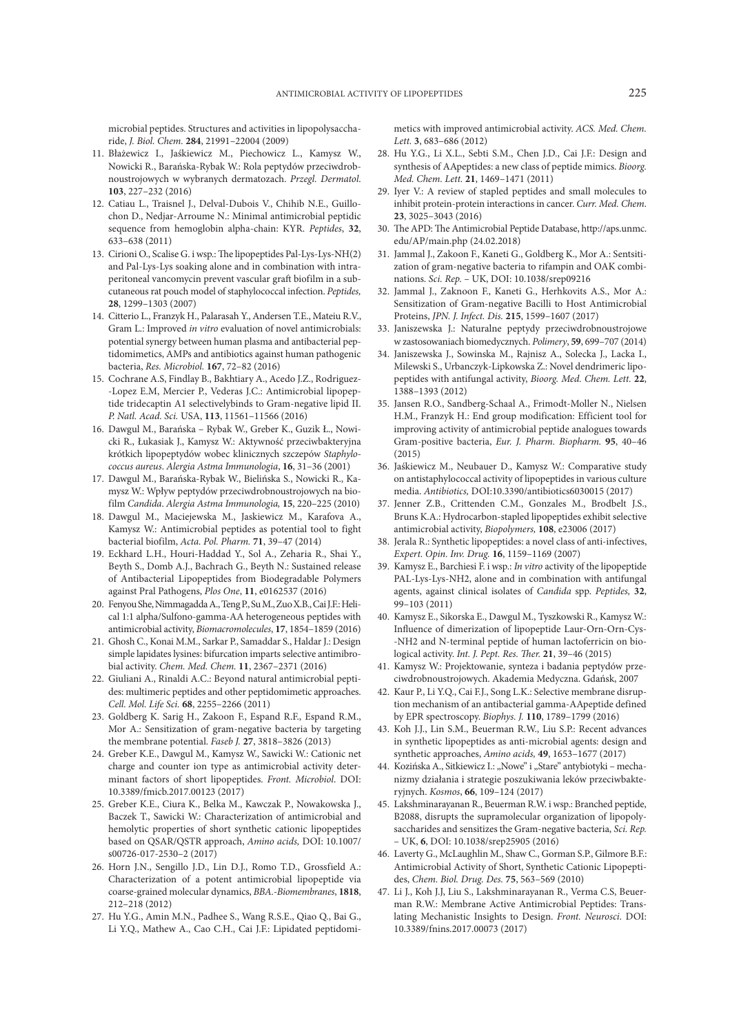microbial peptides. Structures and activities in lipopolysaccharide, *J. Biol. Chem.* **284**, 21991–22004 (2009)

- 11. Błażewicz I., Jaśkiewicz M., Piechowicz L., Kamysz W., Nowicki R., Barańska-Rybak W.: Rola peptydów przeciwdrobnoustrojowych w wybranych dermatozach. *Przegl. Dermatol*. **103**, 227–232 (2016)
- 12. Catiau L., Traisnel J., Delval-Dubois V., Chihib N.E., Guillochon D., Nedjar-Arroume N.: Minimal antimicrobial peptidic sequence from hemoglobin alpha-chain: KYR. *Peptides*, **32**, 633–638 (2011)
- 13. Cirioni O., Scalise G. i wsp.: The lipopeptides Pal-Lys-Lys-NH(2) and Pal-Lys-Lys soaking alone and in combination with intraperitoneal vancomycin prevent vascular graft biofilm in a subcutaneous rat pouch model of staphylococcal infection. *Peptides,*  **28**, 1299–1303 (2007)
- 14. Citterio L., Franzyk H., Palarasah Y., Andersen T.E., Mateiu R.V., Gram L.: Improved *in vitro* evaluation of novel antimicrobials: potential synergy between human plasma and antibacterial peptidomimetics, AMPs and antibiotics against human pathogenic bacteria, *Res. Microbiol.* **167**, 72–82 (2016)
- 15. Cochrane A.S, Findlay B., Bakhtiary A., Acedo J.Z., Rodriguez- -Lopez E.M, Mercier P., Vederas J.C.: Antimicrobial lipopeptide tridecaptin A1 selectivelybinds to Gram-negative lipid II. *P. Natl. Acad. Sci.* USA, **113**, 11561–11566 (2016)
- 16. Dawgul M., Barańska Rybak W., Greber K., Guzik Ł., Nowicki R., Łukasiak J., Kamysz W.: Aktywność przeciwbakteryjna krótkich lipopeptydów wobec klinicznych szczepów *Staphylococcus aureus*. *Alergia Astma Immunologia*, **16**, 31–36 (2001)
- 17. Dawgul M., Barańska-Rybak W., Bielińska S., Nowicki R., Kamysz W.: Wpływ peptydów przeciwdrobnoustrojowych na biofilm *Candida*. *Alergia Astma Immunologia,* **15**, 220–225 (2010)
- 18. Dawgul M., Maciejewska M., Jaskiewicz M., Karafova A., Kamysz W.: Antimicrobial peptides as potential tool to fight bacterial biofilm, *Acta. Pol. Pharm.* **71**, 39–47 (2014)
- 19. Eckhard L.H., Houri-Haddad Y., Sol A., Zeharia R., Shai Y., Beyth S., Domb A.J., Bachrach G., Beyth N.: Sustained release of Antibacterial Lipopeptides from Biodegradable Polymers against Pral Pathogens, *Plos One*, **11**, e0162537 (2016)
- 20. Fenyou She, Nimmagadda A., Teng P., Su M., Zuo X.B., Cai J.F.: Helical 1:1 alpha/Sulfono-gamma-AA heterogeneous peptides with antimicrobial activity, *Biomacromolecules*, **17**, 1854–1859 (2016)
- 21. Ghosh C., Konai M.M., Sarkar P., Samaddar S., Haldar J.: Design simple lapidates lysines: bifurcation imparts selective antimibrobial activity. *Chem. Med. Chem.* **11**, 2367–2371 (2016)
- 22. Giuliani A., Rinaldi A.C.: Beyond natural antimicrobial peptides: multimeric peptides and other peptidomimetic approaches. *Cell. Mol. Life Sci.* **68**, 2255–2266 (2011)
- 23. Goldberg K. Sarig H., Zakoon F., Espand R.F., Espand R.M., Mor A.: Sensitization of gram-negative bacteria by targeting the membrane potential. *Faseb J.* **27**, 3818–3826 (2013)
- 24. Greber K.E., Dawgul M., Kamysz W., Sawicki W.: Cationic net charge and counter ion type as antimicrobial activity determinant factors of short lipopeptides. *Front. Microbiol*. DOI: 10.3389/fmicb.2017.00123 (2017)
- 25. Greber K.E., Ciura K., Belka M., Kawczak P., Nowakowska J., Baczek T., Sawicki W.: Characterization of antimicrobial and hemolytic properties of short synthetic cationic lipopeptides based on QSAR/QSTR approach, *Amino acids,* DOI: 10.1007/ s00726-017-2530–2 (2017)
- 26. Horn J.N., Sengillo J.D., Lin D.J., Romo T.D., Grossfield A.: Characterization of a potent antimicrobial lipopeptide via coarse-grained molecular dynamics, *BBA.-Biomembranes*, **1818**, 212–218 (2012)
- 27. Hu Y.G., Amin M.N., Padhee S., Wang R.S.E., Qiao Q., Bai G., Li Y.Q., Mathew A., Cao C.H., Cai J.F.: Lipidated peptidomi-

metics with improved antimicrobial activity. *ACS. Med. Chem. Lett.* **3**, 683–686 (2012)

- 28. Hu Y.G., Li X.L., Sebti S.M., Chen J.D., Cai J.F.: Design and synthesis of AApeptides: a new class of peptide mimics. *Bioorg. Med. Chem. Lett.* **21**, 1469–1471 (2011)
- 29. Iyer V.: A review of stapled peptides and small molecules to inhibit protein-protein interactions in cancer. *Curr. Med. Chem*. **23**, 3025–3043 (2016)
- 30. The APD: The Antimicrobial Peptide Database, http://aps.unmc. edu/AP/main.php (24.02.2018)
- 31. Jammal J., Zakoon F., Kaneti G., Goldberg K., Mor A.: Sentsitization of gram-negative bacteria to rifampin and OAK combinations. *Sci. Rep.* – UK, DOI: 10.1038/srep09216
- 32. Jammal J., Zaknoon F., Kaneti G., Herhkovits A.S., Mor A.: Sensitization of Gram-negative Bacilli to Host Antimicrobial Proteins, *JPN. J. Infect. Dis.* **215**, 1599–1607 (2017)
- 33. Janiszewska J.: Naturalne peptydy przeciwdrobnoustrojowe w zastosowaniach biomedycznych. *Polimery*, **59**, 699–707 (2014)
- 34. Janiszewska J., Sowinska M., Rajnisz A., Solecka J., Lacka I., Milewski S., Urbanczyk-Lipkowska Z.: Novel dendrimeric lipopeptides with antifungal activity, *Bioorg. Med. Chem. Lett.* **22**, 1388–1393 (2012)
- 35. Jansen R.O., Sandberg-Schaal A., Frimodt-Moller N., Nielsen H.M., Franzyk H.: End group modification: Efficient tool for improving activity of antimicrobial peptide analogues towards Gram-positive bacteria, *Eur. J. Pharm. Biopharm.* **95**, 40–46 (2015)
- 36. Jaśkiewicz M., Neubauer D., Kamysz W.: Comparative study on antistaphylococcal activity of lipopeptides in various culture media. *Antibiotics,* DOI:10.3390/antibiotics6030015 (2017)
- 37. Jenner Z.B., Crittenden C.M., Gonzales M., Brodbelt J.S., Bruns K.A.: Hydrocarbon-stapled lipopeptides exhibit selective antimicrobial activity, *Biopolymers,* **108**, e23006 (2017)
- 38. Jerala R.: Synthetic lipopeptides: a novel class of anti-infectives, *Expert. Opin. Inv. Drug.* **16**, 1159–1169 (2007)
- 39. Kamysz E., Barchiesi F. i wsp.: *In vitro* activity of the lipopeptide PAL-Lys-Lys-NH2, alone and in combination with antifungal agents, against clinical isolates of *Candida* spp. *Peptides,* **32**, 99–103 (2011)
- 40. Kamysz E., Sikorska E., Dawgul M., Tyszkowski R., Kamysz W.: Influence of dimerization of lipopeptide Laur-Orn-Orn-Cys- -NH2 and N-terminal peptide of human lactoferricin on biological activity. *Int. J. Pept. Res. Ther.* **21**, 39–46 (2015)
- 41. Kamysz W.: Projektowanie, synteza i badania peptydów przeciwdrobnoustrojowych. Akademia Medyczna. Gdańsk, 2007
- 42. Kaur P., Li Y.Q., Cai F.J., Song L.K.: Selective membrane disruption mechanism of an antibacterial gamma-AApeptide defined by EPR spectroscopy. *Biophys. J.* **110**, 1789–1799 (2016)
- 43. Koh J.J., Lin S.M., Beuerman R.W., Liu S.P.: Recent advances in synthetic lipopeptides as anti-microbial agents: design and synthetic approaches, *Amino acids,* **49**, 1653–1677 (2017)
- 44. Kozińska A., Sitkiewicz I.: "Nowe" i "Stare" antybiotyki mechanizmy działania i strategie poszukiwania leków przeciwbakteryjnych. *Kosmos*, **66**, 109–124 (2017)
- 45. Lakshminarayanan R., Beuerman R.W. i wsp.: Branched peptide, B2088, disrupts the supramolecular organization of lipopolysaccharides and sensitizes the Gram-negative bacteria, *Sci. Rep.*  – UK, **6**, DOI: 10.1038/srep25905 (2016)
- 46. Laverty G., McLaughlin M., Shaw C., Gorman S.P., Gilmore B.F.: Antimicrobial Activity of Short, Synthetic Cationic Lipopeptides, *Chem. Biol. Drug. Des.* **75**, 563–569 (2010)
- 47. Li J., Koh J.J, Liu S., Lakshminarayanan R., Verma C.S, Beuerman R.W.: Membrane Active Antimicrobial Peptides: Translating Mechanistic Insights to Design. *Front. Neurosci*. DOI: 10.3389/fnins.2017.00073 (2017)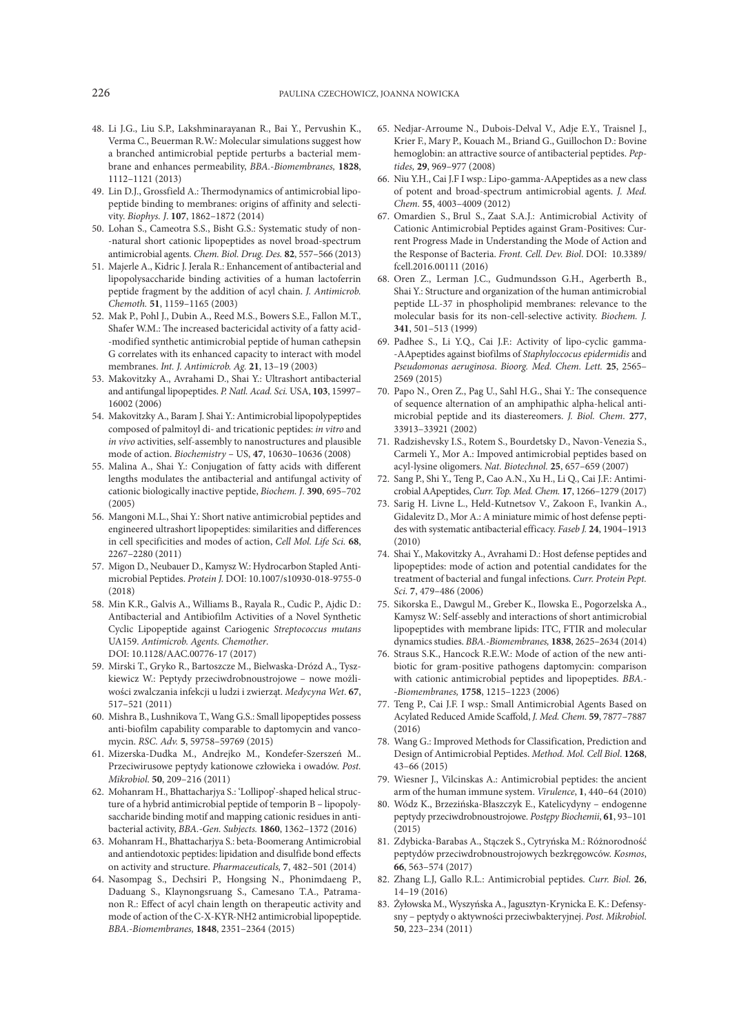- 48. Li J.G., Liu S.P., Lakshminarayanan R., Bai Y., Pervushin K., Verma C., Beuerman R.W.: Molecular simulations suggest how a branched antimicrobial peptide perturbs a bacterial membrane and enhances permeability, *BBA.-Biomembranes,* **1828**, 1112–1121 (2013)
- 49. Lin D.J., Grossfield A.: Thermodynamics of antimicrobial lipopeptide binding to membranes: origins of affinity and selectivity. *Biophys. J*. **107**, 1862–1872 (2014)
- 50. Lohan S., Cameotra S.S., Bisht G.S.: Systematic study of non- -natural short cationic lipopeptides as novel broad-spectrum antimicrobial agents. *Chem. Biol. Drug. Des.* **82**, 557–566 (2013)
- 51. Majerle A., Kidric J. Jerala R.: Enhancement of antibacterial and lipopolysaccharide binding activities of a human lactoferrin peptide fragment by the addition of acyl chain. *J. Antimicrob. Chemoth.* **51**, 1159–1165 (2003)
- 52. Mak P., Pohl J., Dubin A., Reed M.S., Bowers S.E., Fallon M.T., Shafer W.M.: The increased bactericidal activity of a fatty acid- -modified synthetic antimicrobial peptide of human cathepsin G correlates with its enhanced capacity to interact with model membranes. *Int. J. Antimicrob. Ag.* **21**, 13–19 (2003)
- 53. Makovitzky A., Avrahami D., Shai Y.: Ultrashort antibacterial and antifungal lipopeptides. *P. Natl. Acad. Sci.* USA, **103**, 15997– 16002 (2006)
- 54. Makovitzky A., Baram J. Shai Y.: Antimicrobial lipopolypeptides composed of palmitoyl di- and tricationic peptides: *in vitro* and *in vivo* activities, self-assembly to nanostructures and plausible mode of action. *Biochemistry* – US, **47**, 10630–10636 (2008)
- 55. Malina A., Shai Y.: Conjugation of fatty acids with different lengths modulates the antibacterial and antifungal activity of cationic biologically inactive peptide, *Biochem. J*. **390**, 695–702 (2005)
- 56. Mangoni M.L., Shai Y.: Short native antimicrobial peptides and engineered ultrashort lipopeptides: similarities and differences in cell specificities and modes of action, *Cell Mol. Life Sci.* **68**, 2267–2280 (2011)
- 57. Migon D., Neubauer D., Kamysz W.: Hydrocarbon Stapled Antimicrobial Peptides. *Protein J.* DOI: 10.1007/s10930-018-9755-0 (2018)
- 58. Min K.R., Galvis A., Williams B., Rayala R., Cudic P., Ajdic D.: Antibacterial and Antibiofilm Activities of a Novel Synthetic Cyclic Lipopeptide against Cariogenic *Streptococcus mutans* UA159. *Antimicrob. Agents. Chemother*. DOI: 10.1128/AAC.00776-17 (2017)
- 59. Mirski T., Gryko R., Bartoszcze M., Bielwaska-Drózd A., Tyszkiewicz W.: Peptydy przeciwdrobnoustrojowe – nowe możliwości zwalczania infekcji u ludzi i zwierząt. *Medycyna Wet*. **67**, 517–521 (2011)
- 60. Mishra B., Lushnikova T., Wang G.S.: Small lipopeptides possess anti-biofilm capability comparable to daptomycin and vancomycin. *RSC. Adv.* **5**, 59758–59769 (2015)
- 61. Mizerska-Dudka M., Andrejko M., Kondefer-Szerszeń M.. Przeciwirusowe peptydy kationowe człowieka i owadów. *Post. Mikrobiol*. **50**, 209–216 (2011)
- 62. Mohanram H., Bhattacharjya S.: 'Lollipop'-shaped helical structure of a hybrid antimicrobial peptide of temporin B – lipopolysaccharide binding motif and mapping cationic residues in antibacterial activity, *BBA.-Gen. Subjects.* **1860**, 1362–1372 (2016)
- 63. Mohanram H., Bhattacharjya S.: beta-Boomerang Antimicrobial and antiendotoxic peptides: lipidation and disulfide bond effects on activity and structure. *Pharmaceuticals,* **7**, 482–501 (2014)
- 64. Nasompag S., Dechsiri P., Hongsing N., Phonimdaeng P., Daduang S., Klaynongsruang S., Camesano T.A., Patramanon R.: Effect of acyl chain length on therapeutic activity and mode of action of the C-X-KYR-NH2 antimicrobial lipopeptide. *BBA.-Biomembranes,* **1848**, 2351–2364 (2015)
- 65. Nedjar-Arroume N., Dubois-Delval V., Adje E.Y., Traisnel J., Krier F., Mary P., Kouach M., Briand G., Guillochon D.: Bovine hemoglobin: an attractive source of antibacterial peptides. *Peptides,* **29**, 969–977 (2008)
- 66. Niu Y.H., Cai J.F I wsp.: Lipo-gamma-AApeptides as a new class of potent and broad-spectrum antimicrobial agents. *J. Med. Chem.* **55**, 4003–4009 (2012)
- 67. Omardien S., Brul S., Zaat S.A.J.: Antimicrobial Activity of Cationic Antimicrobial Peptides against Gram-Positives: Current Progress Made in Understanding the Mode of Action and the Response of Bacteria. *Front. Cell. Dev. Biol*. DOI: 10.3389/ fcell.2016.00111 (2016)
- 68. Oren Z., Lerman J.C., Gudmundsson G.H., Agerberth B., Shai Y.: Structure and organization of the human antimicrobial peptide LL-37 in phospholipid membranes: relevance to the molecular basis for its non-cell-selective activity. *Biochem. J.* **341**, 501–513 (1999)
- 69. Padhee S., Li Y.Q., Cai J.F.: Activity of lipo-cyclic gamma- -AApeptides against biofilms of *Staphyloccocus epidermidis* and *Pseudomonas aeruginosa*. *Bioorg. Med. Chem. Lett.* **25**, 2565– 2569 (2015)
- 70. Papo N., Oren Z., Pag U., Sahl H.G., Shai Y.: The consequence of sequence alternation of an amphipathic alpha-helical antimicrobial peptide and its diastereomers. *J. Biol. Chem*. **277**, 33913–33921 (2002)
- 71. Radzishevsky I.S., Rotem S., Bourdetsky D., Navon-Venezia S., Carmeli Y., Mor A.: Impoved antimicrobial peptides based on acyl-lysine oligomers. *Nat. Biotechnol.* **25**, 657–659 (2007)
- 72. Sang P., Shi Y., Teng P., Cao A.N., Xu H., Li Q., Cai J.F.: Antimicrobial AApeptides, *Curr. Top. Med. Chem.* **17**, 1266–1279 (2017)
- 73. Sarig H. Livne L., Held-Kutnetsov V., Zakoon F., Ivankin A., Gidalevitz D., Mor A.: A miniature mimic of host defense peptides with systematic antibacterial efficacy. *Faseb J.* **24**, 1904–1913 (2010)
- 74. Shai Y., Makovitzky A., Avrahami D.: Host defense peptides and lipopeptides: mode of action and potential candidates for the treatment of bacterial and fungal infections. *Curr. Protein Pept. Sci.* **7**, 479–486 (2006)
- 75. Sikorska E., Dawgul M., Greber K., Ilowska E., Pogorzelska A., Kamysz W.: Self-assebly and interactions of short antimicrobial lipopeptides with membrane lipids: ITC, FTIR and molecular dynamics studies. *BBA.-Biomembranes,* **1838**, 2625–2634 (2014)
- 76. Straus S.K., Hancock R.E.W.: Mode of action of the new antibiotic for gram-positive pathogens daptomycin: comparison with cationic antimicrobial peptides and lipopeptides. *BBA. -Biomembranes,* **1758**, 1215–1223 (2006)
- 77. Teng P., Cai J.F. I wsp.: Small Antimicrobial Agents Based on Acylated Reduced Amide Scaffold, *J. Med. Chem.* **59**, 7877–7887 (2016)
- 78. Wang G.: Improved Methods for Classification, Prediction and Design of Antimicrobial Peptides. *Method. Mol. Cell Biol*. **1268**, 43–66 (2015)
- 79. Wiesner J., Vilcinskas A.: Antimicrobial peptides: the ancient arm of the human immune system. *Virulence*, **1**, 440–64 (2010)
- 80. Wódz K., Brzezińska-Błaszczyk E., Katelicydyny endogenne peptydy przeciwdrobnoustrojowe. *Postępy Biochemii*, **61**, 93–101 (2015)
- 81. Zdybicka-Barabas A., Stączek S., Cytryńska M.: Różnorodność peptydów przeciwdrobnoustrojowych bezkręgowców. *Kosmos*, **66**, 563–574 (2017)
- 82. Zhang L.J, Gallo R.L.: Antimicrobial peptides. *Curr. Biol*. **26**, 14–19 (2016)
- 83. Żyłowska M., Wyszyńska A., Jagusztyn-Krynicka E. K.: Defensysny – peptydy o aktywności przeciwbakteryjnej. *Post. Mikrobiol*. **50**, 223–234 (2011)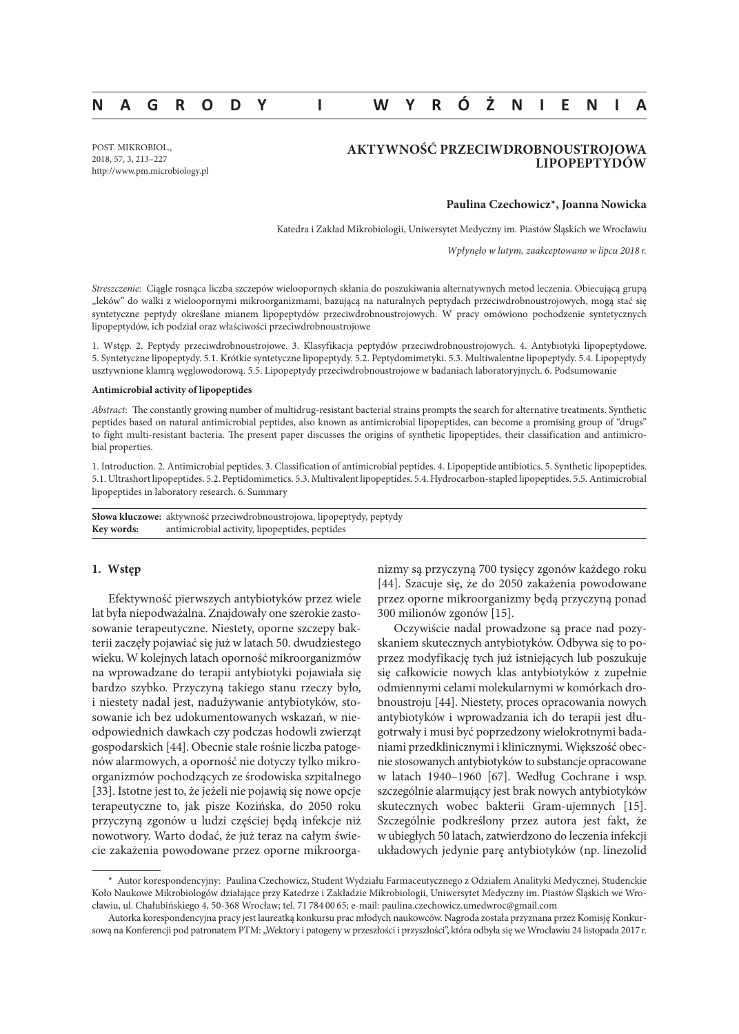# **NAGRODY I WYRÓŻNIENIA**

POST. MIKROBIOL., 2018, 57, 3, 213–227 http://www.pm.microbiology.pl

# **AKTYWNOŚĆ PRZECIWDROBNOUSTROJOWA LIPOPEPTYDÓW**

## **Paulina Czechowicz\*, Joanna Nowicka**

Katedra i Zakład Mikrobiologii, Uniwersytet Medyczny im. Piastów Śląskich we Wrocławiu

*Wpłynęło w lutym, zaakceptowano w lipcu 2018 r.*

*Streszczenie*: Ciągle rosnąca liczba szczepów wieloopornych skłania do poszukiwania alternatywnych metod leczenia. Obiecującą grupą "leków" do walki z wieloopornymi mikroorganizmami, bazującą na naturalnych peptydach przeciwdrobnoustrojowych, mogą stać się syntetyczne peptydy określane mianem lipopeptydów przeciwdrobnoustrojowych. W pracy omówiono pochodzenie syntetycznych lipopeptydów, ich podział oraz właściwości przeciwdrobnoustrojowe

1. Wstęp. 2. Peptydy przeciwdrobnoustrojowe. 3. Klasyfikacja peptydów przeciwdrobnoustrojowych. 4. Antybiotyki lipopeptydowe. 5. Syntetyczne lipopeptydy. 5.1. Krótkie syntetyczne lipopeptydy. 5.2. Peptydomimetyki. 5.3. Multiwalentne lipopeptydy. 5.4. Lipopeptydy usztywnione klamrą węglowodorową. 5.5. Lipopeptydy przeciwdrobnoustrojowe w badaniach laboratoryjnych. 6. Podsumowanie

### **Antimicrobial activity of lipopeptides**

*Abstract*: The constantly growing number of multidrug-resistant bacterial strains prompts the search for alternative treatments. Synthetic peptides based on natural antimicrobial peptides, also known as antimicrobial lipopeptides, can become a promising group of "drugs" to fight multi-resistant bacteria. The present paper discusses the origins of synthetic lipopeptides, their classification and antimicrobial properties.

1. Introduction. 2. Antimicrobial peptides. 3. Classification of antimicrobial peptides. 4. Lipopeptide antibiotics. 5. Synthetic lipopeptides. 5.1. Ultrashort lipopeptides. 5.2. Peptidomimetics. 5.3. Multivalent lipopeptides. 5.4. Hydrocarbon-stapled lipopeptides. 5.5. Antimicrobial lipopeptides in laboratory research. 6. Summary

**Słowa kluczowe:** aktywność przeciwdrobnoustrojowa, lipopeptydy, peptydy **Key words:** antimicrobial activity, lipopeptides, peptides

### **1. Wstęp**

Efektywność pierwszych antybiotyków przez wiele lat była niepodważalna. Znajdowały one szerokie zastosowanie terapeutyczne. Niestety, oporne szczepy bakterii zaczęły pojawiać się już w latach 50. dwudziestego wieku. W kolejnych latach oporność mikroorganizmów na wprowadzane do terapii antybiotyki pojawiała się bardzo szybko. Przyczyną takiego stanu rzeczy było, i niestety nadal jest, nadużywanie antybiotyków, stosowanie ich bez udokumentowanych wskazań, w nieodpowiednich dawkach czy podczas hodowli zwierząt gospodarskich [44]. Obecnie stale rośnie liczba patogenów alarmowych, a oporność nie dotyczy tylko mikroorganizmów pochodzących ze środowiska szpitalnego [33]. Istotne jest to, że jeżeli nie pojawią się nowe opcje terapeutyczne to, jak pisze Kozińska, do 2050 roku przyczyną zgonów u ludzi częściej będą infekcje niż nowotwory. Warto dodać, że już teraz na całym świecie zakażenia powodowane przez oporne mikroorganizmy są przyczyną 700 tysięcy zgonów każdego roku [44]. Szacuje się, że do 2050 zakażenia powodowane przez oporne mikroorganizmy będą przyczyną ponad 300 milionów zgonów [15].

Oczywiście nadal prowadzone są prace nad pozyskaniem skutecznych antybiotyków. Odbywa się to poprzez modyfikację tych już istniejących lub poszukuje się całkowicie nowych klas antybiotyków z zupełnie odmiennymi celami molekularnymi w komórkach drobnoustroju [44]. Niestety, proces opracowania nowych antybiotyków i wprowadzania ich do terapii jest długotrwały i musi być poprzedzony wielokrotnymi badaniami przedklinicznymi i klinicznymi. Większość obecnie stosowanych antybiotyków to substancje opracowane w latach 1940–1960 [67]. Według Cochrane i wsp. szczególnie alarmujący jest brak nowych antybiotyków skutecznych wobec bakterii Gram-ujemnych [15]. Szczególnie podkreślony przez autora jest fakt, że w ubiegłych 50 latach, zatwierdzono do leczenia infekcji układowych jedynie parę antybiotyków (np. linezolid

<sup>\*</sup> Autor korespondencyjny: Paulina Czechowicz, Student Wydziału Farmaceutycznego z Odziałem Analityki Medycznej, Studenckie Koło Naukowe Mikrobiologów działające przy Katedrze i Zakładzie Mikrobiologii, Uniwersytet Medyczny im. Piastów Śląskich we Wrocławiu, ul. Chałubińskiego 4, 50-368 Wrocław; tel. 71 784 00 65; e-mail: paulina.czechowicz.umedwroc@gmail.com

Autorka korespondencyjna pracy jest laureatką konkursu prac młodych naukowców. Nagroda została przyznana przez Komisję Konkursową na Konferencji pod patronatem PTM: "Wektory i patogeny w przeszłości i przyszłości", która odbyła się we Wrocławiu 24 listopada 2017 r.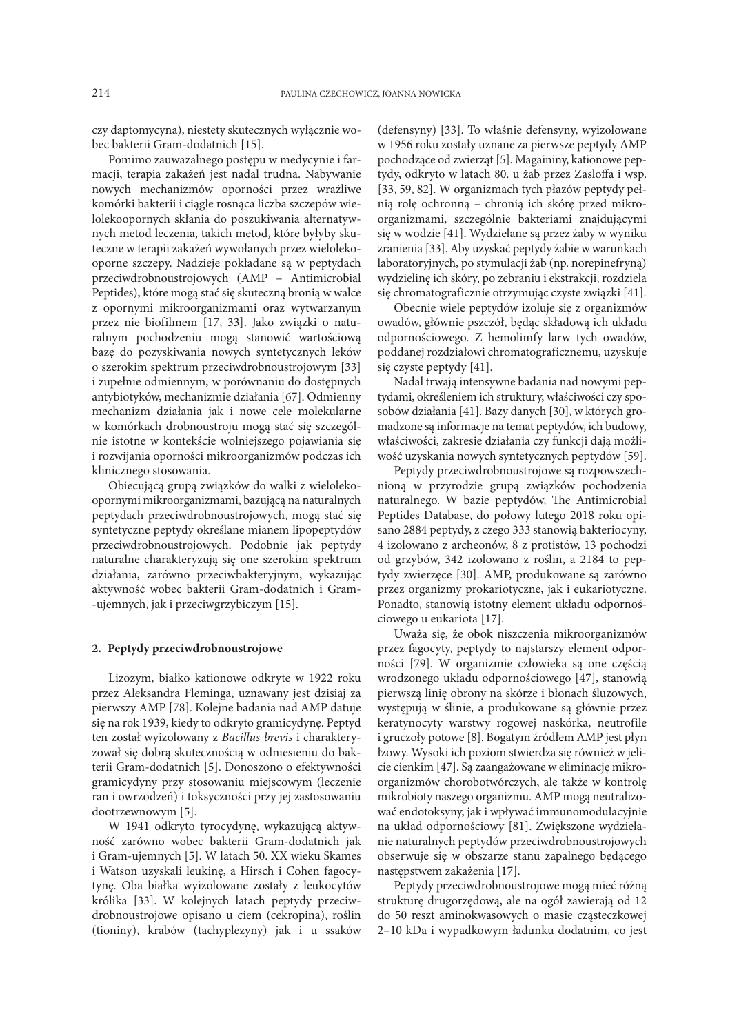czy daptomycyna), niestety skutecznych wyłącznie wobec bakterii Gram-dodatnich [15].

Pomimo zauważalnego postępu w medycynie i farmacji, terapia zakażeń jest nadal trudna. Nabywanie nowych mechanizmów oporności przez wrażliwe komórki bakterii i ciągle rosnąca liczba szczepów wielolekoopornych skłania do poszukiwania alternatywnych metod leczenia, takich metod, które byłyby skuteczne w terapii zakażeń wywołanych przez wielolekooporne szczepy. Nadzieje pokładane są w peptydach przeciwdrobnoustrojowych (AMP – Antimicrobial Peptides), które mogą stać się skuteczną bronią w walce z opornymi mikroorganizmami oraz wytwarzanym przez nie biofilmem [17, 33]. Jako związki o naturalnym pochodzeniu mogą stanowić wartościową bazę do pozyskiwania nowych syntetycznych leków o szerokim spektrum przeciwdrobnoustrojowym [33] i zupełnie odmiennym, w porównaniu do dostępnych antybiotyków, mechanizmie działania [67]. Odmienny mechanizm działania jak i nowe cele molekularne w komórkach drobnoustroju mogą stać się szczególnie istotne w kontekście wolniejszego pojawiania się i rozwijania oporności mikroorganizmów podczas ich klinicznego stosowania.

Obiecującą grupą związków do walki z wielolekoopornymi mikroorganizmami, bazującą na naturalnych peptydach przeciwdrobnoustrojowych, mogą stać się syntetyczne peptydy określane mianem lipopeptydów przeciwdrobnoustrojowych. Podobnie jak peptydy naturalne charakteryzują się one szerokim spektrum działania, zarówno przeciwbakteryjnym, wykazując aktywność wobec bakterii Gram-dodatnich i Gram- -ujemnych, jak i przeciwgrzybiczym [15].

## **2. Peptydy przeciwdrobnoustrojowe**

Lizozym, białko kationowe odkryte w 1922 roku przez Aleksandra Fleminga, uznawany jest dzisiaj za pierwszy AMP [78]. Kolejne badania nad AMP datuje się na rok 1939, kiedy to odkryto gramicydynę. Peptyd ten został wyizolowany z *Bacillus brevis* i charakteryzował się dobrą skutecznością w odniesieniu do bakterii Gram-dodatnich [5]. Donoszono o efektywności gramicydyny przy stosowaniu miejscowym (leczenie ran i owrzodzeń) i toksyczności przy jej zastosowaniu dootrzewnowym [5].

W 1941 odkryto tyrocydynę, wykazującą aktywność zarówno wobec bakterii Gram-dodatnich jak i Gram-ujemnych [5]. W latach 50. XX wieku Skames i Watson uzyskali leukinę, a Hirsch i Cohen fagocytynę. Oba białka wyizolowane zostały z leukocytów królika [33]. W kolejnych latach peptydy przeciwdrobnoustrojowe opisano u ciem (cekropina), roślin (tioniny), krabów (tachyplezyny) jak i u ssaków

(defensyny) [33]. To właśnie defensyny, wyizolowane w 1956 roku zostały uznane za pierwsze peptydy AMP pochodzące od zwierząt [5]. Magaininy, kationowe peptydy, odkryto w latach 80. u żab przez Zasloffa i wsp. [33, 59, 82]. W organizmach tych płazów peptydy pełnią rolę ochronną – chronią ich skórę przed mikroorganizmami, szczególnie bakteriami znajdującymi się w wodzie [41]. Wydzielane są przez żaby w wyniku zranienia [33]. Aby uzyskać peptydy żabie w warunkach laboratoryjnych, po stymulacji żab (np. norepinefryną) wydzielinę ich skóry, po zebraniu i ekstrakcji, rozdziela się chromatograficznie otrzymując czyste związki [41].

Obecnie wiele peptydów izoluje się z organizmów owadów, głównie pszczół, będąc składową ich układu odpornościowego. Z hemolimfy larw tych owadów, poddanej rozdziałowi chromatograficznemu, uzyskuje się czyste peptydy [41].

Nadal trwają intensywne badania nad nowymi peptydami, określeniem ich struktury, właściwości czy sposobów działania [41]. Bazy danych [30], w których gromadzone są informacje na temat peptydów, ich budowy, właściwości, zakresie działania czy funkcji dają możliwość uzyskania nowych syntetycznych peptydów [59].

Peptydy przeciwdrobnoustrojowe są rozpowszechnioną w przyrodzie grupą związków pochodzenia naturalnego. W bazie peptydów, The Antimicrobial Peptides Database, do połowy lutego 2018 roku opisano 2884 peptydy, z czego 333 stanowią bakteriocyny, 4 izolowano z archeonów, 8 z protistów, 13 pochodzi od grzybów, 342 izolowano z roślin, a 2184 to peptydy zwierzęce [30]. AMP, produkowane są zarówno przez organizmy prokariotyczne, jak i eukariotyczne. Ponadto, stanowią istotny element układu odpornościowego u eukariota [17].

Uważa się, że obok niszczenia mikroorganizmów przez fagocyty, peptydy to najstarszy element odporności [79]. W organizmie człowieka są one częścią wrodzonego układu odpornościowego [47], stanowią pierwszą linię obrony na skórze i błonach śluzowych, występują w ślinie, a produkowane są głównie przez keratynocyty warstwy rogowej naskórka, neutrofile i gruczoły potowe [8]. Bogatym źródłem AMP jest płyn łzowy. Wysoki ich poziom stwierdza się również w jelicie cienkim [47]. Są zaangażowane w eliminację mikroorganizmów chorobotwórczych, ale także w kontrolę mikrobioty naszego organizmu. AMP mogą neutralizować endotoksyny, jak i wpływać immunomodulacyjnie na układ odpornościowy [81]. Zwiększone wydzielanie naturalnych peptydów przeciwdrobnoustrojowych obserwuje się w obszarze stanu zapalnego będącego następstwem zakażenia [17].

Peptydy przeciwdrobnoustrojowe mogą mieć różną strukturę drugorzędową, ale na ogół zawierają od 12 do 50 reszt aminokwasowych o masie cząsteczkowej 2–10 kDa i wypadkowym ładunku dodatnim, co jest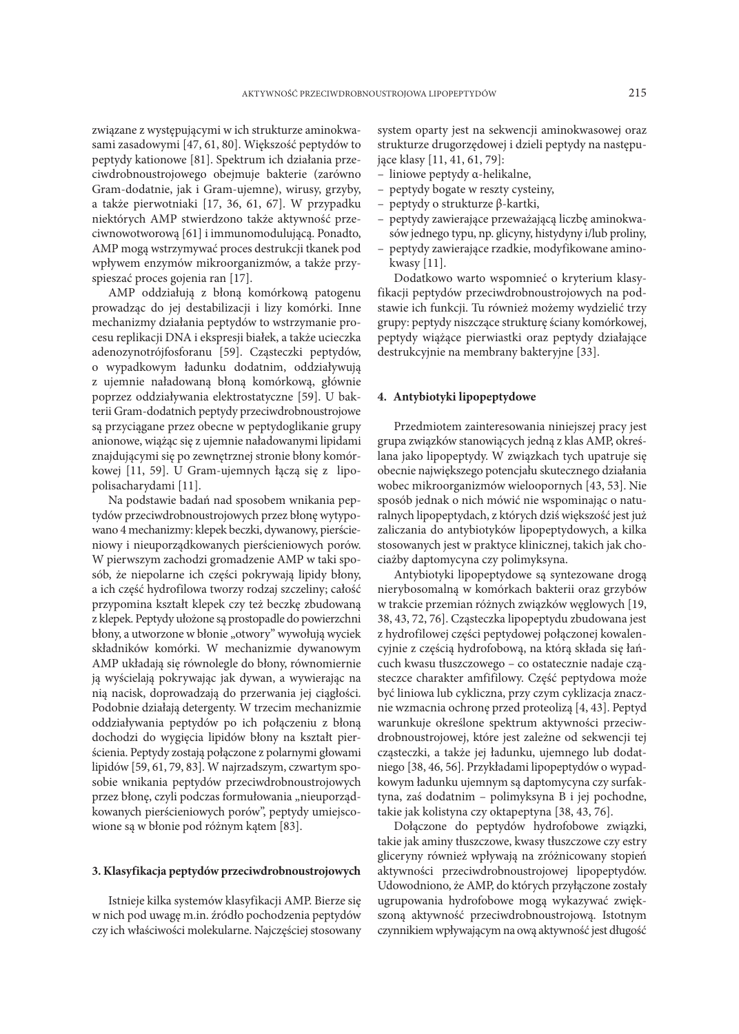związane z występującymi w ich strukturze aminokwasami zasadowymi [47, 61, 80]. Większość peptydów to peptydy kationowe [81]. Spektrum ich działania przeciwdrobnoustrojowego obejmuje bakterie (zarówno Gram-dodatnie, jak i Gram-ujemne), wirusy, grzyby, a także pierwotniaki [17, 36, 61, 67]. W przypadku niektórych AMP stwierdzono także aktywność przeciwnowotworową [61] i immunomodulującą. Ponadto, AMP mogą wstrzymywać proces destrukcji tkanek pod wpływem enzymów mikroorganizmów, a także przyspieszać proces gojenia ran [17].

AMP oddziałują z błoną komórkową patogenu prowadząc do jej destabilizacji i lizy komórki. Inne mechanizmy działania peptydów to wstrzymanie procesu replikacji DNA i ekspresji białek, a także ucieczka adenozynotrójfosforanu [59]. Cząsteczki peptydów, o wypadkowym ładunku dodatnim, oddziaływują z ujemnie naładowaną błoną komórkową, głównie poprzez oddziaływania elektrostatyczne [59]. U bakterii Gram-dodatnich peptydy przeciwdrobnoustrojowe są przyciągane przez obecne w peptydoglikanie grupy anionowe, wiążąc się z ujemnie naładowanymi lipidami znajdującymi się po zewnętrznej stronie błony komórkowej [11, 59]. U Gram-ujemnych łączą się z lipopolisacharydami [11].

Na podstawie badań nad sposobem wnikania peptydów przeciwdrobnoustrojowych przez błonę wytypowano 4 mechanizmy: klepek beczki, dywanowy, pierścieniowy i nieuporządkowanych pierścieniowych porów. W pierwszym zachodzi gromadzenie AMP w taki sposób, że niepolarne ich części pokrywają lipidy błony, a ich część hydrofilowa tworzy rodzaj szczeliny; całość przypomina kształt klepek czy też beczkę zbudowaną z klepek. Peptydy ułożone są prostopadle do powierzchni błony, a utworzone w błonie "otwory" wywołują wyciek składników komórki. W mechanizmie dywanowym AMP układają się równolegle do błony, równomiernie ją wyścielają pokrywając jak dywan, a wywierając na nią nacisk, doprowadzają do przerwania jej ciągłości. Podobnie działają detergenty. W trzecim mechanizmie oddziaływania peptydów po ich połączeniu z błoną dochodzi do wygięcia lipidów błony na kształt pierścienia. Peptydy zostają połączone z polarnymi głowami lipidów [59, 61, 79, 83]. W najrzadszym, czwartym sposobie wnikania peptydów przeciwdrobnoustrojowych przez błonę, czyli podczas formułowania "nieuporządkowanych pierścieniowych porów", peptydy umiejscowione są w błonie pod różnym kątem [83].

### **3. Klasyfikacja peptydów przeciwdrobnoustrojowych**

Istnieje kilka systemów klasyfikacji AMP. Bierze się w nich pod uwagę m.in. źródło pochodzenia peptydów czy ich właściwości molekularne. Najczęściej stosowany system oparty jest na sekwencji aminokwasowej oraz strukturze drugorzędowej i dzieli peptydy na następujące klasy [11, 41, 61, 79]:

- liniowe peptydy α-helikalne,
- peptydy bogate w reszty cysteiny,
- peptydy o strukturze β-kartki,
- peptydy zawierające przeważającą liczbę aminokwasów jednego typu, np. glicyny, histydyny i/lub proliny,
- peptydy zawierające rzadkie, modyfikowane aminokwasy [11].

Dodatkowo warto wspomnieć o kryterium klasyfikacji peptydów przeciwdrobnoustrojowych na podstawie ich funkcji. Tu również możemy wydzielić trzy grupy: peptydy niszczące strukturę ściany komórkowej, peptydy wiążące pierwiastki oraz peptydy działające destrukcyjnie na membrany bakteryjne [33].

## **4. Antybiotyki lipopeptydowe**

Przedmiotem zainteresowania niniejszej pracy jest grupa związków stanowiących jedną z klas AMP, określana jako lipopeptydy. W związkach tych upatruje się obecnie największego potencjału skutecznego działania wobec mikroorganizmów wieloopornych [43, 53]. Nie sposób jednak o nich mówić nie wspominając o naturalnych lipopeptydach, z których dziś większość jest już zaliczania do antybiotyków lipopeptydowych, a kilka stosowanych jest w praktyce klinicznej, takich jak chociażby daptomycyna czy polimyksyna.

Antybiotyki lipopeptydowe są syntezowane drogą nierybosomalną w komórkach bakterii oraz grzybów w trakcie przemian różnych związków węglowych [19, 38, 43, 72, 76]. Cząsteczka lipopeptydu zbudowana jest z hydrofilowej części peptydowej połączonej kowalencyjnie z częścią hydrofobową, na którą składa się łańcuch kwasu tłuszczowego – co ostatecznie nadaje cząsteczce charakter amfifilowy. Część peptydowa może być liniowa lub cykliczna, przy czym cyklizacja znacznie wzmacnia ochronę przed proteolizą [4, 43]. Peptyd warunkuje określone spektrum aktywności przeciwdrobnoustrojowej, które jest zależne od sekwencji tej cząsteczki, a także jej ładunku, ujemnego lub dodatniego [38, 46, 56]. Przykładami lipopeptydów o wypadkowym ładunku ujemnym są daptomycyna czy surfaktyna, zaś dodatnim – polimyksyna B i jej pochodne, takie jak kolistyna czy oktapeptyna [38, 43, 76].

Dołączone do peptydów hydrofobowe związki, takie jak aminy tłuszczowe, kwasy tłuszczowe czy estry gliceryny również wpływają na zróżnicowany stopień aktywności przeciwdrobnoustrojowej lipopeptydów. Udowodniono, że AMP, do których przyłączone zostały ugrupowania hydrofobowe mogą wykazywać zwiększoną aktywność przeciwdrobnoustrojową. Istotnym czynnikiem wpływającym na ową aktywność jest długość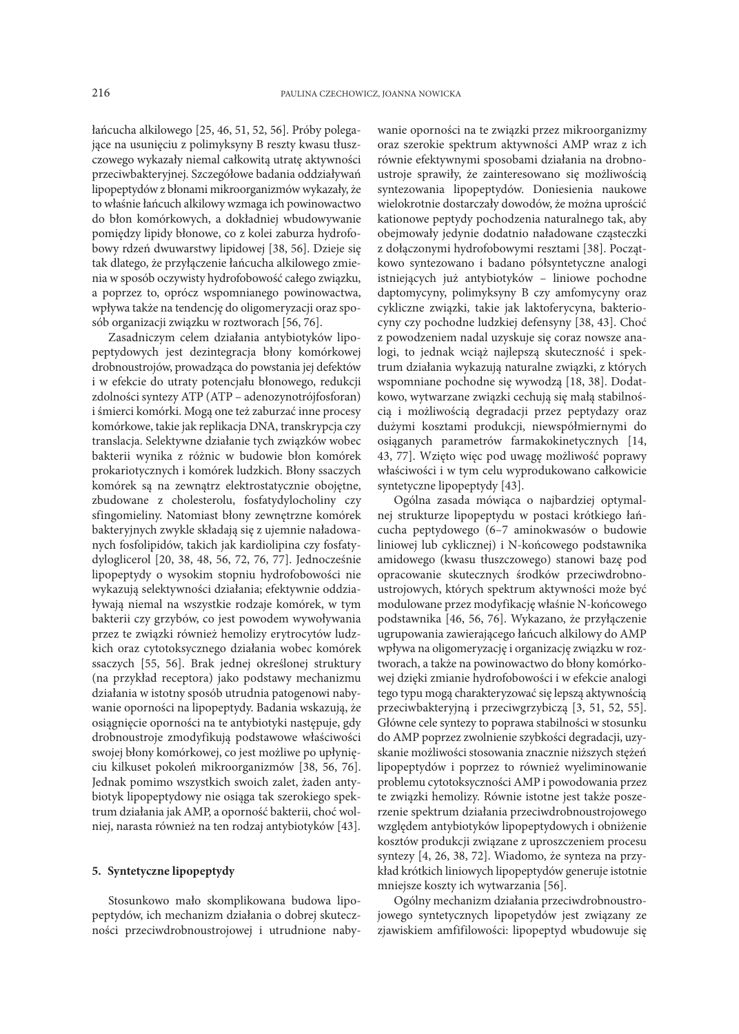łańcucha alkilowego [25, 46, 51, 52, 56]. Próby polegające na usunięciu z polimyksyny B reszty kwasu tłuszczowego wykazały niemal całkowitą utratę aktywności przeciwbakteryjnej. Szczegółowe badania oddziaływań lipopeptydów z błonami mikroorganizmów wykazały, że to właśnie łańcuch alkilowy wzmaga ich powinowactwo do błon komórkowych, a dokładniej wbudowywanie pomiędzy lipidy błonowe, co z kolei zaburza hydrofobowy rdzeń dwuwarstwy lipidowej [38, 56]. Dzieje się tak dlatego, że przyłączenie łańcucha alkilowego zmienia w sposób oczywisty hydrofobowość całego związku, a poprzez to, oprócz wspomnianego powinowactwa, wpływa także na tendencję do oligomeryzacji oraz sposób organizacji związku w roztworach [56, 76].

Zasadniczym celem działania antybiotyków lipopeptydowych jest dezintegracja błony komórkowej drobnoustrojów, prowadząca do powstania jej defektów i w efekcie do utraty potencjału błonowego, redukcji zdolności syntezy ATP (ATP – adenozynotrójfosforan) i śmierci komórki. Mogą one też zaburzać inne procesy komórkowe, takie jak replikacja DNA, transkrypcja czy translacja. Selektywne działanie tych związków wobec bakterii wynika z różnic w budowie błon komórek prokariotycznych i komórek ludzkich. Błony ssaczych komórek są na zewnątrz elektrostatycznie obojętne, zbudowane z cholesterolu, fosfatydylocholiny czy sfingomieliny. Natomiast błony zewnętrzne komórek bakteryjnych zwykle składają się z ujemnie naładowanych fosfolipidów, takich jak kardiolipina czy fosfatydyloglicerol [20, 38, 48, 56, 72, 76, 77]. Jednocześnie lipopeptydy o wysokim stopniu hydrofobowości nie wykazują selektywności działania; efektywnie oddziaływają niemal na wszystkie rodzaje komórek, w tym bakterii czy grzybów, co jest powodem wywoływania przez te związki również hemolizy erytrocytów ludzkich oraz cytotoksycznego działania wobec komórek ssaczych [55, 56]. Brak jednej określonej struktury (na przykład receptora) jako podstawy mechanizmu działania w istotny sposób utrudnia patogenowi nabywanie oporności na lipopeptydy. Badania wskazują, że osiągnięcie oporności na te antybiotyki następuje, gdy drobnoustroje zmodyfikują podstawowe właściwości swojej błony komórkowej, co jest możliwe po upłynięciu kilkuset pokoleń mikroorganizmów [38, 56, 76]. Jednak pomimo wszystkich swoich zalet, żaden antybiotyk lipopeptydowy nie osiąga tak szerokiego spektrum działania jak AMP, a oporność bakterii, choć wolniej, narasta również na ten rodzaj antybiotyków [43].

## **5. Syntetyczne lipopeptydy**

Stosunkowo mało skomplikowana budowa lipopeptydów, ich mechanizm działania o dobrej skuteczności przeciwdrobnoustrojowej i utrudnione nabywanie oporności na te związki przez mikroorganizmy oraz szerokie spektrum aktywności AMP wraz z ich równie efektywnymi sposobami działania na drobnoustroje sprawiły, że zainteresowano się możliwością syntezowania lipopeptydów. Doniesienia naukowe wielokrotnie dostarczały dowodów, że można uprościć kationowe peptydy pochodzenia naturalnego tak, aby obejmowały jedynie dodatnio naładowane cząsteczki z dołączonymi hydrofobowymi resztami [38]. Początkowo syntezowano i badano półsyntetyczne analogi istniejących już antybiotyków – liniowe pochodne daptomycyny, polimyksyny B czy amfomycyny oraz cykliczne związki, takie jak laktoferycyna, bakteriocyny czy pochodne ludzkiej defensyny [38, 43]. Choć z powodzeniem nadal uzyskuje się coraz nowsze analogi, to jednak wciąż najlepszą skuteczność i spektrum działania wykazują naturalne związki, z których wspomniane pochodne się wywodzą [18, 38]. Dodatkowo, wytwarzane związki cechują się małą stabilnością i możliwością degradacji przez peptydazy oraz dużymi kosztami produkcji, niewspółmiernymi do osiąganych parametrów farmakokinetycznych [14, 43, 77]. Wzięto więc pod uwagę możliwość poprawy właściwości i w tym celu wyprodukowano całkowicie syntetyczne lipopeptydy [43].

Ogólna zasada mówiąca o najbardziej optymalnej strukturze lipopeptydu w postaci krótkiego łańcucha peptydowego (6–7 aminokwasów o budowie liniowej lub cyklicznej) i N-końcowego podstawnika amidowego (kwasu tłuszczowego) stanowi bazę pod opracowanie skutecznych środków przeciwdrobnoustrojowych, których spektrum aktywności może być modulowane przez modyfikację właśnie N-końcowego podstawnika [46, 56, 76]. Wykazano, że przyłączenie ugrupowania zawierającego łańcuch alkilowy do AMP wpływa na oligomeryzację i organizację związku w roztworach, a także na powinowactwo do błony komórkowej dzięki zmianie hydrofobowości i w efekcie analogi tego typu mogą charakteryzować się lepszą aktywnością przeciwbakteryjną i przeciwgrzybiczą [3, 51, 52, 55]. Główne cele syntezy to poprawa stabilności w stosunku do AMP poprzez zwolnienie szybkości degradacji, uzyskanie możliwości stosowania znacznie niższych stężeń lipopeptydów i poprzez to również wyeliminowanie problemu cytotoksyczności AMP i powodowania przez te związki hemolizy. Równie istotne jest także poszerzenie spektrum działania przeciwdrobnoustrojowego względem antybiotyków lipopeptydowych i obniżenie kosztów produkcji związane z uproszczeniem procesu syntezy [4, 26, 38, 72]. Wiadomo, że synteza na przykład krótkich liniowych lipopeptydów generuje istotnie mniejsze koszty ich wytwarzania [56].

Ogólny mechanizm działania przeciwdrobnoustrojowego syntetycznych lipopetydów jest związany ze zjawiskiem amfifilowości: lipopeptyd wbudowuje się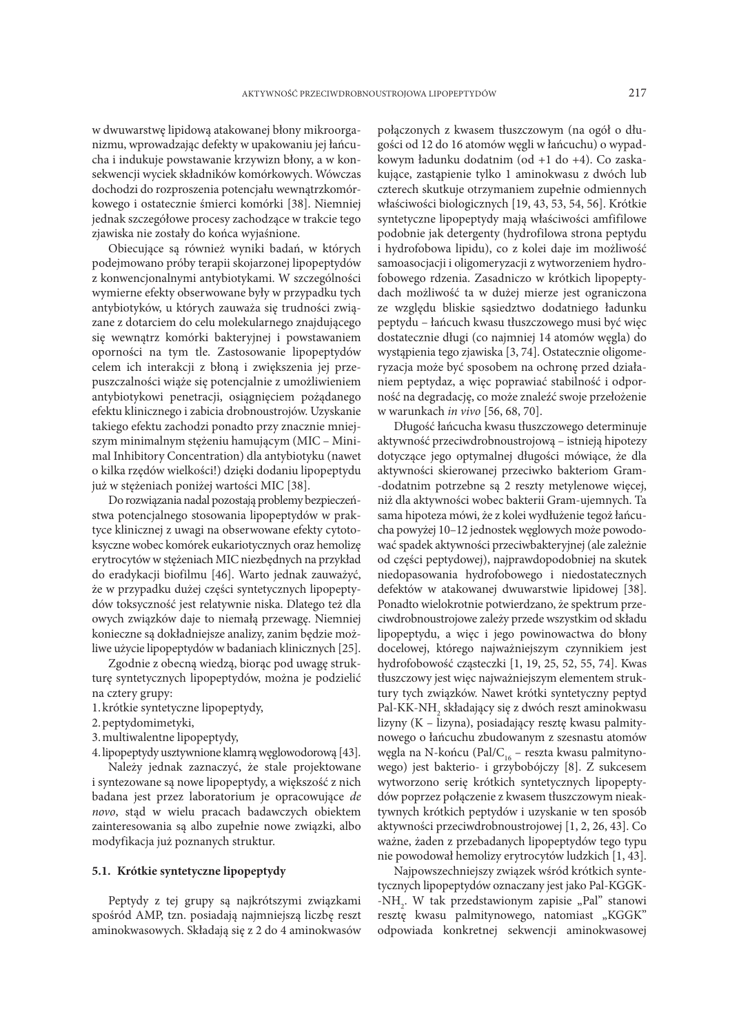w dwuwarstwę lipidową atakowanej błony mikroorganizmu, wprowadzając defekty w upakowaniu jej łańcucha i indukuje powstawanie krzywizn błony, a w konsekwencji wyciek składników komórkowych. Wówczas dochodzi do rozproszenia potencjału wewnątrzkomórkowego i ostatecznie śmierci komórki [38]. Niemniej jednak szczegółowe procesy zachodzące w trakcie tego zjawiska nie zostały do końca wyjaśnione.

Obiecujące są również wyniki badań, w których podejmowano próby terapii skojarzonej lipopeptydów z konwencjonalnymi antybiotykami. W szczególności wymierne efekty obserwowane były w przypadku tych antybiotyków, u których zauważa się trudności związane z dotarciem do celu molekularnego znajdującego się wewnątrz komórki bakteryjnej i powstawaniem oporności na tym tle. Zastosowanie lipopeptydów celem ich interakcji z błoną i zwiększenia jej przepuszczalności wiąże się potencjalnie z umożliwieniem antybiotykowi penetracji, osiągnięciem pożądanego efektu klinicznego i zabicia drobnoustrojów. Uzyskanie takiego efektu zachodzi ponadto przy znacznie mniejszym minimalnym stężeniu hamującym (MIC – Minimal Inhibitory Concentration) dla antybiotyku (nawet o kilka rzędów wielkości!) dzięki dodaniu lipopeptydu już w stężeniach poniżej wartości MIC [38].

Do rozwiązania nadal pozostają problemy bezpieczeństwa potencjalnego stosowania lipopeptydów w praktyce klinicznej z uwagi na obserwowane efekty cytotoksyczne wobec komórek eukariotycznych oraz hemolizę erytrocytów w stężeniach MIC niezbędnych na przykład do eradykacji biofilmu [46]. Warto jednak zauważyć, że w przypadku dużej części syntetycznych lipopeptydów toksyczność jest relatywnie niska. Dlatego też dla owych związków daje to niemałą przewagę. Niemniej konieczne są dokładniejsze analizy, zanim będzie możliwe użycie lipopeptydów w badaniach klinicznych [25].

Zgodnie z obecną wiedzą, biorąc pod uwagę strukturę syntetycznych lipopeptydów, można je podzielić na cztery grupy:

- 1. krótkie syntetyczne lipopeptydy,
- 2.peptydomimetyki,
- 3.multiwalentne lipopeptydy,
- 4.lipopeptydy usztywnione klamrą węglowodorową [43].

Należy jednak zaznaczyć, że stale projektowane i syntezowane są nowe lipopeptydy, a większość z nich badana jest przez laboratorium je opracowujące *de novo*, stąd w wielu pracach badawczych obiektem zainteresowania są albo zupełnie nowe związki, albo modyfikacja już poznanych struktur.

## **5.1. Krótkie syntetyczne lipopeptydy**

Peptydy z tej grupy są najkrótszymi związkami spośród AMP, tzn. posiadają najmniejszą liczbę reszt aminokwasowych. Składają się z 2 do 4 aminokwasów

połączonych z kwasem tłuszczowym (na ogół o długości od 12 do 16 atomów węgli w łańcuchu) o wypadkowym ładunku dodatnim (od +1 do +4). Co zaskakujące, zastąpienie tylko 1 aminokwasu z dwóch lub czterech skutkuje otrzymaniem zupełnie odmiennych właściwości biologicznych [19, 43, 53, 54, 56]. Krótkie syntetyczne lipopeptydy mają właściwości amfifilowe podobnie jak detergenty (hydrofilowa strona peptydu i hydrofobowa lipidu), co z kolei daje im możliwość samoasocjacji i oligomeryzacji z wytworzeniem hydrofobowego rdzenia. Zasadniczo w krótkich lipopeptydach możliwość ta w dużej mierze jest ograniczona ze względu bliskie sąsiedztwo dodatniego ładunku peptydu – łańcuch kwasu tłuszczowego musi być więc dostatecznie długi (co najmniej 14 atomów węgla) do wystąpienia tego zjawiska [3, 74]. Ostatecznie oligomeryzacja może być sposobem na ochronę przed działaniem peptydaz, a więc poprawiać stabilność i odporność na degradację, co może znaleźć swoje przełożenie w warunkach *in vivo* [56, 68, 70].

Długość łańcucha kwasu tłuszczowego determinuje aktywność przeciwdrobnoustrojową – istnieją hipotezy dotyczące jego optymalnej długości mówiące, że dla aktywności skierowanej przeciwko bakteriom Gram- -dodatnim potrzebne są 2 reszty metylenowe więcej, niż dla aktywności wobec bakterii Gram-ujemnych. Ta sama hipoteza mówi, że z kolei wydłużenie tegoż łańcucha powyżej 10–12 jednostek węglowych może powodować spadek aktywności przeciwbakteryjnej (ale zależnie od części peptydowej), najprawdopodobniej na skutek niedopasowania hydrofobowego i niedostatecznych defektów w atakowanej dwuwarstwie lipidowej [38]. Ponadto wielokrotnie potwierdzano, że spektrum przeciwdrobnoustrojowe zależy przede wszystkim od składu lipopeptydu, a więc i jego powinowactwa do błony docelowej, którego najważniejszym czynnikiem jest hydrofobowość cząsteczki [1, 19, 25, 52, 55, 74]. Kwas tłuszczowy jest więc najważniejszym elementem struktury tych związków. Nawet krótki syntetyczny peptyd Pal-KK-NH $_{\rm _2}$  składający się z dwóch reszt aminokwasu lizyny (K – lizyna), posiadający resztę kwasu palmitynowego o łańcuchu zbudowanym z szesnastu atomów węgla na N-końcu (Pal/C<sub>16</sub> – reszta kwasu palmitynowego) jest bakterio- i grzybobójczy [8]. Z sukcesem wytworzono serię krótkich syntetycznych lipopeptydów poprzez połączenie z kwasem tłuszczowym nieaktywnych krótkich peptydów i uzyskanie w ten sposób aktywności przeciwdrobnoustrojowej [1, 2, 26, 43]. Co ważne, żaden z przebadanych lipopeptydów tego typu nie powodował hemolizy erytrocytów ludzkich [1, 43].

Najpowszechniejszy związek wśród krótkich syntetycznych lipopeptydów oznaczany jest jako Pal-KGGK- -NH<sub>2</sub>. W tak przedstawionym zapisie "Pal" stanowi resztę kwasu palmitynowego, natomiast "KGGK" odpowiada konkretnej sekwencji aminokwasowej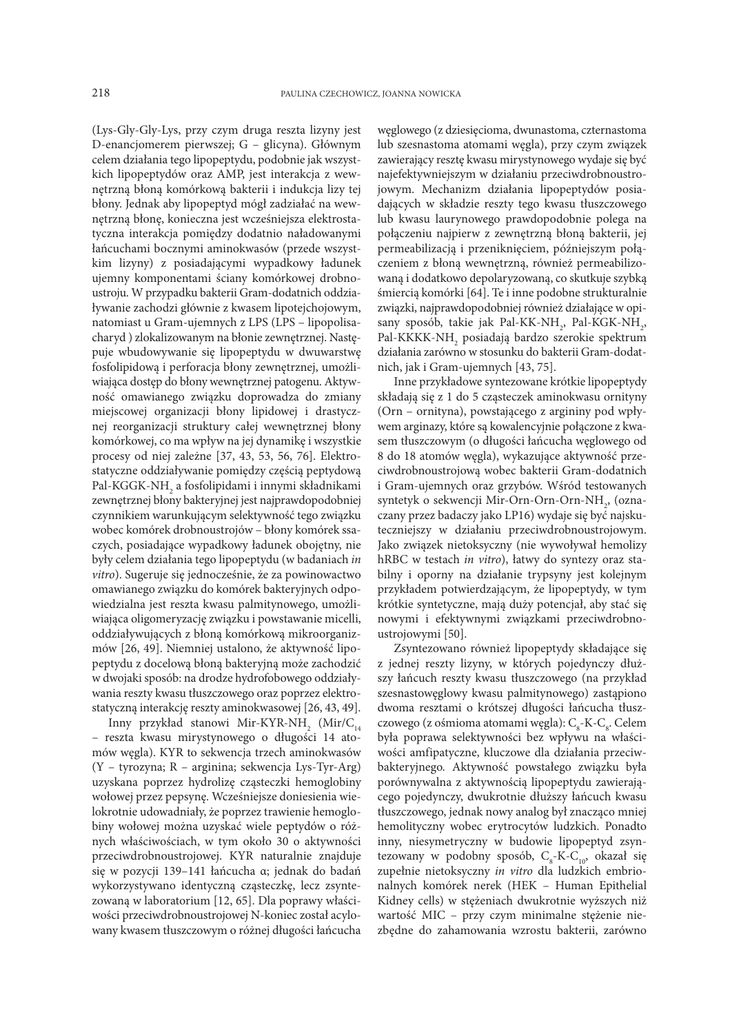(Lys-Gly-Gly-Lys, przy czym druga reszta lizyny jest D-enancjomerem pierwszej; G – glicyna). Głównym celem działania tego lipopeptydu, podobnie jak wszystkich lipopeptydów oraz AMP, jest interakcja z wewnętrzną błoną komórkową bakterii i indukcja lizy tej błony. Jednak aby lipopeptyd mógł zadziałać na wewnętrzną błonę, konieczna jest wcześniejsza elektrostatyczna interakcja pomiędzy dodatnio naładowanymi łańcuchami bocznymi aminokwasów (przede wszystkim lizyny) z posiadającymi wypadkowy ładunek ujemny komponentami ściany komórkowej drobnoustroju. W przypadku bakterii Gram-dodatnich oddziaływanie zachodzi głównie z kwasem lipotejchojowym, natomiast u Gram-ujemnych z LPS (LPS – lipopolisacharyd ) zlokalizowanym na błonie zewnętrznej. Następuje wbudowywanie się lipopeptydu w dwuwarstwę fosfolipidową i perforacja błony zewnętrznej, umożliwiająca dostęp do błony wewnętrznej patogenu. Aktywność omawianego związku doprowadza do zmiany miejscowej organizacji błony lipidowej i drastycznej reorganizacji struktury całej wewnętrznej błony komórkowej, co ma wpływ na jej dynamikę i wszystkie procesy od niej zależne [37, 43, 53, 56, 76]. Elektrostatyczne oddziaływanie pomiędzy częścią peptydową Pal-KGGK-NH $\rm _2$ a fosfolipidami i innymi składnikami zewnętrznej błony bakteryjnej jest najprawdopodobniej czynnikiem warunkującym selektywność tego związku wobec komórek drobnoustrojów – błony komórek ssaczych, posiadające wypadkowy ładunek obojętny, nie były celem działania tego lipopeptydu (w badaniach *in vitro*). Sugeruje się jednocześnie, że za powinowactwo omawianego związku do komórek bakteryjnych odpowiedzialna jest reszta kwasu palmitynowego, umożliwiająca oligomeryzację związku i powstawanie micelli, oddziaływujących z błoną komórkową mikroorganizmów [26, 49]. Niemniej ustalono, że aktywność lipopeptydu z docelową błoną bakteryjną może zachodzić w dwojaki sposób: na drodze hydrofobowego oddziaływania reszty kwasu tłuszczowego oraz poprzez elektrostatyczną interakcję reszty aminokwasowej [26, 43, 49].

Inny przykład stanowi Mir-KYR-NH<sub>2</sub> (Mir/C<sub>14</sub> – reszta kwasu mirystynowego o długości 14 atomów węgla). KYR to sekwencja trzech aminokwasów (Y – tyrozyna; R – arginina; sekwencja Lys-Tyr-Arg) uzyskana poprzez hydrolizę cząsteczki hemoglobiny wołowej przez pepsynę. Wcześniejsze doniesienia wielokrotnie udowadniały, że poprzez trawienie hemoglobiny wołowej można uzyskać wiele peptydów o różnych właściwościach, w tym około 30 o aktywności przeciwdrobnoustrojowej. KYR naturalnie znajduje się w pozycji 139–141 łańcucha α; jednak do badań wykorzystywano identyczną cząsteczkę, lecz zsyntezowaną w laboratorium [12, 65]. Dla poprawy właściwości przeciwdrobnoustrojowej N-koniec został acylowany kwasem tłuszczowym o różnej długości łańcucha

węglowego (z dziesięcioma, dwunastoma, czternastoma lub szesnastoma atomami węgla), przy czym związek zawierający resztę kwasu mirystynowego wydaje się być najefektywniejszym w działaniu przeciwdrobnoustrojowym. Mechanizm działania lipopeptydów posiadających w składzie reszty tego kwasu tłuszczowego lub kwasu laurynowego prawdopodobnie polega na połączeniu najpierw z zewnętrzną błoną bakterii, jej permeabilizacją i przeniknięciem, późniejszym połączeniem z błoną wewnętrzną, również permeabilizowaną i dodatkowo depolaryzowaną, co skutkuje szybką śmiercią komórki [64]. Te i inne podobne strukturalnie związki, najprawdopodobniej również działające w opisany sposób, takie jak Pal-KK-NH<sub>2</sub>, Pal-KGK-NH<sub>2</sub>, Pal-KKKK-NH<sub>2</sub> posiadają bardzo szerokie spektrum działania zarówno w stosunku do bakterii Gram-dodatnich, jak i Gram-ujemnych [43, 75].

Inne przykładowe syntezowane krótkie lipopeptydy składają się z 1 do 5 cząsteczek aminokwasu ornityny (Orn – ornityna), powstającego z argininy pod wpływem arginazy, które są kowalencyjnie połączone z kwasem tłuszczowym (o długości łańcucha węglowego od 8 do 18 atomów węgla), wykazujące aktywność przeciwdrobnoustrojową wobec bakterii Gram-dodatnich i Gram-ujemnych oraz grzybów. Wśród testowanych syntetyk o sekwencji Mir-Orn-Orn-Orn-NH<sub>2</sub>, (oznaczany przez badaczy jako LP16) wydaje się być najskuteczniejszy w działaniu przeciwdrobnoustrojowym. Jako związek nietoksyczny (nie wywoływał hemolizy hRBC w testach *in vitro*), łatwy do syntezy oraz stabilny i oporny na działanie trypsyny jest kolejnym przykładem potwierdzającym, że lipopeptydy, w tym krótkie syntetyczne, mają duży potencjał, aby stać się nowymi i efektywnymi związkami przeciwdrobnoustrojowymi [50].

Zsyntezowano również lipopeptydy składające się z jednej reszty lizyny, w których pojedynczy dłuższy łańcuch reszty kwasu tłuszczowego (na przykład szesnastowęglowy kwasu palmitynowego) zastąpiono dwoma resztami o krótszej długości łańcucha tłuszczowego (z ośmioma atomami węgla):  $C_{8}$ -K- $C_{8}$ . Celem była poprawa selektywności bez wpływu na właściwości amfipatyczne, kluczowe dla działania przeciwbakteryjnego. Aktywność powstałego związku była porównywalna z aktywnością lipopeptydu zawierającego pojedynczy, dwukrotnie dłuższy łańcuch kwasu tłuszczowego, jednak nowy analog był znacząco mniej hemolityczny wobec erytrocytów ludzkich. Ponadto inny, niesymetryczny w budowie lipopeptyd zsyntezowany w podobny sposób, C<sub>s</sub>-K-C<sub>10</sub>, okazał się zupełnie nietoksyczny *in vitro* dla ludzkich embrionalnych komórek nerek (HEK – Human Epithelial Kidney cells) w stężeniach dwukrotnie wyższych niż wartość MIC – przy czym minimalne stężenie niezbędne do zahamowania wzrostu bakterii, zarówno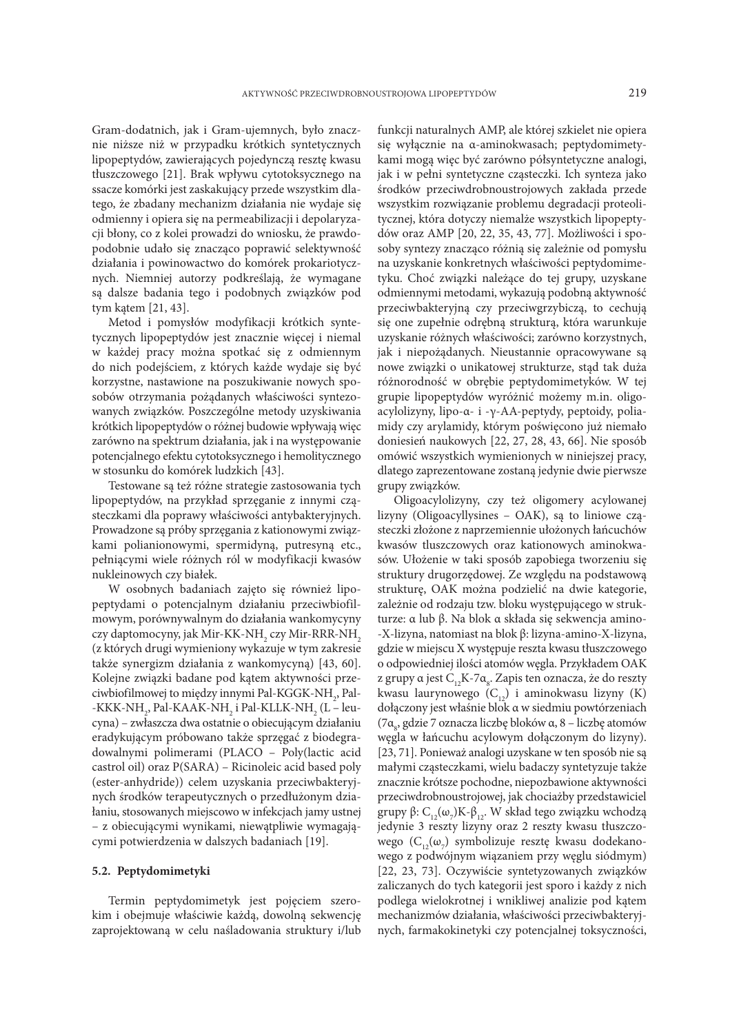Gram-dodatnich, jak i Gram-ujemnych, było znacznie niższe niż w przypadku krótkich syntetycznych lipopeptydów, zawierających pojedynczą resztę kwasu tłuszczowego [21]. Brak wpływu cytotoksycznego na ssacze komórki jest zaskakujący przede wszystkim dlatego, że zbadany mechanizm działania nie wydaje się odmienny i opiera się na permeabilizacji i depolaryzacji błony, co z kolei prowadzi do wniosku, że prawdopodobnie udało się znacząco poprawić selektywność działania i powinowactwo do komórek prokariotycznych. Niemniej autorzy podkreślają, że wymagane są dalsze badania tego i podobnych związków pod tym kątem [21, 43].

Metod i pomysłów modyfikacji krótkich syntetycznych lipopeptydów jest znacznie więcej i niemal w każdej pracy można spotkać się z odmiennym do nich podejściem, z których każde wydaje się być korzystne, nastawione na poszukiwanie nowych sposobów otrzymania pożądanych właściwości syntezowanych związków. Poszczególne metody uzyskiwania krótkich lipopeptydów o różnej budowie wpływają więc zarówno na spektrum działania, jak i na występowanie potencjalnego efektu cytotoksycznego i hemolitycznego w stosunku do komórek ludzkich [43].

Testowane są też różne strategie zastosowania tych lipopeptydów, na przykład sprzęganie z innymi cząsteczkami dla poprawy właściwości antybakteryjnych. Prowadzone są próby sprzęgania z kationowymi związkami polianionowymi, spermidyną, putresyną etc., pełniącymi wiele różnych ról w modyfikacji kwasów nukleinowych czy białek.

W osobnych badaniach zajęto się również lipopeptydami o potencjalnym działaniu przeciwbiofilmowym, porównywalnym do działania wankomycyny czy daptomocyny, jak Mir-KK-NH<sub>2</sub> czy Mir-RRR-NH<sub>2</sub> (z których drugi wymieniony wykazuje w tym zakresie także synergizm działania z wankomycyną) [43, 60]. Kolejne związki badane pod kątem aktywności przeciwbiofilmowej to między innymi Pal-KGGK-NH<sub>2</sub>, Pal--KKK-NH<sub>2</sub>, Pal-KAAK-NH<sub>2</sub> i Pal-KLLK-NH<sub>2</sub> (L – leucyna) – zwłaszcza dwa ostatnie o obiecującym działaniu eradykującym próbowano także sprzęgać z biodegradowalnymi polimerami (PLACO – Poly(lactic acid castrol oil) oraz P(SARA) – Ricinoleic acid based poly (ester-anhydride)) celem uzyskania przeciwbakteryjnych środków terapeutycznych o przedłużonym działaniu, stosowanych miejscowo w infekcjach jamy ustnej – z obiecującymi wynikami, niewątpliwie wymagającymi potwierdzenia w dalszych badaniach [19].

### **5.2. Peptydomimetyki**

Termin peptydomimetyk jest pojęciem szerokim i obejmuje właściwie każdą, dowolną sekwencję zaprojektowaną w celu naśladowania struktury i/lub funkcji naturalnych AMP, ale której szkielet nie opiera się wyłącznie na α-aminokwasach; peptydomimetykami mogą więc być zarówno półsyntetyczne analogi, jak i w pełni syntetyczne cząsteczki. Ich synteza jako środków przeciwdrobnoustrojowych zakłada przede wszystkim rozwiązanie problemu degradacji proteolitycznej, która dotyczy niemalże wszystkich lipopeptydów oraz AMP [20, 22, 35, 43, 77]. Możliwości i sposoby syntezy znacząco różnią się zależnie od pomysłu na uzyskanie konkretnych właściwości peptydomimetyku. Choć związki należące do tej grupy, uzyskane odmiennymi metodami, wykazują podobną aktywność przeciwbakteryjną czy przeciwgrzybiczą, to cechują się one zupełnie odrębną strukturą, która warunkuje uzyskanie różnych właściwości; zarówno korzystnych, jak i niepożądanych. Nieustannie opracowywane są nowe związki o unikatowej strukturze, stąd tak duża różnorodność w obrębie peptydomimetyków. W tej grupie lipopeptydów wyróżnić możemy m.in. oligoacylolizyny, lipo-α- i -γ-AA-peptydy, peptoidy, poliamidy czy arylamidy, którym poświęcono już niemało doniesień naukowych [22, 27, 28, 43, 66]. Nie sposób omówić wszystkich wymienionych w niniejszej pracy, dlatego zaprezentowane zostaną jedynie dwie pierwsze grupy związków.

Oligoacylolizyny, czy też oligomery acylowanej lizyny (Oligoacyllysines – OAK), są to liniowe cząsteczki złożone z naprzemiennie ułożonych łańcuchów kwasów tluszczowych oraz kationowych aminokwasów. Ułożenie w taki sposób zapobiega tworzeniu się struktury drugorzędowej. Ze względu na podstawową strukturę, OAK można podzielić na dwie kategorie, zależnie od rodzaju tzw. bloku występującego w strukturze: α lub β. Na blok α składa się sekwencja amino- -X-lizyna, natomiast na blok β: lizyna-amino-X-lizyna, gdzie w miejscu X występuje reszta kwasu tłuszczowego o odpowiedniej ilości atomów węgla. Przykładem OAK z grupy α jest C<sub>12</sub>K-7α<sub>8</sub>. Zapis ten oznacza, że do reszty kwasu laurynowego  $(C_{12})$  i aminokwasu lizyny (K) dołączony jest właśnie blok α w siedmiu powtórzeniach (7α<sub>8</sub>, gdzie 7 oznacza liczbę bloków α, 8 – liczbę atomów węgla w łańcuchu acylowym dołączonym do lizyny). [23, 71]. Ponieważ analogi uzyskane w ten sposób nie są małymi cząsteczkami, wielu badaczy syntetyzuje także znacznie krótsze pochodne, niepozbawione aktywności przeciwdrobnoustrojowej, jak chociażby przedstawiciel grupy β:  $\text{C}_{12}(\omega_{7})\text{K-}\beta_{12}$ . W skład tego związku wchodzą jedynie 3 reszty lizyny oraz 2 reszty kwasu tłuszczowego ( $\text{C}_{12}(\omega_{7})$  symbolizuje resztę kwasu dodekanowego z podwójnym wiązaniem przy węglu siódmym) [22, 23, 73]. Oczywiście syntetyzowanych związków zaliczanych do tych kategorii jest sporo i każdy z nich podlega wielokrotnej i wnikliwej analizie pod kątem mechanizmów działania, właściwości przeciwbakteryjnych, farmakokinetyki czy potencjalnej toksyczności,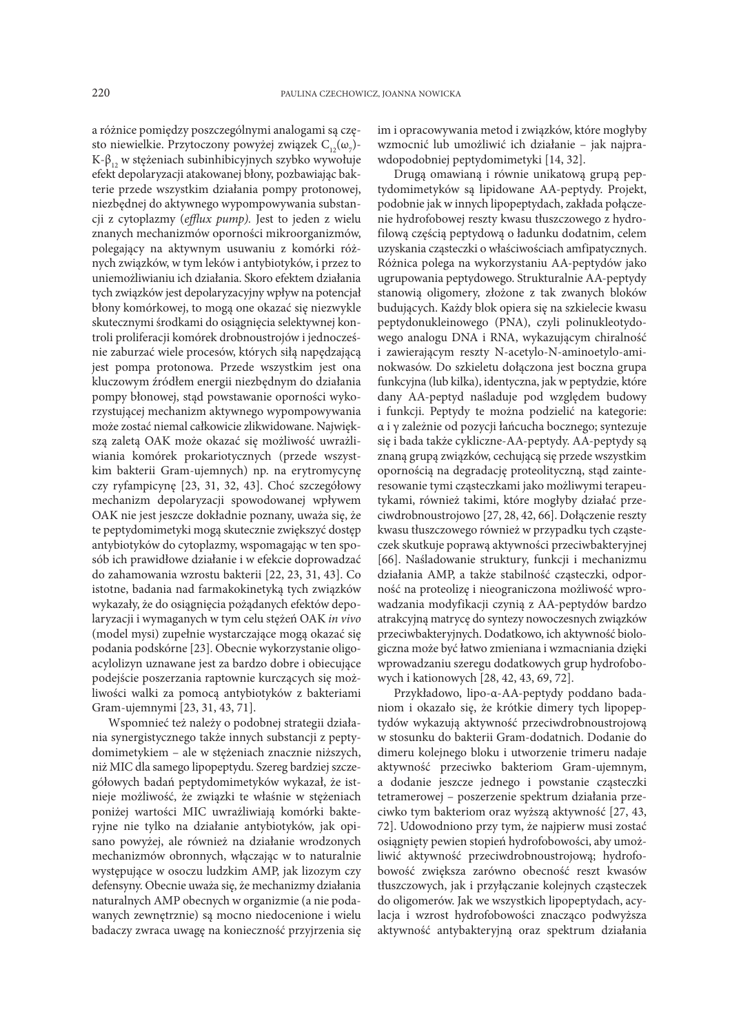a różnice pomiędzy poszczególnymi analogami są często niewielkie. Przytoczony powyżej związek  $\mathrm{C}_{\mathrm{12}}(\omega_{_{7}})$ -K-β<sub>12</sub> w stężeniach subinhibicyjnych szybko wywołuje efekt depolaryzacji atakowanej błony, pozbawiając bakterie przede wszystkim działania pompy protonowej, niezbędnej do aktywnego wypompowywania substancji z cytoplazmy (*efflux pump).* Jest to jeden z wielu znanych mechanizmów oporności mikroorganizmów, polegający na aktywnym usuwaniu z komórki różnych związków, w tym leków i antybiotyków, i przez to uniemożliwianiu ich działania. Skoro efektem działania tych związków jest depolaryzacyjny wpływ na potencjał błony komórkowej, to mogą one okazać się niezwykle skutecznymi środkami do osiągnięcia selektywnej kontroli proliferacji komórek drobnoustrojów i jednocześnie zaburzać wiele procesów, których siłą napędzającą jest pompa protonowa. Przede wszystkim jest ona kluczowym źródłem energii niezbędnym do działania pompy błonowej, stąd powstawanie oporności wykorzystującej mechanizm aktywnego wypompowywania może zostać niemal całkowicie zlikwidowane. Największą zaletą OAK może okazać się możliwość uwrażliwiania komórek prokariotycznych (przede wszystkim bakterii Gram-ujemnych) np. na erytromycynę czy ryfampicynę [23, 31, 32, 43]. Choć szczegółowy mechanizm depolaryzacji spowodowanej wpływem OAK nie jest jeszcze dokładnie poznany, uważa się, że te peptydomimetyki mogą skutecznie zwiększyć dostęp antybiotyków do cytoplazmy, wspomagając w ten sposób ich prawidłowe działanie i w efekcie doprowadzać do zahamowania wzrostu bakterii [22, 23, 31, 43]. Co istotne, badania nad farmakokinetyką tych związków wykazały, że do osiągnięcia pożądanych efektów depolaryzacji i wymaganych w tym celu stężeń OAK *in vivo* (model mysi) zupełnie wystarczające mogą okazać się podania podskórne [23]. Obecnie wykorzystanie oligoacylolizyn uznawane jest za bardzo dobre i obiecujące podejście poszerzania raptownie kurczących się możliwości walki za pomocą antybiotyków z bakteriami Gram-ujemnymi [23, 31, 43, 71].

Wspomnieć też należy o podobnej strategii działania synergistycznego także innych substancji z peptydomimetykiem – ale w stężeniach znacznie niższych, niż MIC dla samego lipopeptydu. Szereg bardziej szczegółowych badań peptydomimetyków wykazał, że istnieje możliwość, że związki te właśnie w stężeniach poniżej wartości MIC uwrażliwiają komórki bakteryjne nie tylko na działanie antybiotyków, jak opisano powyżej, ale również na działanie wrodzonych mechanizmów obronnych, włączając w to naturalnie występujące w osoczu ludzkim AMP, jak lizozym czy defensyny. Obecnie uważa się, że mechanizmy działania naturalnych AMP obecnych w organizmie (a nie podawanych zewnętrznie) są mocno niedocenione i wielu badaczy zwraca uwagę na konieczność przyjrzenia się

im i opracowywania metod i związków, które mogłyby wzmocnić lub umożliwić ich działanie – jak najprawdopodobniej peptydomimetyki [14, 32].

Drugą omawianą i równie unikatową grupą peptydomimetyków są lipidowane AA-peptydy. Projekt, podobnie jak w innych lipopeptydach, zakłada połączenie hydrofobowej reszty kwasu tłuszczowego z hydrofilową częścią peptydową o ładunku dodatnim, celem uzyskania cząsteczki o właściwościach amfipatycznych. Różnica polega na wykorzystaniu AA-peptydów jako ugrupowania peptydowego. Strukturalnie AA-peptydy stanowią oligomery, złożone z tak zwanych bloków budujących. Każdy blok opiera się na szkielecie kwasu peptydonukleinowego (PNA), czyli polinukleotydowego analogu DNA i RNA, wykazującym chiralność i zawierającym reszty N-acetylo-N-aminoetylo-aminokwasów. Do szkieletu dołączona jest boczna grupa funkcyjna (lub kilka), identyczna, jak w peptydzie, które dany AA-peptyd naśladuje pod względem budowy i funkcji. Peptydy te można podzielić na kategorie: α i γ zależnie od pozycji łańcucha bocznego; syntezuje się i bada także cykliczne-AA-peptydy. AA-peptydy są znaną grupą związków, cechującą się przede wszystkim opornością na degradację proteolityczną, stąd zainteresowanie tymi cząsteczkami jako możliwymi terapeutykami, również takimi, które mogłyby działać przeciwdrobnoustrojowo [27, 28, 42, 66]. Dołączenie reszty kwasu tłuszczowego również w przypadku tych cząsteczek skutkuje poprawą aktywności przeciwbakteryjnej [66]. Naśladowanie struktury, funkcji i mechanizmu działania AMP, a także stabilność cząsteczki, odporność na proteolizę i nieograniczona możliwość wprowadzania modyfikacji czynią z AA-peptydów bardzo atrakcyjną matrycę do syntezy nowoczesnych związków przeciwbakteryjnych. Dodatkowo, ich aktywność biologiczna może być łatwo zmieniana i wzmacniania dzięki wprowadzaniu szeregu dodatkowych grup hydrofobowych i kationowych [28, 42, 43, 69, 72].

Przykładowo, lipo-α-AA-peptydy poddano badaniom i okazało się, że krótkie dimery tych lipopeptydów wykazują aktywność przeciwdrobnoustrojową w stosunku do bakterii Gram-dodatnich. Dodanie do dimeru kolejnego bloku i utworzenie trimeru nadaje aktywność przeciwko bakteriom Gram-ujemnym, a dodanie jeszcze jednego i powstanie cząsteczki tetramerowej – poszerzenie spektrum działania przeciwko tym bakteriom oraz wyższą aktywność [27, 43, 72]. Udowodniono przy tym, że najpierw musi zostać osiągnięty pewien stopień hydrofobowości, aby umożliwić aktywność przeciwdrobnoustrojową; hydrofobowość zwiększa zarówno obecność reszt kwasów tłuszczowych, jak i przyłączanie kolejnych cząsteczek do oligomerów. Jak we wszystkich lipopeptydach, acylacja i wzrost hydrofobowości znacząco podwyższa aktywność antybakteryjną oraz spektrum działania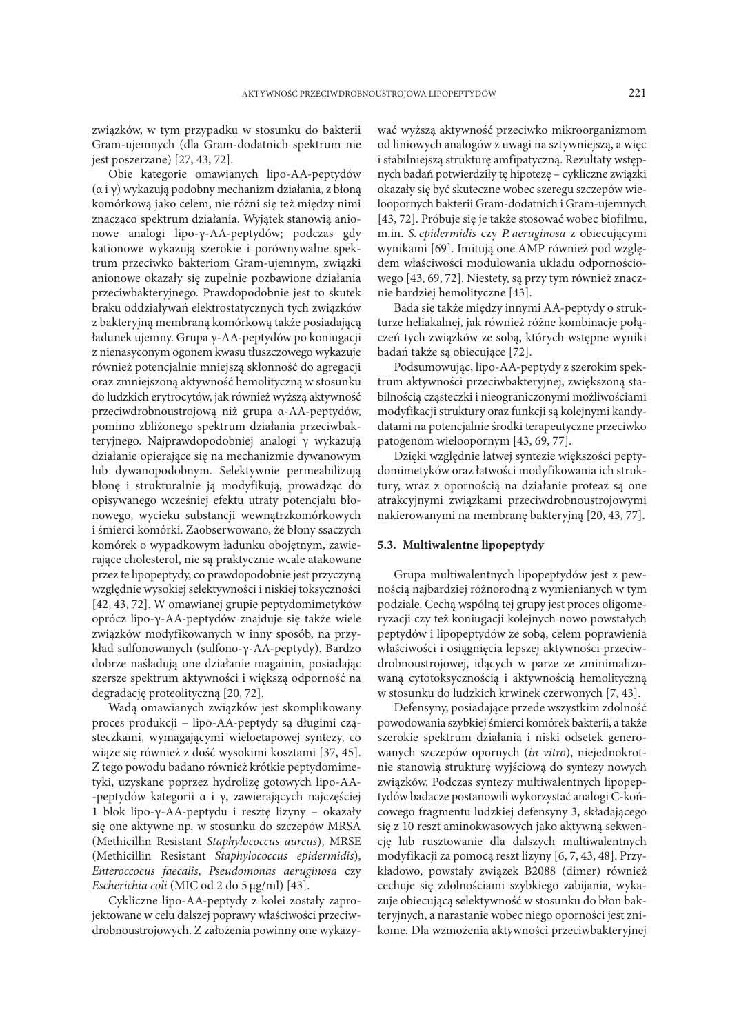związków, w tym przypadku w stosunku do bakterii Gram-ujemnych (dla Gram-dodatnich spektrum nie jest poszerzane) [27, 43, 72].

Obie kategorie omawianych lipo-AA-peptydów (α i γ) wykazują podobny mechanizm działania, z błoną komórkową jako celem, nie różni się też między nimi znacząco spektrum działania. Wyjątek stanowią anionowe analogi lipo-γ-AA-peptydów; podczas gdy kationowe wykazują szerokie i porównywalne spektrum przeciwko bakteriom Gram-ujemnym, związki anionowe okazały się zupełnie pozbawione działania przeciwbakteryjnego. Prawdopodobnie jest to skutek braku oddziaływań elektrostatycznych tych związków z bakteryjną membraną komórkową także posiadającą ładunek ujemny. Grupa γ-AA-peptydów po koniugacji z nienasyconym ogonem kwasu tłuszczowego wykazuje również potencjalnie mniejszą skłonność do agregacji oraz zmniejszoną aktywność hemolityczną w stosunku do ludzkich erytrocytów, jak również wyższą aktywność przeciwdrobnoustrojową niż grupa α-AA-peptydów, pomimo zbliżonego spektrum działania przeciwbakteryjnego. Najprawdopodobniej analogi γ wykazują działanie opierające się na mechanizmie dywanowym lub dywanopodobnym. Selektywnie permeabilizują błonę i strukturalnie ją modyfikują, prowadząc do opisywanego wcześniej efektu utraty potencjału błonowego, wycieku substancji wewnątrzkomórkowych i śmierci komórki. Zaobserwowano, że błony ssaczych komórek o wypadkowym ładunku obojętnym, zawierające cholesterol, nie są praktycznie wcale atakowane przez te lipopeptydy, co prawdopodobnie jest przyczyną względnie wysokiej selektywności i niskiej toksyczności [42, 43, 72]. W omawianej grupie peptydomimetyków oprócz lipo-γ-AA-peptydów znajduje się także wiele związków modyfikowanych w inny sposób, na przykład sulfonowanych (sulfono-γ-AA-peptydy). Bardzo dobrze naśladują one działanie magainin, posiadając szersze spektrum aktywności i większą odporność na degradację proteolityczną [20, 72].

Wadą omawianych związków jest skomplikowany proces produkcji – lipo-AA-peptydy są długimi cząsteczkami, wymagającymi wieloetapowej syntezy, co wiąże się również z dość wysokimi kosztami [37, 45]. Z tego powodu badano również krótkie peptydomimetyki, uzyskane poprzez hydrolizę gotowych lipo-AA- -peptydów kategorii α i γ, zawierających najczęściej 1 blok lipo-γ-AA-peptydu i resztę lizyny – okazały się one aktywne np. w stosunku do szczepów MRSA (Methicillin Resistant *Staphylococcus aureus*), MRSE (Methicillin Resistant *Staphylococcus epidermidis*), *Enteroccocus faecalis*, *Pseudomonas aeruginosa* czy *Escherichia coli* (MIC od 2 do 5 µg/ml) [43].

Cykliczne lipo-AA-peptydy z kolei zostały zaprojektowane w celu dalszej poprawy właściwości przeciwdrobnoustrojowych. Z założenia powinny one wykazy-

wać wyższą aktywność przeciwko mikroorganizmom od liniowych analogów z uwagi na sztywniejszą, a więc i stabilniejszą strukturę amfipatyczną. Rezultaty wstępnych badań potwierdziły tę hipotezę – cykliczne związki okazały się być skuteczne wobec szeregu szczepów wieloopornych bakterii Gram-dodatnich i Gram-ujemnych [43, 72]. Próbuje się je także stosować wobec biofilmu, m.in. *S. epidermidis* czy *P. aeruginosa* z obiecującymi wynikami [69]. Imitują one AMP również pod względem właściwości modulowania układu odpornościowego [43, 69, 72]. Niestety, są przy tym również znacznie bardziej hemolityczne [43].

Bada się także między innymi AA-peptydy o strukturze heliakalnej, jak również różne kombinacje połączeń tych związków ze sobą, których wstępne wyniki badań także są obiecujące [72].

Podsumowując, lipo-AA-peptydy z szerokim spektrum aktywności przeciwbakteryjnej, zwiększoną stabilnością cząsteczki i nieograniczonymi możliwościami modyfikacji struktury oraz funkcji są kolejnymi kandydatami na potencjalnie środki terapeutyczne przeciwko patogenom wieloopornym [43, 69, 77].

Dzięki względnie łatwej syntezie większości peptydomimetyków oraz łatwości modyfikowania ich struktury, wraz z opornością na działanie proteaz są one atrakcyjnymi związkami przeciwdrobnoustrojowymi nakierowanymi na membranę bakteryjną [20, 43, 77].

## **5.3. Multiwalentne lipopeptydy**

Grupa multiwalentnych lipopeptydów jest z pewnością najbardziej różnorodną z wymienianych w tym podziale. Cechą wspólną tej grupy jest proces oligomeryzacji czy też koniugacji kolejnych nowo powstałych peptydów i lipopeptydów ze sobą, celem poprawienia właściwości i osiągnięcia lepszej aktywności przeciwdrobnoustrojowej, idących w parze ze zminimalizowaną cytotoksycznością i aktywnością hemolityczną w stosunku do ludzkich krwinek czerwonych [7, 43].

Defensyny, posiadające przede wszystkim zdolność powodowania szybkiej śmierci komórek bakterii, a także szerokie spektrum działania i niski odsetek generowanych szczepów opornych (*in vitro*), niejednokrotnie stanowią strukturę wyjściową do syntezy nowych związków. Podczas syntezy multiwalentnych lipopeptydów badacze postanowili wykorzystać analogi C-końcowego fragmentu ludzkiej defensyny 3, składającego się z 10 reszt aminokwasowych jako aktywną sekwencję lub rusztowanie dla dalszych multiwalentnych modyfikacji za pomocą reszt lizyny [6, 7, 43, 48]. Przykładowo, powstały związek B2088 (dimer) również cechuje się zdolnościami szybkiego zabijania, wykazuje obiecującą selektywność w stosunku do błon bakteryjnych, a narastanie wobec niego oporności jest znikome. Dla wzmożenia aktywności przeciwbakteryjnej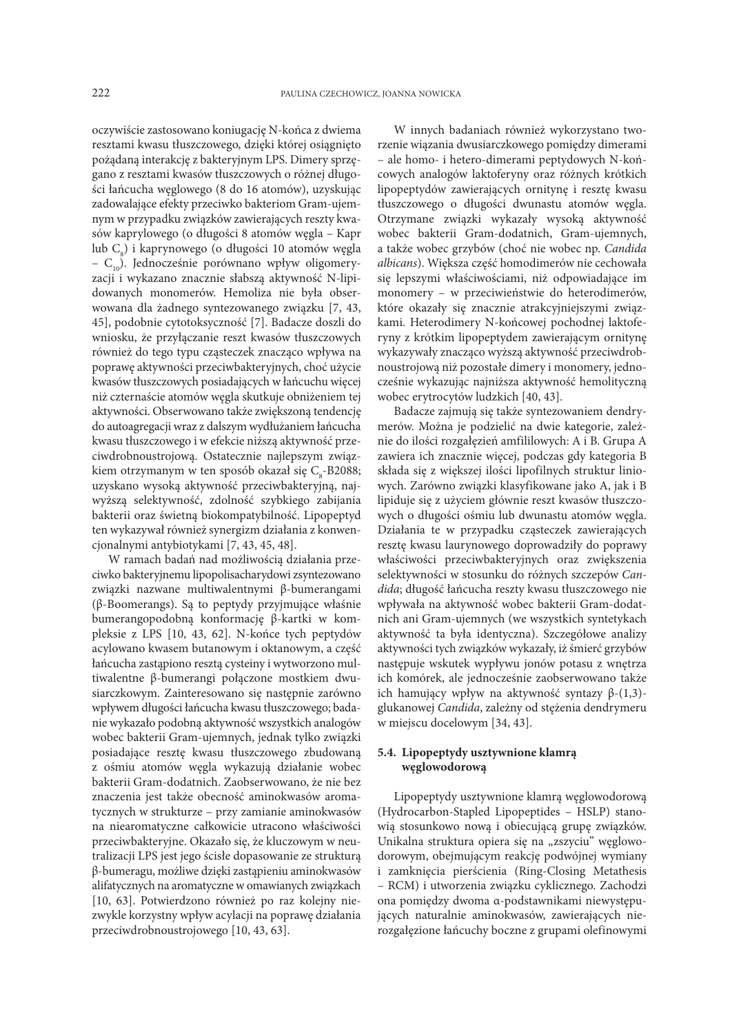oczywiście zastosowano koniugację N-końca z dwiema resztami kwasu tłuszczowego, dzięki której osiągnięto pożądaną interakcję z bakteryjnym LPS. Dimery sprzęgano z resztami kwasów tłuszczowych o różnej długości łańcucha węglowego (8 do 16 atomów), uzyskując zadowalające efekty przeciwko bakteriom Gram-ujemnym w przypadku związków zawierających reszty kwasów kaprylowego (o długości 8 atomów węgla – Kapr lub C<sub>8</sub>) i kaprynowego (o długości 10 atomów węgla –  $C_{10}$ ). Jednocześnie porównano wpływ oligomeryzacji i wykazano znacznie słabszą aktywność N-lipidowanych monomerów. Hemoliza nie była obserwowana dla żadnego syntezowanego związku [7, 43, 45], podobnie cytotoksyczność [7]. Badacze doszli do wniosku, że przyłączanie reszt kwasów tłuszczowych również do tego typu cząsteczek znacząco wpływa na poprawę aktywności przeciwbakteryjnych, choć użycie kwasów tłuszczowych posiadających w łańcuchu więcej niż czternaście atomów węgla skutkuje obniżeniem tej aktywności. Obserwowano także zwiększoną tendencję do autoagregacji wraz z dalszym wydłużaniem łańcucha kwasu tłuszczowego i w efekcie niższą aktywność przeciwdrobnoustrojową. Ostatecznie najlepszym związkiem otrzymanym w ten sposób okazał się C<sub>s</sub>-B2088; uzyskano wysoką aktywność przeciwbakteryjną, najwyższą selektywność, zdolność szybkiego zabijania bakterii oraz świetną biokompatybilność. Lipopeptyd ten wykazywał również synergizm działania z konwencjonalnymi antybiotykami [7, 43, 45, 48].

W ramach badań nad możliwością działania przeciwko bakteryjnemu lipopolisacharydowi zsyntezowano związki nazwane multiwalentnymi β-bumerangami (β-Boomerangs). Są to peptydy przyjmujące właśnie bumerangopodobną konformację β-kartki w kompleksie z LPS [10, 43, 62]. N-końce tych peptydów acylowano kwasem butanowym i oktanowym, a część łańcucha zastąpiono resztą cysteiny i wytworzono multiwalentne β-bumerangi połączone mostkiem dwusiarczkowym. Zainteresowano się następnie zarówno wpływem długości łańcucha kwasu tłuszczowego; badanie wykazało podobną aktywność wszystkich analogów wobec bakterii Gram-ujemnych, jednak tylko związki posiadające resztę kwasu tłuszczowego zbudowaną z ośmiu atomów węgla wykazują działanie wobec bakterii Gram-dodatnich. Zaobserwowano, że nie bez znaczenia jest także obecność aminokwasów aromatycznych w strukturze – przy zamianie aminokwasów na niearomatyczne całkowicie utracono właściwości przeciwbakteryjne. Okazało się, że kluczowym w neutralizacji LPS jest jego ścisłe dopasowanie ze strukturą β-bumeragu, możliwe dzięki zastąpieniu aminokwasów alifatycznych na aromatyczne w omawianych związkach [10, 63]. Potwierdzono również po raz kolejny niezwykle korzystny wpływ acylacji na poprawę działania przeciwdrobnoustrojowego [10, 43, 63].

W innych badaniach również wykorzystano tworzenie wiązania dwusiarczkowego pomiędzy dimerami – ale homo- i hetero-dimerami peptydowych N-końcowych analogów laktoferyny oraz różnych krótkich lipopeptydów zawierających ornitynę i resztę kwasu tłuszczowego o długości dwunastu atomów węgla. Otrzymane związki wykazały wysoką aktywność wobec bakterii Gram-dodatnich, Gram-ujemnych, a także wobec grzybów (choć nie wobec np. *Candida albicans*). Większa część homodimerów nie cechowała się lepszymi właściwościami, niż odpowiadające im monomery – w przeciwieństwie do heterodimerów, które okazały się znacznie atrakcyjniejszymi związkami. Heterodimery N-końcowej pochodnej laktoferyny z krótkim lipopeptydem zawierającym ornitynę wykazywały znacząco wyższą aktywność przeciwdrobnoustrojową niż pozostałe dimery i monomery, jednocześnie wykazując najniższa aktywność hemolityczną wobec erytrocytów ludzkich [40, 43].

Badacze zajmują się także syntezowaniem dendrymerów. Można je podzielić na dwie kategorie, zależnie do ilości rozgałęzień amfililowych: A i B. Grupa A zawiera ich znacznie więcej, podczas gdy kategoria B składa się z większej ilości lipofilnych struktur liniowych. Zarówno związki klasyfikowane jako A, jak i B lipiduje się z użyciem głównie reszt kwasów tłuszczowych o długości ośmiu lub dwunastu atomów węgla. Działania te w przypadku cząsteczek zawierających resztę kwasu laurynowego doprowadziły do poprawy właściwości przeciwbakteryjnych oraz zwiększenia selektywności w stosunku do różnych szczepów *Candida*; długość łańcucha reszty kwasu tłuszczowego nie wpływała na aktywność wobec bakterii Gram-dodatnich ani Gram-ujemnych (we wszystkich syntetykach aktywność ta była identyczna). Szczegółowe analizy aktywności tych związków wykazały, iż śmierć grzybów następuje wskutek wypływu jonów potasu z wnętrza ich komórek, ale jednocześnie zaobserwowano także ich hamujący wpływ na aktywność syntazy β-(1,3) glukanowej *Candida*, zależny od stężenia dendrymeru w miejscu docelowym [34, 43].

## **5.4. Lipopeptydy usztywnione klamrą węglowodorową**

Lipopeptydy usztywnione klamrą węglowodorową (Hydrocarbon-Stapled Lipopeptides – HSLP) stanowią stosunkowo nową i obiecującą grupę związków. Unikalna struktura opiera się na "zszyciu" węglowodorowym, obejmującym reakcję podwójnej wymiany i zamknięcia pierścienia (Ring-Closing Metathesis – RCM) i utworzenia związku cyklicznego. Zachodzi ona pomiędzy dwoma α-podstawnikami niewystępujących naturalnie aminokwasów, zawierających nierozgałęzione łańcuchy boczne z grupami olefinowymi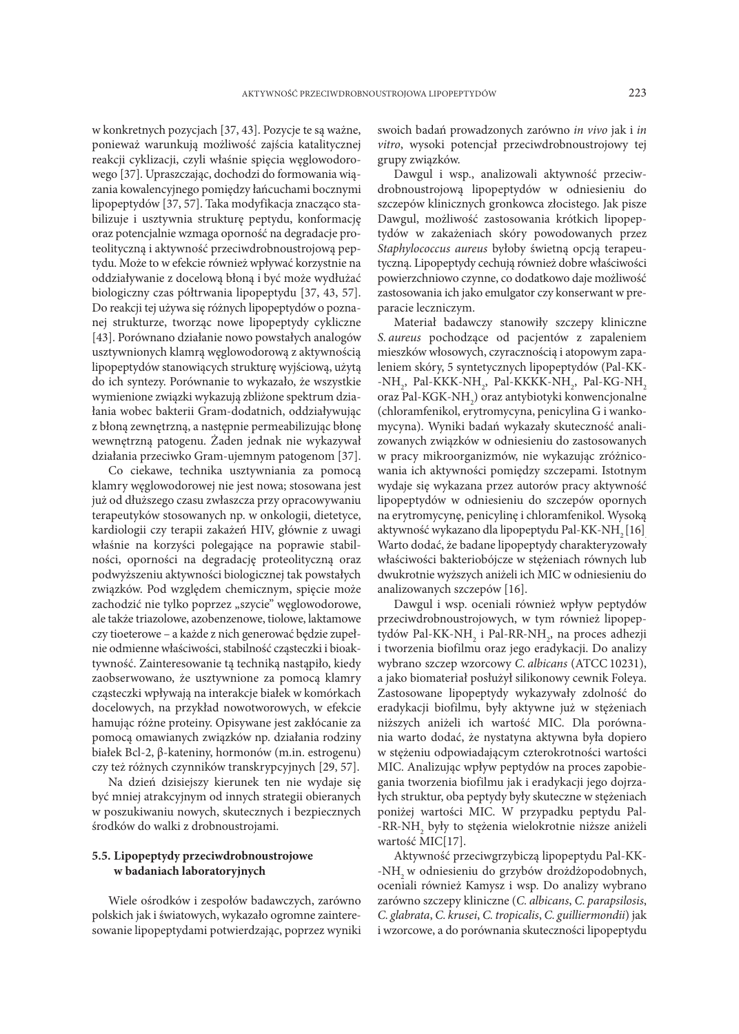w konkretnych pozycjach [37, 43]. Pozycje te są ważne, ponieważ warunkują możliwość zajścia katalitycznej reakcji cyklizacji, czyli właśnie spięcia węglowodorowego [37]. Upraszczając, dochodzi do formowania wiązania kowalencyjnego pomiędzy łańcuchami bocznymi lipopeptydów [37, 57]. Taka modyfikacja znacząco stabilizuje i usztywnia strukturę peptydu, konformację oraz potencjalnie wzmaga oporność na degradacje proteolityczną i aktywność przeciwdrobnoustrojową peptydu. Może to w efekcie również wpływać korzystnie na oddziaływanie z docelową błoną i być może wydłużać biologiczny czas półtrwania lipopeptydu [37, 43, 57]. Do reakcji tej używa się różnych lipopeptydów o poznanej strukturze, tworząc nowe lipopeptydy cykliczne [43]. Porównano działanie nowo powstałych analogów usztywnionych klamrą węglowodorową z aktywnością lipopeptydów stanowiących strukturę wyjściową, użytą do ich syntezy. Porównanie to wykazało, że wszystkie wymienione związki wykazują zbliżone spektrum działania wobec bakterii Gram-dodatnich, oddziaływując z błoną zewnętrzną, a następnie permeabilizując błonę wewnętrzną patogenu. Żaden jednak nie wykazywał działania przeciwko Gram-ujemnym patogenom [37].

Co ciekawe, technika usztywniania za pomocą klamry węglowodorowej nie jest nowa; stosowana jest już od dłuższego czasu zwłaszcza przy opracowywaniu terapeutyków stosowanych np. w onkologii, dietetyce, kardiologii czy terapii zakażeń HIV, głównie z uwagi właśnie na korzyści polegające na poprawie stabilności, oporności na degradację proteolityczną oraz podwyższeniu aktywności biologicznej tak powstałych związków. Pod względem chemicznym, spięcie może zachodzić nie tylko poprzez "szycie" węglowodorowe, ale także triazolowe, azobenzenowe, tiolowe, laktamowe czy tioeterowe – a każde z nich generować będzie zupełnie odmienne właściwości, stabilność cząsteczki i bioaktywność. Zainteresowanie tą techniką nastąpiło, kiedy zaobserwowano, że usztywnione za pomocą klamry cząsteczki wpływają na interakcje białek w komórkach docelowych, na przykład nowotworowych, w efekcie hamując różne proteiny. Opisywane jest zakłócanie za pomocą omawianych związków np. działania rodziny białek Bcl-2, β-kateniny, hormonów (m.in. estrogenu) czy też różnych czynników transkrypcyjnych [29, 57].

Na dzień dzisiejszy kierunek ten nie wydaje się być mniej atrakcyjnym od innych strategii obieranych w poszukiwaniu nowych, skutecznych i bezpiecznych środków do walki z drobnoustrojami.

## **5.5. Lipopeptydy przeciwdrobnoustrojowe w badaniach laboratoryjnych**

Wiele ośrodków i zespołów badawczych, zarówno polskich jak i światowych, wykazało ogromne zainteresowanie lipopeptydami potwierdzając, poprzez wyniki swoich badań prowadzonych zarówno *in vivo* jak i *in vitro*, wysoki potencjał przeciwdrobnoustrojowy tej grupy związków.

Dawgul i wsp., analizowali aktywność przeciwdrobnoustrojową lipopeptydów w odniesieniu do szczepów klinicznych gronkowca złocistego. Jak pisze Dawgul, możliwość zastosowania krótkich lipopeptydów w zakażeniach skóry powodowanych przez *Staphylococcus aureus* byłoby świetną opcją terapeutyczną. Lipopeptydy cechują również dobre właściwości powierzchniowo czynne, co dodatkowo daje możliwość zastosowania ich jako emulgator czy konserwant w preparacie leczniczym.

Materiał badawczy stanowiły szczepy kliniczne *S. aureus* pochodzące od pacjentów z zapaleniem mieszków włosowych, czyracznością i atopowym zapaleniem skóry, 5 syntetycznych lipopeptydów (Pal-KK- -NH<sub>2</sub>, Pal-KKK-NH<sub>2</sub>, Pal-KKKK-NH<sub>2</sub>, Pal-KG-NH<sub>2</sub> oraz Pal-KGK-N ${\rm H_2)}$  oraz antybiotyki konwencjonalne (chloramfenikol, erytromycyna, penicylina G i wankomycyna). Wyniki badań wykazały skuteczność analizowanych związków w odniesieniu do zastosowanych w pracy mikroorganizmów, nie wykazując zróżnicowania ich aktywności pomiędzy szczepami. Istotnym wydaje się wykazana przez autorów pracy aktywność lipopeptydów w odniesieniu do szczepów opornych na erytromycynę, penicylinę i chloramfenikol. Wysoką aktywność wykazano dla lipopeptydu Pal-KK-NH<sub>2</sub> [16]. Warto dodać, że badane lipopeptydy charakteryzowały właściwości bakteriobójcze w stężeniach równych lub dwukrotnie wyższych aniżeli ich MIC w odniesieniu do analizowanych szczepów [16].

Dawgul i wsp. oceniali również wpływ peptydów przeciwdrobnoustrojowych, w tym również lipopeptydów Pal-KK-NH<sub>2</sub> i Pal-RR-NH<sub>2</sub>, na proces adhezji i tworzenia biofilmu oraz jego eradykacji. Do analizy wybrano szczep wzorcowy *C. albicans* (ATCC 10231), a jako biomateriał posłużył silikonowy cewnik Foleya. Zastosowane lipopeptydy wykazywały zdolność do eradykacji biofilmu, były aktywne już w stężeniach niższych aniżeli ich wartość MIC. Dla porównania warto dodać, że nystatyna aktywna była dopiero w stężeniu odpowiadającym czterokrotności wartości MIC. Analizując wpływ peptydów na proces zapobiegania tworzenia biofilmu jak i eradykacji jego dojrzałych struktur, oba peptydy były skuteczne w stężeniach poniżej wartości MIC. W przypadku peptydu Pal- -RR-NH<sub>2</sub> były to stężenia wielokrotnie niższe aniżeli wartość MIC[17].

Aktywność przeciwgrzybiczą lipopeptydu Pal-KK- -NH2 w odniesieniu do grzybów drożdżopodobnych, oceniali również Kamysz i wsp. Do analizy wybrano zarówno szczepy kliniczne (*C. albicans*, *C. parapsilosis*, *C. glabrata*, *C. krusei*, *C. tropicalis*, *C. guilliermondii*) jak i wzorcowe, a do porównania skuteczności lipopeptydu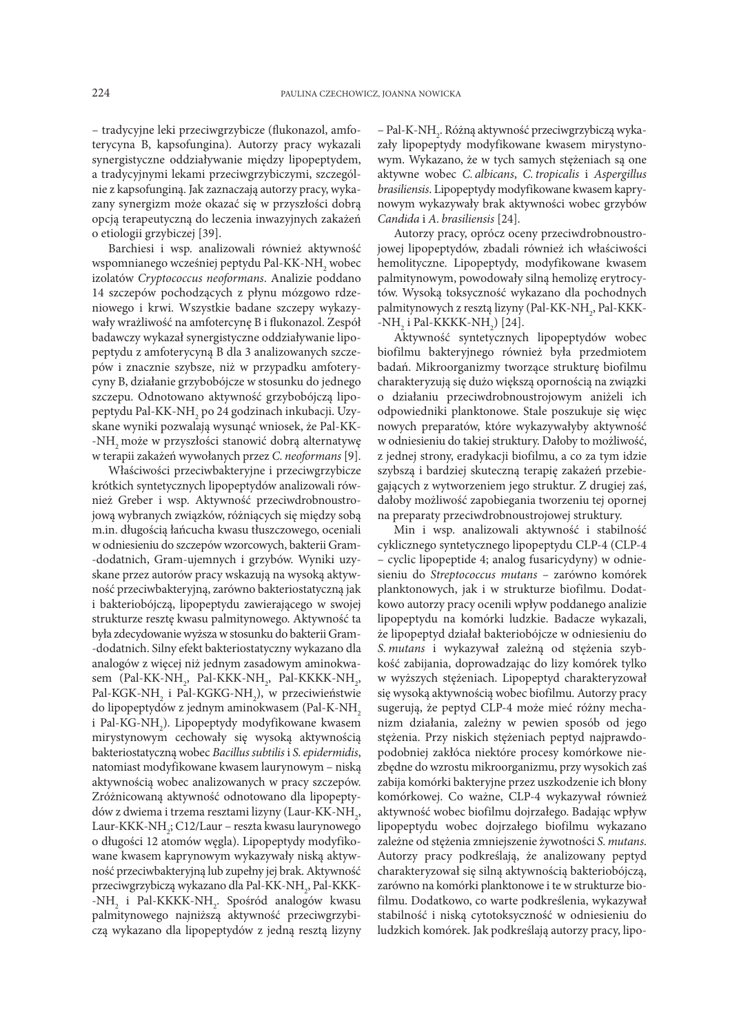– tradycyjne leki przeciwgrzybicze (flukonazol, amfoterycyna B, kapsofungina). Autorzy pracy wykazali synergistyczne oddziaływanie między lipopeptydem, a tradycyjnymi lekami przeciwgrzybiczymi, szczególnie z kapsofunginą. Jak zaznaczają autorzy pracy, wykazany synergizm może okazać się w przyszłości dobrą opcją terapeutyczną do leczenia inwazyjnych zakażeń o etiologii grzybiczej [39].

Barchiesi i wsp. analizowali również aktywność wspomnianego wcześniej peptydu Pal-KK-NH<sub>2</sub> wobec izolatów *Cryptococcus neoformans*. Analizie poddano 14 szczepów pochodzących z płynu mózgowo rdzeniowego i krwi. Wszystkie badane szczepy wykazywały wrażliwość na amfotercynę B i flukonazol. Zespół badawczy wykazał synergistyczne oddziaływanie lipopeptydu z amfoterycyną B dla 3 analizowanych szczepów i znacznie szybsze, niż w przypadku amfoterycyny B, działanie grzybobójcze w stosunku do jednego szczepu. Odnotowano aktywność grzybobójczą lipopeptydu Pal-KK-NH<sub>2</sub> po 24 godzinach inkubacji. Uzyskane wyniki pozwalają wysunąć wniosek, że Pal-KK- -NH<sub>2</sub> może w przyszłości stanowić dobrą alternatywę w terapii zakażeń wywołanych przez *C. neoformans* [9].

Właściwości przeciwbakteryjne i przeciwgrzybicze krótkich syntetycznych lipopeptydów analizowali również Greber i wsp. Aktywność przeciwdrobnoustrojową wybranych związków, różniących się między sobą m.in. długością łańcucha kwasu tłuszczowego, oceniali w odniesieniu do szczepów wzorcowych, bakterii Gram- -dodatnich, Gram-ujemnych i grzybów. Wyniki uzyskane przez autorów pracy wskazują na wysoką aktywność przeciwbakteryjną, zarówno bakteriostatyczną jak i bakteriobójczą, lipopeptydu zawierającego w swojej strukturze resztę kwasu palmitynowego. Aktywność ta była zdecydowanie wyższa w stosunku do bakterii Gram- -dodatnich. Silny efekt bakteriostatyczny wykazano dla analogów z więcej niż jednym zasadowym aminokwasem (Pal-KK-NH<sub>2</sub>, Pal-KKK-NH<sub>2</sub>, Pal-KKKK-NH<sub>2</sub>, Pal-KGK-NH<sub>2</sub> i Pal-KGKG-NH<sub>2</sub>), w przeciwieństwie do lipopeptydów z jednym aminokwasem (Pal-K-NH2 i Pal-KG-NH<sub>2</sub>). Lipopeptydy modyfikowane kwasem mirystynowym cechowały się wysoką aktywnością bakteriostatyczną wobec *Bacillus subtilis* i *S. epidermidis*, natomiast modyfikowane kwasem laurynowym – niską aktywnością wobec analizowanych w pracy szczepów. Zróżnicowaną aktywność odnotowano dla lipopeptydów z dwiema i trzema resztami lizyny (Laur-KK-NH<sub>2</sub>, Laur-KKK-NH2 ; C12/Laur – reszta kwasu laurynowego o długości 12 atomów węgla). Lipopeptydy modyfikowane kwasem kaprynowym wykazywały niską aktywność przeciwbakteryjną lub zupełny jej brak. Aktywność przeciwgrzybiczą wykazano dla Pal-KK-NH<sub>2</sub>, Pal-KKK--NH<sub>2</sub> i Pal-KKKK-NH<sub>2</sub>. Spośród analogów kwasu palmitynowego najniższą aktywność przeciwgrzybiczą wykazano dla lipopeptydów z jedną resztą lizyny

– Pal-K-NH<sub>2</sub>. Różną aktywność przeciwgrzybiczą wykazały lipopeptydy modyfikowane kwasem mirystynowym. Wykazano, że w tych samych stężeniach są one aktywne wobec *C. albicans*, *C. tropicalis* i *Aspergillus brasiliensis*. Lipopeptydy modyfikowane kwasem kaprynowym wykazywały brak aktywności wobec grzybów *Candida* i *A. brasiliensis* [24].

Autorzy pracy, oprócz oceny przeciwdrobnoustrojowej lipopeptydów, zbadali również ich właściwości hemolityczne. Lipopeptydy, modyfikowane kwasem palmitynowym, powodowały silną hemolizę erytrocytów. Wysoką toksyczność wykazano dla pochodnych palmitynowych z resztą lizyny (Pal-KK-NH<sub>2</sub>, Pal-KKK--NH<sub>2</sub> i Pal-KKKK-NH<sub>2</sub>) [24].

Aktywność syntetycznych lipopeptydów wobec biofilmu bakteryjnego również była przedmiotem badań. Mikroorganizmy tworzące strukturę biofilmu charakteryzują się dużo większą opornością na związki o działaniu przeciwdrobnoustrojowym aniżeli ich odpowiedniki planktonowe. Stale poszukuje się więc nowych preparatów, które wykazywałyby aktywność w odniesieniu do takiej struktury. Dałoby to możliwość, z jednej strony, eradykacji biofilmu, a co za tym idzie szybszą i bardziej skuteczną terapię zakażeń przebiegających z wytworzeniem jego struktur. Z drugiej zaś, dałoby możliwość zapobiegania tworzeniu tej opornej na preparaty przeciwdrobnoustrojowej struktury.

Min i wsp. analizowali aktywność i stabilność cyklicznego syntetycznego lipopeptydu CLP-4 (CLP-4 – cyclic lipopeptide 4; analog fusaricydyny) w odniesieniu do *Streptococcus mutans* – zarówno komórek planktonowych, jak i w strukturze biofilmu. Dodatkowo autorzy pracy ocenili wpływ poddanego analizie lipopeptydu na komórki ludzkie. Badacze wykazali, że lipopeptyd działał bakteriobójcze w odniesieniu do *S. mutans* i wykazywał zależną od stężenia szybkość zabijania, doprowadzając do lizy komórek tylko w wyższych stężeniach. Lipopeptyd charakteryzował się wysoką aktywnością wobec biofilmu. Autorzy pracy sugerują, że peptyd CLP-4 może mieć różny mechanizm działania, zależny w pewien sposób od jego stężenia. Przy niskich stężeniach peptyd najprawdopodobniej zakłóca niektóre procesy komórkowe niezbędne do wzrostu mikroorganizmu, przy wysokich zaś zabija komórki bakteryjne przez uszkodzenie ich błony komórkowej. Co ważne, CLP-4 wykazywał również aktywność wobec biofilmu dojrzałego. Badając wpływ lipopeptydu wobec dojrzałego biofilmu wykazano zależne od stężenia zmniejszenie żywotności *S.mutans*. Autorzy pracy podkreślają, że analizowany peptyd charakteryzował się silną aktywnością bakteriobójczą, zarówno na komórki planktonowe i te w strukturze biofilmu. Dodatkowo, co warte podkreślenia, wykazywał stabilność i niską cytotoksyczność w odniesieniu do ludzkich komórek. Jak podkreślają autorzy pracy, lipo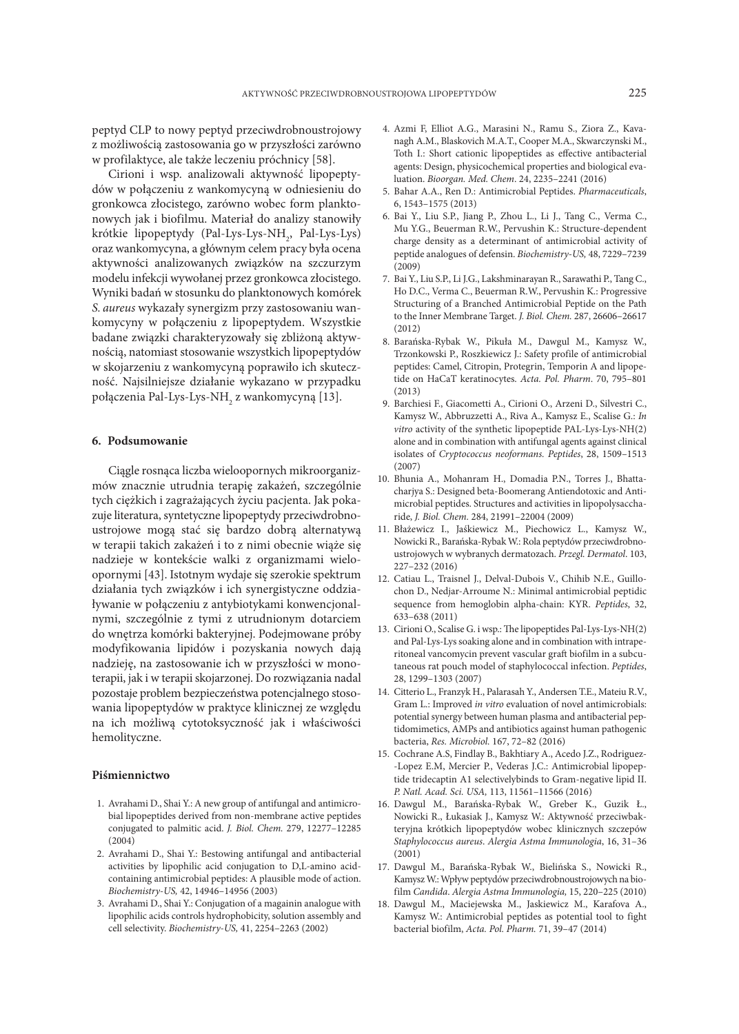peptyd CLP to nowy peptyd przeciwdrobnoustrojowy z możliwością zastosowania go w przyszłości zarówno w profilaktyce, ale także leczeniu próchnicy [58].

Cirioni i wsp. analizowali aktywność lipopeptydów w połączeniu z wankomycyną w odniesieniu do gronkowca złocistego, zarówno wobec form planktonowych jak i biofilmu. Materiał do analizy stanowiły krótkie lipopeptydy (Pal-Lys-Lys-NH<sub>2</sub>, Pal-Lys-Lys) oraz wankomycyna, a głównym celem pracy była ocena aktywności analizowanych związków na szczurzym modelu infekcji wywołanej przez gronkowca złocistego. Wyniki badań w stosunku do planktonowych komórek *S. aureus* wykazały synergizm przy zastosowaniu wankomycyny w połączeniu z lipopeptydem. Wszystkie badane związki charakteryzowały się zbliżoną aktywnością, natomiast stosowanie wszystkich lipopeptydów w skojarzeniu z wankomycyną poprawiło ich skuteczność. Najsilniejsze działanie wykazano w przypadku połączenia Pal-Lys-Lys-NH<sub>2</sub> z wankomycyną [13].

## **6. Podsumowanie**

Ciągle rosnąca liczba wieloopornych mikroorganizmów znacznie utrudnia terapię zakażeń, szczególnie tych ciężkich i zagrażających życiu pacjenta. Jak pokazuje literatura, syntetyczne lipopeptydy przeciwdrobnoustrojowe mogą stać się bardzo dobrą alternatywą w terapii takich zakażeń i to z nimi obecnie wiąże się nadzieje w kontekście walki z organizmami wieloopornymi [43]. Istotnym wydaje się szerokie spektrum działania tych związków i ich synergistyczne oddziaływanie w połączeniu z antybiotykami konwencjonalnymi, szczególnie z tymi z utrudnionym dotarciem do wnętrza komórki bakteryjnej. Podejmowane próby modyfikowania lipidów i pozyskania nowych dają nadzieję, na zastosowanie ich w przyszłości w monoterapii, jak i w terapii skojarzonej. Do rozwiązania nadal pozostaje problem bezpieczeństwa potencjalnego stosowania lipopeptydów w praktyce klinicznej ze względu na ich możliwą cytotoksyczność jak i właściwości hemolityczne.

## **Piśmiennictwo**

- 1. Avrahami D., Shai Y.: A new group of antifungal and antimicrobial lipopeptides derived from non-membrane active peptides conjugated to palmitic acid. *J. Biol. Chem.* 279, 12277–12285 (2004)
- 2. Avrahami D., Shai Y.: Bestowing antifungal and antibacterial activities by lipophilic acid conjugation to D,L-amino acidcontaining antimicrobial peptides: A plausible mode of action. *Biochemistry-US,* 42, 14946–14956 (2003)
- 3. Avrahami D., Shai Y.: Conjugation of a magainin analogue with lipophilic acids controls hydrophobicity, solution assembly and cell selectivity. *Biochemistry-US,* 41, 2254–2263 (2002)
- 4. Azmi F, Elliot A.G., Marasini N., Ramu S., Ziora Z., Kavanagh A.M., Blaskovich M.A.T., Cooper M.A., Skwarczynski M., Toth I.: Short cationic lipopeptides as effective antibacterial agents: Design, physicochemical properties and biological evaluation. *Bioorgan. Med. Chem*. 24, 2235–2241 (2016)
- 5. Bahar A.A., Ren D.: Antimicrobial Peptides. *Pharmaceuticals*, 6, 1543–1575 (2013)
- 6. Bai Y., Liu S.P., Jiang P., Zhou L., Li J., Tang C., Verma C., Mu Y.G., Beuerman R.W., Pervushin K.: Structure-dependent charge density as a determinant of antimicrobial activity of peptide analogues of defensin. *Biochemistry-US,* 48, 7229–7239 (2009)
- 7. Bai Y., Liu S.P., Li J.G., Lakshminarayan R., Sarawathi P., Tang C., Ho D.C., Verma C., Beuerman R.W., Pervushin K.: Progressive Structuring of a Branched Antimicrobial Peptide on the Path to the Inner Membrane Target. *J. Biol. Chem.* 287, 26606–26617 (2012)
- 8. Barańska-Rybak W., Pikuła M., Dawgul M., Kamysz W., Trzonkowski P., Roszkiewicz J.: Safety profile of antimicrobial peptides: Camel, Citropin, Protegrin, Temporin A and lipopetide on HaCaT keratinocytes. *Acta. Pol. Pharm*. 70, 795–801 (2013)
- 9. Barchiesi F., Giacometti A., Cirioni O., Arzeni D., Silvestri C., Kamysz W., Abbruzzetti A., Riva A., Kamysz E., Scalise G.: *In vitro* activity of the synthetic lipopeptide PAL-Lys-Lys-NH(2) alone and in combination with antifungal agents against clinical isolates of *Cryptococcus neoformans. Peptides*, 28, 1509–1513 (2007)
- 10. Bhunia A., Mohanram H., Domadia P.N., Torres J., Bhattacharjya S.: Designed beta-Boomerang Antiendotoxic and Antimicrobial peptides. Structures and activities in lipopolysaccharide, *J. Biol. Chem.* 284, 21991–22004 (2009)
- 11. Błażewicz I., Jaśkiewicz M., Piechowicz L., Kamysz W., Nowicki R., Barańska-Rybak W.: Rola peptydów przeciwdrobnoustrojowych w wybranych dermatozach. *Przegl. Dermatol*. 103, 227–232 (2016)
- 12. Catiau L., Traisnel J., Delval-Dubois V., Chihib N.E., Guillochon D., Nedjar-Arroume N.: Minimal antimicrobial peptidic sequence from hemoglobin alpha-chain: KYR. *Peptides*, 32, 633–638 (2011)
- 13. Cirioni O., Scalise G. i wsp.: The lipopeptides Pal-Lys-Lys-NH(2) and Pal-Lys-Lys soaking alone and in combination with intraperitoneal vancomycin prevent vascular graft biofilm in a subcutaneous rat pouch model of staphylococcal infection. *Peptides*, 28, 1299–1303 (2007)
- 14. Citterio L., Franzyk H., Palarasah Y., Andersen T.E., Mateiu R.V., Gram L.: Improved *in vitro* evaluation of novel antimicrobials: potential synergy between human plasma and antibacterial peptidomimetics, AMPs and antibiotics against human pathogenic bacteria, *Res. Microbiol.* 167, 72–82 (2016)
- 15. Cochrane A.S, Findlay B., Bakhtiary A., Acedo J.Z., Rodriguez- -Lopez E.M, Mercier P., Vederas J.C.: Antimicrobial lipopeptide tridecaptin A1 selectivelybinds to Gram-negative lipid II. *P. Natl. Acad. Sci. USA,* 113, 11561–11566 (2016)
- 16. Dawgul M., Barańska-Rybak W., Greber K., Guzik Ł., Nowicki R., Łukasiak J., Kamysz W.: Aktywność przeciwbakteryjna krótkich lipopeptydów wobec klinicznych szczepów *Staphylococcus aureus*. *Alergia Astma Immunologia*, 16, 31–36 (2001)
- 17. Dawgul M., Barańska-Rybak W., Bielińska S., Nowicki R., Kamysz W.: Wpływ peptydów przeciwdrobnoustrojowych na biofilm *Candida*. *Alergia Astma Immunologia,* 15, 220–225 (2010)
- 18. Dawgul M., Maciejewska M., Jaskiewicz M., Karafova A., Kamysz W.: Antimicrobial peptides as potential tool to fight bacterial biofilm, *Acta. Pol. Pharm.* 71, 39–47 (2014)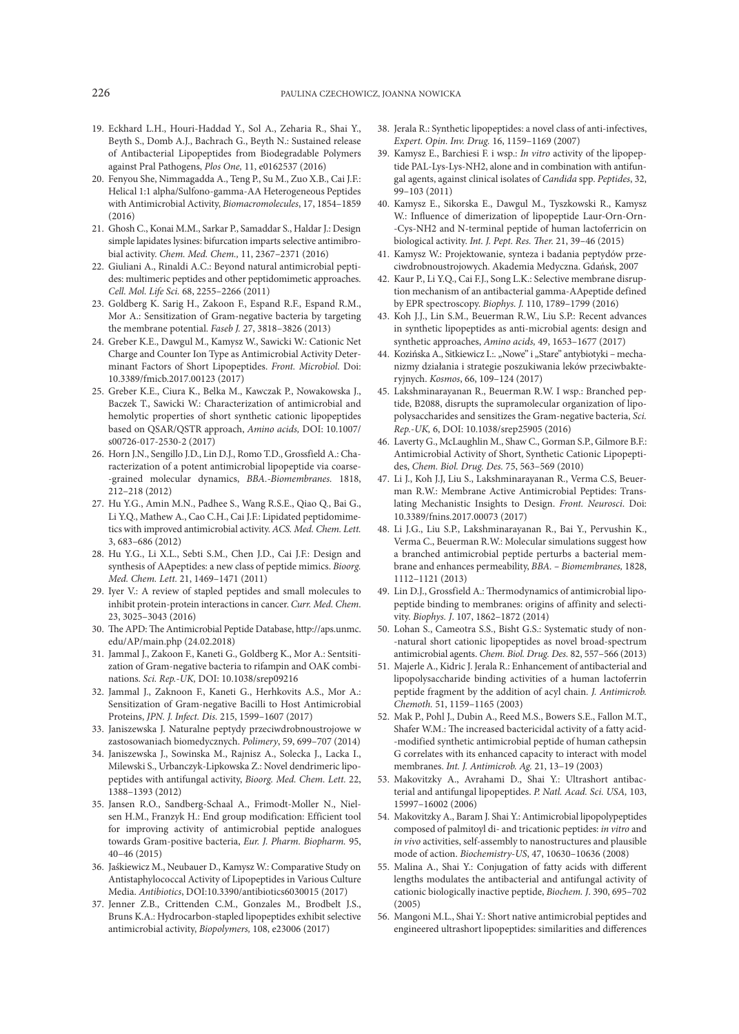- 19. Eckhard L.H., Houri-Haddad Y., Sol A., Zeharia R., Shai Y., Beyth S., Domb A.J., Bachrach G., Beyth N.: Sustained release of Antibacterial Lipopeptides from Biodegradable Polymers against Pral Pathogens, *Plos One,* 11, e0162537 (2016)
- 20. Fenyou She, Nimmagadda A., Teng P., Su M., Zuo X.B., Cai J.F.: Helical 1:1 alpha/Sulfono-gamma-AA Heterogeneous Peptides with Antimicrobial Activity, *Biomacromolecules*, 17, 1854–1859 (2016)
- 21. Ghosh C., Konai M.M., Sarkar P., Samaddar S., Haldar J.: Design simple lapidates lysines: bifurcation imparts selective antimibrobial activity. *Chem. Med. Chem.,* 11, 2367–2371 (2016)
- 22. Giuliani A., Rinaldi A.C.: Beyond natural antimicrobial peptides: multimeric peptides and other peptidomimetic approaches. *Cell. Mol. Life Sci.* 68, 2255–2266 (2011)
- 23. Goldberg K. Sarig H., Zakoon F., Espand R.F., Espand R.M., Mor A.: Sensitization of Gram-negative bacteria by targeting the membrane potential. *Faseb J.* 27, 3818–3826 (2013)
- 24. Greber K.E., Dawgul M., Kamysz W., Sawicki W.: Cationic Net Charge and Counter Ion Type as Antimicrobial Activity Determinant Factors of Short Lipopeptides. *Front. Microbiol*. Doi: 10.3389/fmicb.2017.00123 (2017)
- 25. Greber K.E., Ciura K., Belka M., Kawczak P., Nowakowska J., Baczek T., Sawicki W.: Characterization of antimicrobial and hemolytic properties of short synthetic cationic lipopeptides based on QSAR/QSTR approach, *Amino acids,* DOI: 10.1007/ s00726-017-2530-2 (2017)
- 26. Horn J.N., Sengillo J.D., Lin D.J., Romo T.D., Grossfield A.: Characterization of a potent antimicrobial lipopeptide via coarse- -grained molecular dynamics, *BBA.-Biomembranes.* 1818, 212–218 (2012)
- 27. Hu Y.G., Amin M.N., Padhee S., Wang R.S.E., Qiao Q., Bai G., Li Y.Q., Mathew A., Cao C.H., Cai J.F.: Lipidated peptidomimetics with improved antimicrobial activity. *ACS. Med. Chem. Lett.* 3, 683–686 (2012)
- 28. Hu Y.G., Li X.L., Sebti S.M., Chen J.D., Cai J.F.: Design and synthesis of AApeptides: a new class of peptide mimics. *Bioorg. Med. Chem. Lett.* 21, 1469–1471 (2011)
- 29. Iyer V.: A review of stapled peptides and small molecules to inhibit protein-protein interactions in cancer. *Curr. Med. Chem*. 23, 3025–3043 (2016)
- 30. The APD: The Antimicrobial Peptide Database, http://aps.unmc. edu/AP/main.php (24.02.2018)
- 31. Jammal J., Zakoon F., Kaneti G., Goldberg K., Mor A.: Sentsitization of Gram-negative bacteria to rifampin and OAK combinations. *Sci. Rep.-UK,* DOI: 10.1038/srep09216
- 32. Jammal J., Zaknoon F., Kaneti G., Herhkovits A.S., Mor A.: Sensitization of Gram-negative Bacilli to Host Antimicrobial Proteins, *JPN. J. Infect. Dis.* 215, 1599–1607 (2017)
- 33. Janiszewska J. Naturalne peptydy przeciwdrobnoustrojowe w zastosowaniach biomedycznych. *Polimery*, 59, 699–707 (2014)
- 34. Janiszewska J., Sowinska M., Rajnisz A., Solecka J., Lacka I., Milewski S., Urbanczyk-Lipkowska Z.: Novel dendrimeric lipopeptides with antifungal activity, *Bioorg. Med. Chem. Lett.* 22, 1388–1393 (2012)
- 35. Jansen R.O., Sandberg-Schaal A., Frimodt-Moller N., Nielsen H.M., Franzyk H.: End group modification: Efficient tool for improving activity of antimicrobial peptide analogues towards Gram-positive bacteria, *Eur. J. Pharm. Biopharm.* 95, 40–46 (2015)
- 36. Jaśkiewicz M., Neubauer D., Kamysz W.: Comparative Study on Antistaphylococcal Activity of Lipopeptides in Various Culture Media. *Antibiotics*, DOI:10.3390/antibiotics6030015 (2017)
- 37. Jenner Z.B., Crittenden C.M., Gonzales M., Brodbelt J.S., Bruns K.A.: Hydrocarbon-stapled lipopeptides exhibit selective antimicrobial activity, *Biopolymers,* 108, e23006 (2017)
- 38. Jerala R.: Synthetic lipopeptides: a novel class of anti-infectives, *Expert. Opin. Inv. Drug.* 16, 1159–1169 (2007)
- 39. Kamysz E., Barchiesi F. i wsp.: *In vitro* activity of the lipopeptide PAL-Lys-Lys-NH2, alone and in combination with antifungal agents, against clinical isolates of *Candida* spp. *Peptides*, 32, 99–103 (2011)
- 40. Kamysz E., Sikorska E., Dawgul M., Tyszkowski R., Kamysz W.: Influence of dimerization of lipopeptide Laur-Orn-Orn- -Cys-NH2 and N-terminal peptide of human lactoferricin on biological activity. *Int. J. Pept. Res. Ther.* 21, 39–46 (2015)
- 41. Kamysz W.: Projektowanie, synteza i badania peptydów przeciwdrobnoustrojowych. Akademia Medyczna. Gdańsk, 2007
- 42. Kaur P., Li Y.Q., Cai F.J., Song L.K.: Selective membrane disruption mechanism of an antibacterial gamma-AApeptide defined by EPR spectroscopy. *Biophys. J.* 110, 1789–1799 (2016)
- 43. Koh J.J., Lin S.M., Beuerman R.W., Liu S.P.: Recent advances in synthetic lipopeptides as anti-microbial agents: design and synthetic approaches, *Amino acids,* 49, 1653–1677 (2017)
- 44. Kozińska A., Sitkiewicz I.:. "Nowe" i "Stare" antybiotyki mechanizmy działania i strategie poszukiwania leków przeciwbakteryjnych. *Kosmos*, 66, 109–124 (2017)
- 45. Lakshminarayanan R., Beuerman R.W. I wsp.: Branched peptide, B2088, disrupts the supramolecular organization of lipopolysaccharides and sensitizes the Gram-negative bacteria, *Sci. Rep.-UK,* 6, DOI: 10.1038/srep25905 (2016)
- 46. Laverty G., McLaughlin M., Shaw C., Gorman S.P., Gilmore B.F.: Antimicrobial Activity of Short, Synthetic Cationic Lipopeptides, *Chem. Biol. Drug. Des.* 75, 563–569 (2010)
- 47. Li J., Koh J.J, Liu S., Lakshminarayanan R., Verma C.S, Beuerman R.W.: Membrane Active Antimicrobial Peptides: Translating Mechanistic Insights to Design. *Front. Neurosci*. Doi: 10.3389/fnins.2017.00073 (2017)
- 48. Li J.G., Liu S.P., Lakshminarayanan R., Bai Y., Pervushin K., Verma C., Beuerman R.W.: Molecular simulations suggest how a branched antimicrobial peptide perturbs a bacterial membrane and enhances permeability, *BBA. – Biomembranes,* 1828, 1112–1121 (2013)
- 49. Lin D.J., Grossfield A.: Thermodynamics of antimicrobial lipopeptide binding to membranes: origins of affinity and selectivity. *Biophys. J*. 107, 1862–1872 (2014)
- 50. Lohan S., Cameotra S.S., Bisht G.S.: Systematic study of non- -natural short cationic lipopeptides as novel broad-spectrum antimicrobial agents. *Chem. Biol. Drug. Des.* 82, 557–566 (2013)
- 51. Majerle A., Kidric J. Jerala R.: Enhancement of antibacterial and lipopolysaccharide binding activities of a human lactoferrin peptide fragment by the addition of acyl chain. *J. Antimicrob. Chemoth.* 51, 1159–1165 (2003)
- 52. Mak P., Pohl J., Dubin A., Reed M.S., Bowers S.E., Fallon M.T., Shafer W.M.: The increased bactericidal activity of a fatty acid- -modified synthetic antimicrobial peptide of human cathepsin G correlates with its enhanced capacity to interact with model membranes. *Int. J. Antimicrob. Ag.* 21, 13–19 (2003)
- 53. Makovitzky A., Avrahami D., Shai Y.: Ultrashort antibacterial and antifungal lipopeptides. *P. Natl. Acad. Sci. USA,* 103, 15997–16002 (2006)
- 54. Makovitzky A., Baram J. Shai Y.: Antimicrobial lipopolypeptides composed of palmitoyl di- and tricationic peptides: *in vitro* and *in vivo* activities, self-assembly to nanostructures and plausible mode of action. *Biochemistry-US*, 47, 10630–10636 (2008)
- 55. Malina A., Shai Y.: Conjugation of fatty acids with different lengths modulates the antibacterial and antifungal activity of cationic biologically inactive peptide, *Biochem. J*. 390, 695–702 (2005)
- 56. Mangoni M.L., Shai Y.: Short native antimicrobial peptides and engineered ultrashort lipopeptides: similarities and differences